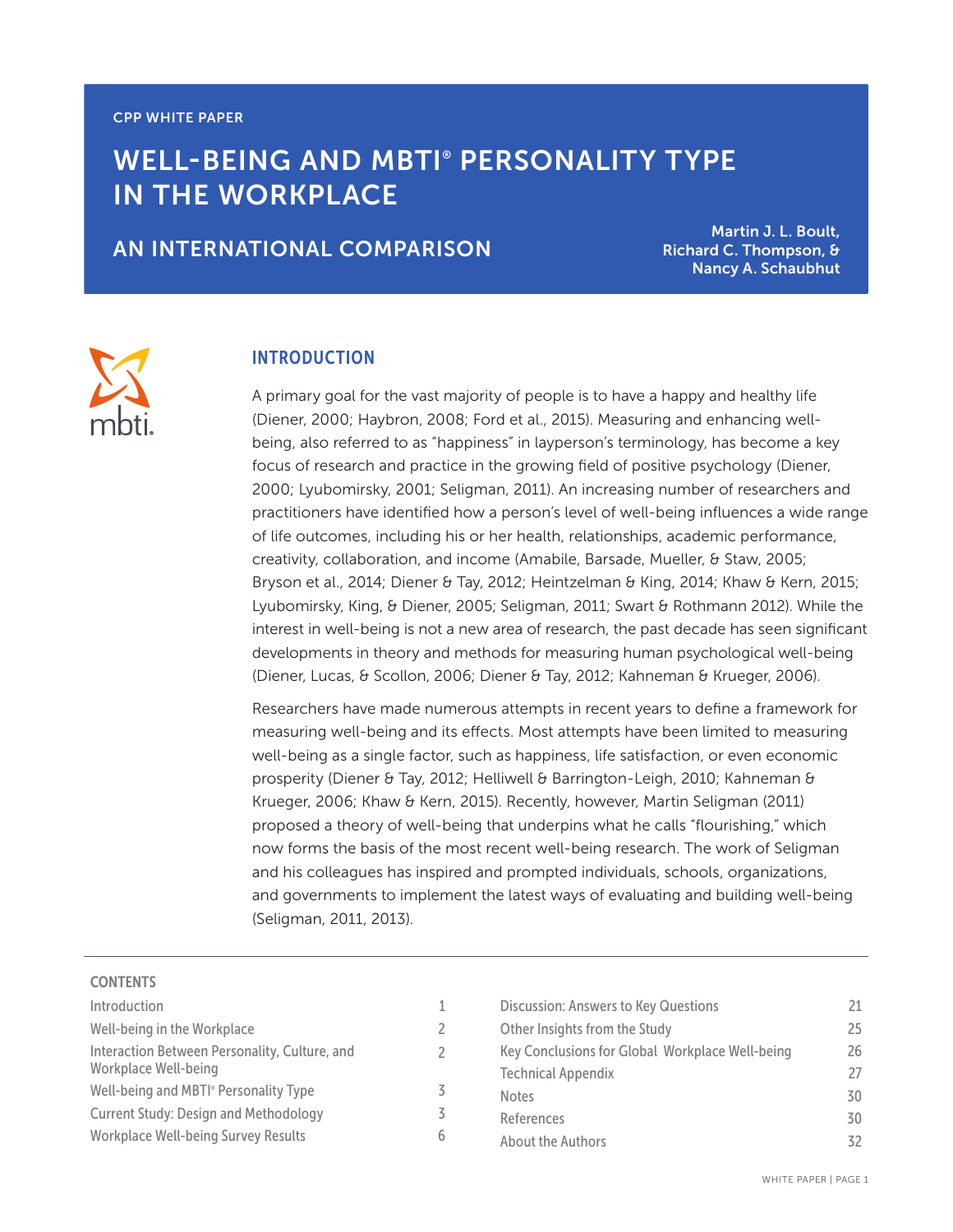# WELL-BEING AND MBTI® PERSONALITY TYPE IN THE WORKPLACE

# AN INTERNATIONAL COMPARISON

Martin J. L. Boult, Richard C. Thompson, & Nancy A. Schaubhut

### INTRODUCTION

A primary goal for the vast majority of people is to have a happy and healthy life (Diener, 2000; Haybron, 2008; Ford et al., 2015). Measuring and enhancing wellbeing, also referred to as "happiness" in layperson's terminology, has become a key focus of research and practice in the growing field of positive psychology (Diener, 2000; Lyubomirsky, 2001; Seligman, 2011). An increasing number of researchers and practitioners have identified how a person's level of well-being influences a wide range of life outcomes, including his or her health, relationships, academic performance, creativity, collaboration, and income (Amabile, Barsade, Mueller, & Staw, 2005; Bryson et al., 2014; Diener & Tay, 2012; Heintzelman & King, 2014; Khaw & Kern, 2015; Lyubomirsky, King, & Diener, 2005; Seligman, 2011; Swart & Rothmann 2012). While the interest in well-being is not a new area of research, the past decade has seen significant developments in theory and methods for measuring human psychological well-being (Diener, Lucas, & Scollon, 2006; Diener & Tay, 2012; Kahneman & Krueger, 2006).

Researchers have made numerous attempts in recent years to define a framework for measuring well-being and its effects. Most attempts have been limited to measuring well-being as a single factor, such as happiness, life satisfaction, or even economic prosperity (Diener & Tay, 2012; Helliwell & Barrington-Leigh, 2010; Kahneman & Krueger, 2006; Khaw & Kern, 2015). Recently, however, Martin Seligman (2011) proposed a theory of well-being that underpins what he calls "flourishing," which now forms the basis of the most recent well-being research. The work of Seligman and his colleagues has inspired and prompted individuals, schools, organizations, and governments to implement the latest ways of evaluating and building well-being (Seligman, 2011, 2013).

> 1  $\overline{2}$ 2

> 3 3 6

#### **CONTENTS**

| Introduction                                                          |
|-----------------------------------------------------------------------|
| Well-being in the Workplace                                           |
| Interaction Between Personality, Culture, and<br>Workplace Well-being |
| Well-being and MBTI <sup>®</sup> Personality Type                     |
| <b>Current Study: Design and Methodology</b>                          |
| <b>Workplace Well-being Survey Results</b>                            |

| <b>Discussion: Answers to Key Questions</b>     | 21 |
|-------------------------------------------------|----|
| Other Insights from the Study                   | 25 |
| Key Conclusions for Global Workplace Well-being | 26 |
| <b>Technical Appendix</b>                       | 27 |
| <b>Notes</b>                                    | 30 |
| References                                      | 30 |
| About the Authors                               | スフ |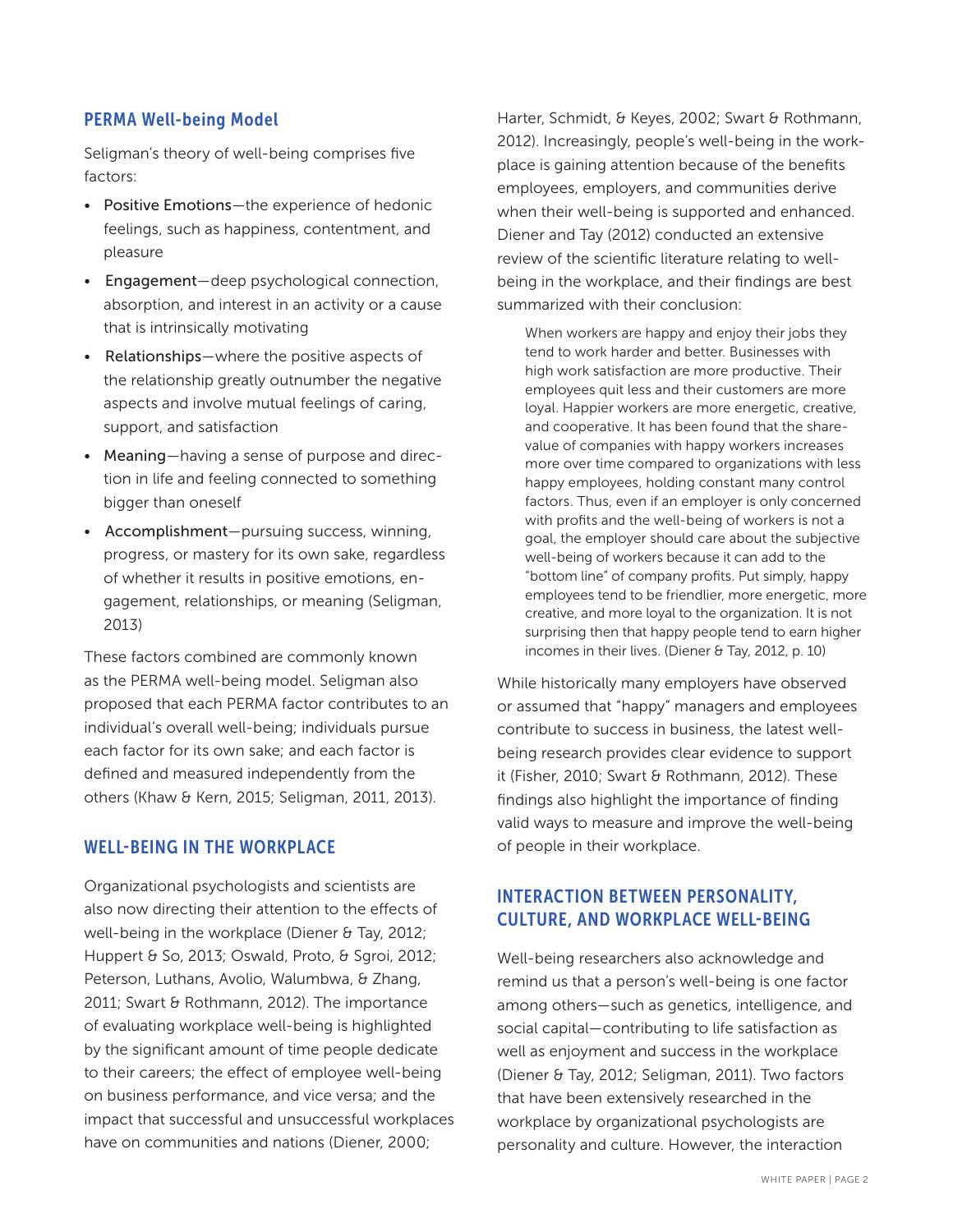### PERMA Well-being Model

Seligman's theory of well-being comprises five factors:

- Positive Emotions—the experience of hedonic feelings, such as happiness, contentment, and pleasure
- Engagement—deep psychological connection, absorption, and interest in an activity or a cause that is intrinsically motivating
- Relationships—where the positive aspects of the relationship greatly outnumber the negative aspects and involve mutual feelings of caring, support, and satisfaction
- Meaning—having a sense of purpose and direction in life and feeling connected to something bigger than oneself
- Accomplishment—pursuing success, winning, progress, or mastery for its own sake, regardless of whether it results in positive emotions, engagement, relationships, or meaning (Seligman, 2013)

These factors combined are commonly known as the PERMA well-being model. Seligman also proposed that each PERMA factor contributes to an individual's overall well-being; individuals pursue each factor for its own sake; and each factor is defined and measured independently from the others (Khaw & Kern, 2015; Seligman, 2011, 2013).

### WELL-BEING IN THE WORKPLACE

Organizational psychologists and scientists are also now directing their attention to the effects of well-being in the workplace (Diener & Tay, 2012; Huppert & So, 2013; Oswald, Proto, & Sgroi, 2012; Peterson, Luthans, Avolio, Walumbwa, & Zhang, 2011; Swart & Rothmann, 2012). The importance of evaluating workplace well-being is highlighted by the significant amount of time people dedicate to their careers; the effect of employee well-being on business performance, and vice versa; and the impact that successful and unsuccessful workplaces have on communities and nations (Diener, 2000;

Harter, Schmidt, & Keyes, 2002; Swart & Rothmann, 2012). Increasingly, people's well-being in the workplace is gaining attention because of the benefits employees, employers, and communities derive when their well-being is supported and enhanced. Diener and Tay (2012) conducted an extensive review of the scientific literature relating to wellbeing in the workplace, and their findings are best summarized with their conclusion:

When workers are happy and enjoy their jobs they tend to work harder and better. Businesses with high work satisfaction are more productive. Their employees quit less and their customers are more loyal. Happier workers are more energetic, creative, and cooperative. It has been found that the sharevalue of companies with happy workers increases more over time compared to organizations with less happy employees, holding constant many control factors. Thus, even if an employer is only concerned with profits and the well-being of workers is not a goal, the employer should care about the subjective well-being of workers because it can add to the "bottom line" of company profits. Put simply, happy employees tend to be friendlier, more energetic, more creative, and more loyal to the organization. It is not surprising then that happy people tend to earn higher incomes in their lives. (Diener & Tay, 2012, p. 10)

While historically many employers have observed or assumed that "happy" managers and employees contribute to success in business, the latest wellbeing research provides clear evidence to support it (Fisher, 2010; Swart & Rothmann, 2012). These findings also highlight the importance of finding valid ways to measure and improve the well-being of people in their workplace.

# INTERACTION BETWEEN PERSONALITY, CULTURE, AND WORKPLACE WELL-BEING

Well-being researchers also acknowledge and remind us that a person's well-being is one factor among others—such as genetics, intelligence, and social capital—contributing to life satisfaction as well as enjoyment and success in the workplace (Diener & Tay, 2012; Seligman, 2011). Two factors that have been extensively researched in the workplace by organizational psychologists are personality and culture. However, the interaction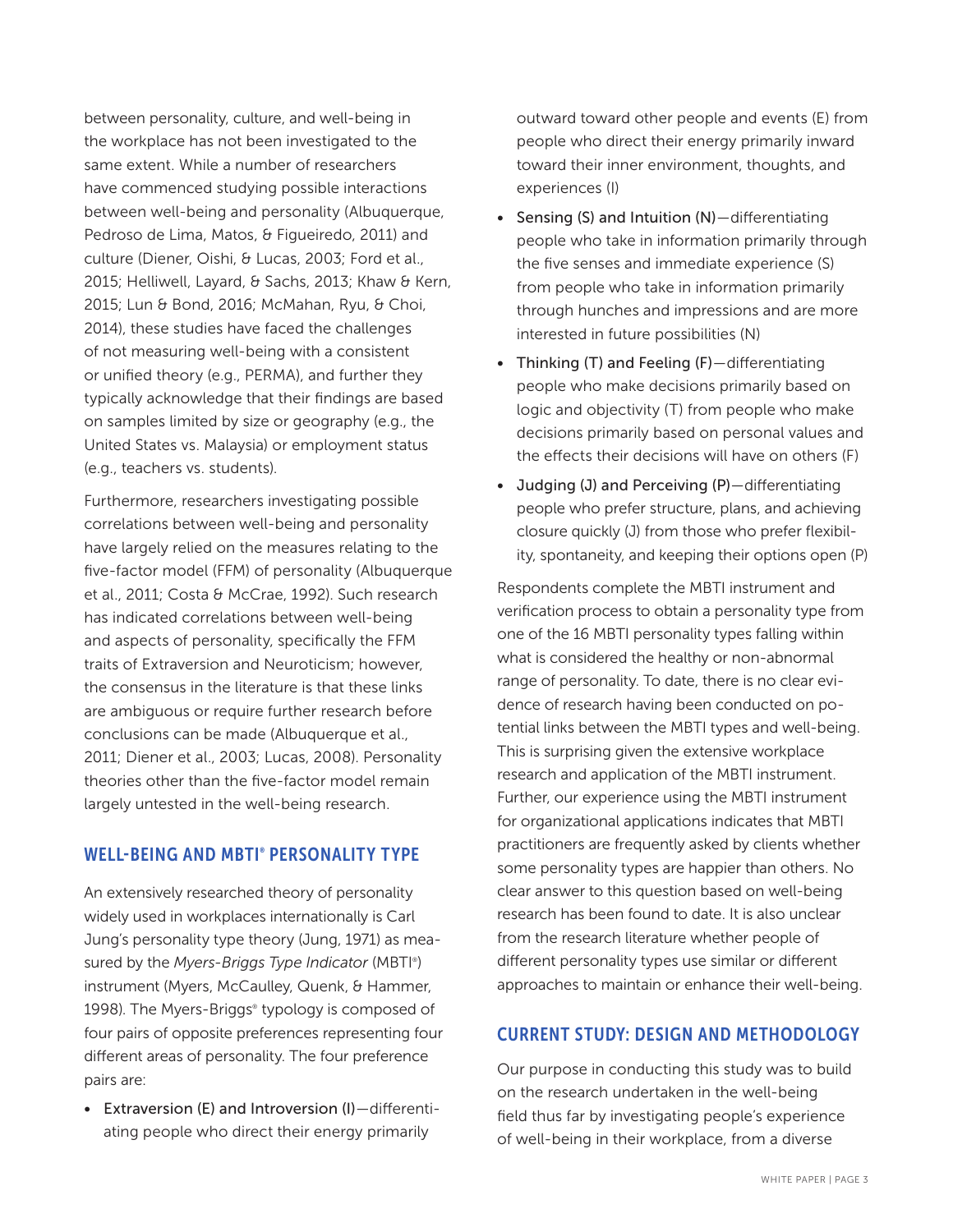between personality, culture, and well-being in the workplace has not been investigated to the same extent. While a number of researchers have commenced studying possible interactions between well-being and personality (Albuquerque, Pedroso de Lima, Matos, & Figueiredo, 2011) and culture (Diener, Oishi, & Lucas, 2003; Ford et al., 2015; Helliwell, Layard, & Sachs, 2013; Khaw & Kern, 2015; Lun & Bond, 2016; McMahan, Ryu, & Choi, 2014), these studies have faced the challenges of not measuring well-being with a consistent or unified theory (e.g., PERMA), and further they typically acknowledge that their findings are based on samples limited by size or geography (e.g., the United States vs. Malaysia) or employment status (e.g., teachers vs. students).

Furthermore, researchers investigating possible correlations between well-being and personality have largely relied on the measures relating to the five-factor model (FFM) of personality (Albuquerque et al., 2011; Costa & McCrae, 1992). Such research has indicated correlations between well-being and aspects of personality, specifically the FFM traits of Extraversion and Neuroticism; however, the consensus in the literature is that these links are ambiguous or require further research before conclusions can be made (Albuquerque et al., 2011; Diener et al., 2003; Lucas, 2008). Personality theories other than the five-factor model remain largely untested in the well-being research.

### WELL-BEING AND MBTI® PERSONALITY TYPE

An extensively researched theory of personality widely used in workplaces internationally is Carl Jung's personality type theory (Jung, 1971) as measured by the *Myers-Briggs Type Indicator* (MBTI® ) instrument (Myers, McCaulley, Quenk, & Hammer, 1998). The Myers-Briggs® typology is composed of four pairs of opposite preferences representing four different areas of personality. The four preference pairs are:

• Extraversion (E) and Introversion (I)—differentiating people who direct their energy primarily

outward toward other people and events (E) from people who direct their energy primarily inward toward their inner environment, thoughts, and experiences (I)

- Sensing (S) and Intuition (N)—differentiating people who take in information primarily through the five senses and immediate experience (S) from people who take in information primarily through hunches and impressions and are more interested in future possibilities (N)
- Thinking (T) and Feeling (F)—differentiating people who make decisions primarily based on logic and objectivity (T) from people who make decisions primarily based on personal values and the effects their decisions will have on others (F)
- Judging (J) and Perceiving (P)—differentiating people who prefer structure, plans, and achieving closure quickly (J) from those who prefer flexibility, spontaneity, and keeping their options open (P)

Respondents complete the MBTI instrument and verification process to obtain a personality type from one of the 16 MBTI personality types falling within what is considered the healthy or non-abnormal range of personality. To date, there is no clear evidence of research having been conducted on potential links between the MBTI types and well-being. This is surprising given the extensive workplace research and application of the MBTI instrument. Further, our experience using the MBTI instrument for organizational applications indicates that MBTI practitioners are frequently asked by clients whether some personality types are happier than others. No clear answer to this question based on well-being research has been found to date. It is also unclear from the research literature whether people of different personality types use similar or different approaches to maintain or enhance their well-being.

# CURRENT STUDY: DESIGN AND METHODOLOGY

Our purpose in conducting this study was to build on the research undertaken in the well-being field thus far by investigating people's experience of well-being in their workplace, from a diverse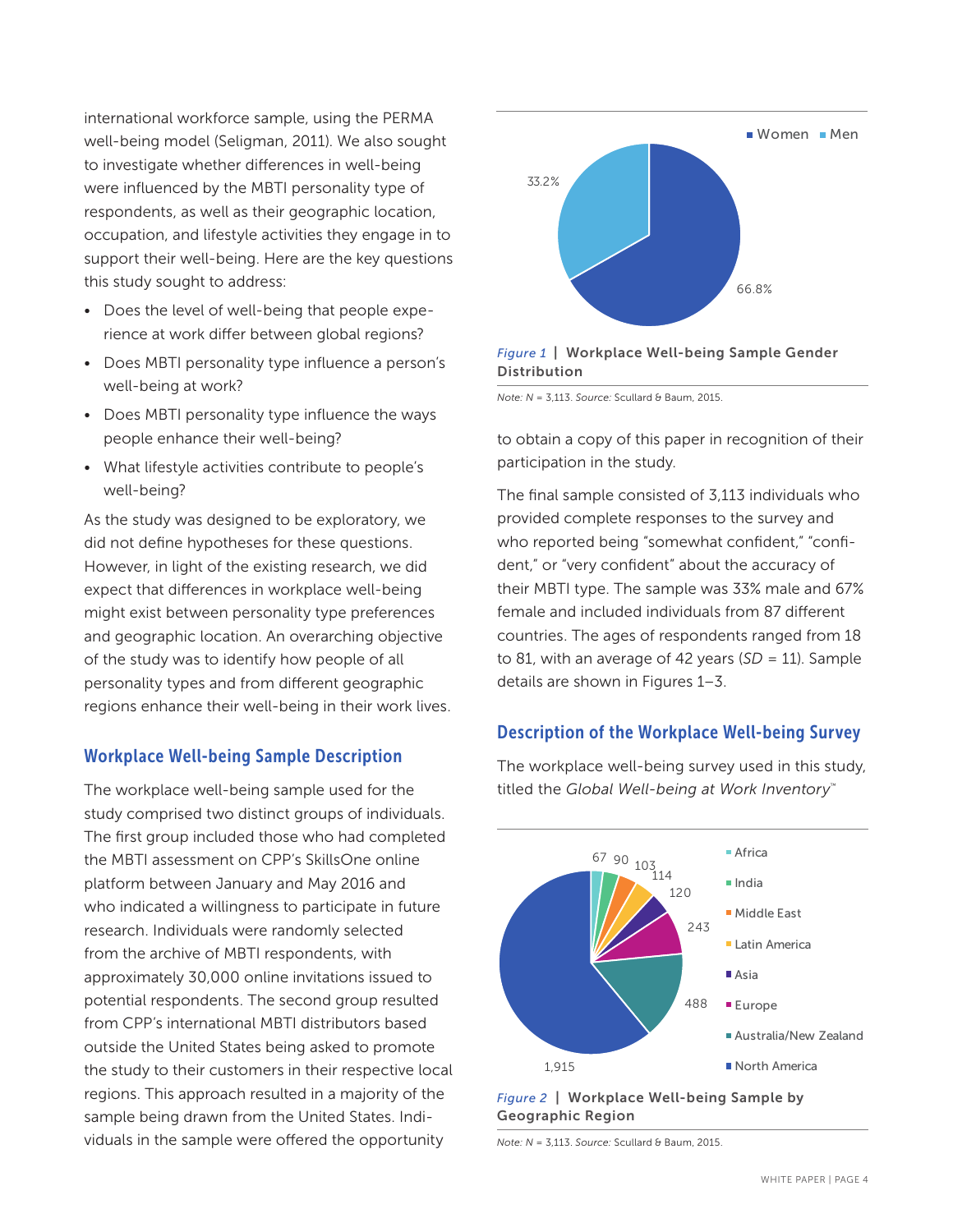international workforce sample, using the PERMA well-being model (Seligman, 2011). We also sought to investigate whether differences in well-being were influenced by the MBTI personality type of respondents, as well as their geographic location, occupation, and lifestyle activities they engage in to support their well-being. Here are the key questions this study sought to address:

- Does the level of well-being that people experience at work differ between global regions?
- Does MBTI personality type influence a person's well-being at work?
- Does MBTI personality type influence the ways people enhance their well-being?
- What lifestyle activities contribute to people's well-being?

As the study was designed to be exploratory, we did not define hypotheses for these questions. However, in light of the existing research, we did expect that differences in workplace well-being might exist between personality type preferences and geographic location. An overarching objective of the study was to identify how people of all personality types and from different geographic regions enhance their well-being in their work lives.

# Workplace Well-being Sample Description

The workplace well-being sample used for the study comprised two distinct groups of individuals. The first group included those who had completed the MBTI assessment on CPP's SkillsOne online platform between January and May 2016 and who indicated a willingness to participate in future research. Individuals were randomly selected from the archive of MBTI respondents, with approximately 30,000 online invitations issued to potential respondents. The second group resulted from CPP's international MBTI distributors based outside the United States being asked to promote the study to their customers in their respective local regions. This approach resulted in a majority of the sample being drawn from the United States. Individuals in the sample were offered the opportunity



#### *Figure 1* | Workplace Well-being Sample Gender Distribution

*Note: N* = 3,113. *Source:* Scullard & Baum, 2015.

to obtain a copy of this paper in recognition of their participation in the study.

The final sample consisted of 3,113 individuals who provided complete responses to the survey and who reported being "somewhat confident," "confident," or "very confident" about the accuracy of their MBTI type. The sample was 33% male and 67% female and included individuals from 87 different countries. The ages of respondents ranged from 18 to 81, with an average of 42 years (*SD* = 11). Sample details are shown in Figures 1–3.

# Description of the Workplace Well-being Survey



The workplace well-being survey used in this study, titled the *Global Well-being at Work Inventory*™



*Note: N* = 3,113. *Source:* Scullard & Baum, 2015.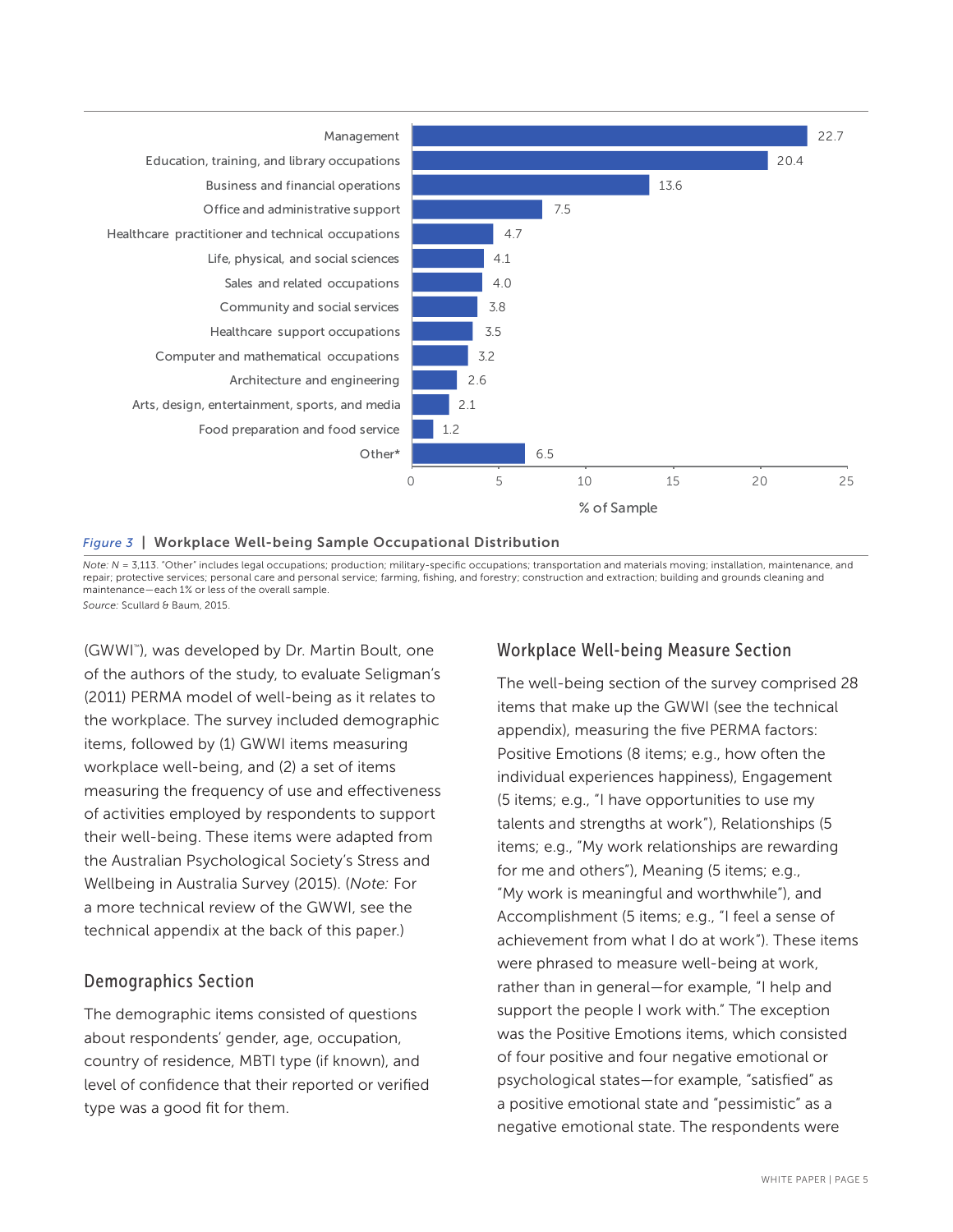

#### *Figure 3* | Workplace Well-being Sample Occupational Distribution

*Note: N* = 3,113. "Other" includes legal occupations; production; military-specific occupations; transportation and materials moving; installation, maintenance, and repair; protective services; personal care and personal service; farming, fishing, and forestry; construction and extraction; building and grounds cleaning and maintenance—each 1% or less of the overall sample. *Source:* Scullard & Baum, 2015.

(GWWI™ ), was developed by Dr. Martin Boult, one of the authors of the study, to evaluate Seligman's (2011) PERMA model of well-being as it relates to the workplace. The survey included demographic items, followed by (1) GWWI items measuring workplace well-being, and (2) a set of items measuring the frequency of use and effectiveness of activities employed by respondents to support their well-being. These items were adapted from the Australian Psychological Society's Stress and Wellbeing in Australia Survey (2015). (*Note:* For a more technical review of the GWWI, see the technical appendix at the back of this paper.)

### Demographics Section

The demographic items consisted of questions about respondents' gender, age, occupation, country of residence, MBTI type (if known), and level of confidence that their reported or verified type was a good fit for them.

### Workplace Well-being Measure Section

The well-being section of the survey comprised 28 items that make up the GWWI (see the technical appendix), measuring the five PERMA factors: Positive Emotions (8 items; e.g., how often the individual experiences happiness), Engagement (5 items; e.g., "I have opportunities to use my talents and strengths at work"), Relationships (5 items; e.g., "My work relationships are rewarding for me and others"), Meaning (5 items; e.g., "My work is meaningful and worthwhile"), and Accomplishment (5 items; e.g., "I feel a sense of achievement from what I do at work"). These items were phrased to measure well-being at work, rather than in general—for example, "I help and support the people I work with." The exception was the Positive Emotions items, which consisted of four positive and four negative emotional or psychological states—for example, "satisfied" as a positive emotional state and "pessimistic" as a negative emotional state. The respondents were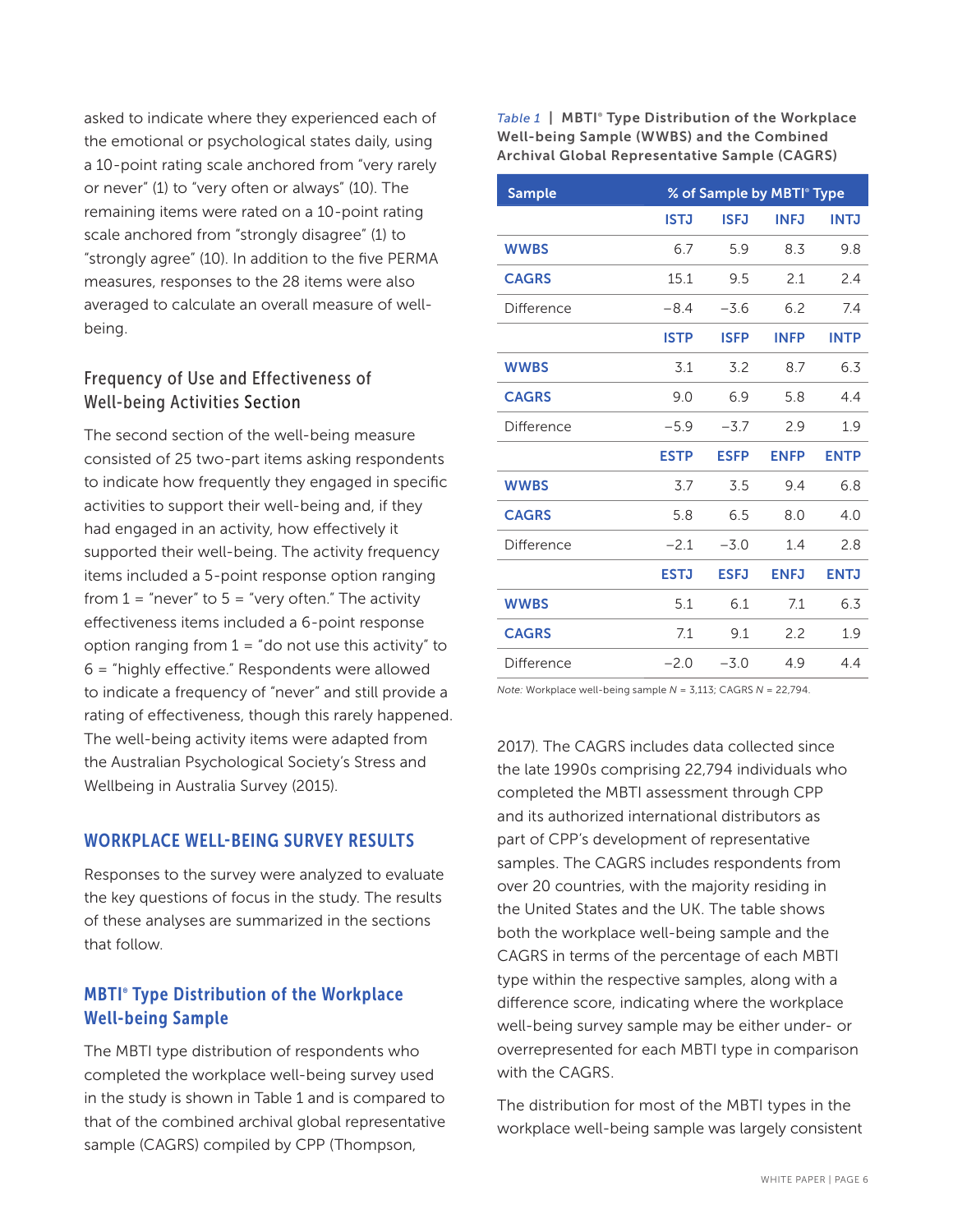asked to indicate where they experienced each of the emotional or psychological states daily, using a 10-point rating scale anchored from "very rarely or never" (1) to "very often or always" (10). The remaining items were rated on a 10-point rating scale anchored from "strongly disagree" (1) to "strongly agree" (10). In addition to the five PERMA measures, responses to the 28 items were also averaged to calculate an overall measure of wellbeing.

# Frequency of Use and Effectiveness of Well-being Activities Section

The second section of the well-being measure consisted of 25 two-part items asking respondents to indicate how frequently they engaged in specific activities to support their well-being and, if they had engaged in an activity, how effectively it supported their well-being. The activity frequency items included a 5-point response option ranging from  $1$  = "never" to  $5$  = "very often." The activity effectiveness items included a 6-point response option ranging from  $1 =$  "do not use this activity" to 6 = "highly effective." Respondents were allowed to indicate a frequency of "never" and still provide a rating of effectiveness, though this rarely happened. The well-being activity items were adapted from the Australian Psychological Society's Stress and Wellbeing in Australia Survey (2015).

# WORKPLACE WELL-BEING SURVEY RESULTS

Responses to the survey were analyzed to evaluate the key questions of focus in the study. The results of these analyses are summarized in the sections that follow.

# MBTI® Type Distribution of the Workplace Well-being Sample

The MBTI type distribution of respondents who completed the workplace well-being survey used in the study is shown in Table 1 and is compared to that of the combined archival global representative sample (CAGRS) compiled by CPP (Thompson,

Table 1 | MBTI<sup>®</sup> Type Distribution of the Workplace Well-being Sample (WWBS) and the Combined Archival Global Representative Sample (CAGRS)

| <b>Sample</b> |             |             | % of Sample by MBTI <sup>®</sup> Type |             |
|---------------|-------------|-------------|---------------------------------------|-------------|
|               | <b>ISTJ</b> | <b>ISFJ</b> | <b>INFJ</b>                           | <b>INTJ</b> |
| <b>WWBS</b>   | 6.7         | 5.9         | 8.3                                   | 9.8         |
| <b>CAGRS</b>  | 15.1        | 9.5         | 2.1                                   | 2.4         |
| Difference    | $-8.4$      | $-3.6$      | 6.2                                   | 7.4         |
|               | <b>ISTP</b> | <b>ISFP</b> | <b>INFP</b>                           | <b>INTP</b> |
| <b>WWBS</b>   | 3.1         | 3.2         | 8.7                                   | 6.3         |
| <b>CAGRS</b>  | 9 N         | 6.9         | 58                                    | 44          |
| Difference    | $-5.9$      | $-3.7$      | 2.9                                   | 1.9         |
|               | <b>ESTP</b> | <b>ESFP</b> | <b>ENFP</b>                           | <b>ENTP</b> |
| <b>WWBS</b>   | 3.7         | 3.5         | 9.4                                   | 6.8         |
| <b>CAGRS</b>  | 5.8         | 6.5         | 8.0                                   | 4.0         |
| Difference    | $-21$       | $-3.0$      | 14                                    | 28          |
|               | <b>ESTJ</b> | <b>ESFJ</b> | <b>ENFJ</b>                           | <b>ENTJ</b> |
| <b>WWBS</b>   | 5.1         | 61          | 7.1                                   | 6.3         |
| <b>CAGRS</b>  | 7.1         | 9.1         | 2.2                                   | 1.9         |
| Difference    | $-2.0$      | $-3.0$      | 49                                    | 44          |

*Note:* Workplace well-being sample *N* = 3,113; CAGRS *N* = 22,794.

2017). The CAGRS includes data collected since the late 1990s comprising 22,794 individuals who completed the MBTI assessment through CPP and its authorized international distributors as part of CPP's development of representative samples. The CAGRS includes respondents from over 20 countries, with the majority residing in the United States and the UK. The table shows both the workplace well-being sample and the CAGRS in terms of the percentage of each MBTI type within the respective samples, along with a difference score, indicating where the workplace well-being survey sample may be either under- or overrepresented for each MBTI type in comparison with the CAGRS.

The distribution for most of the MBTI types in the workplace well-being sample was largely consistent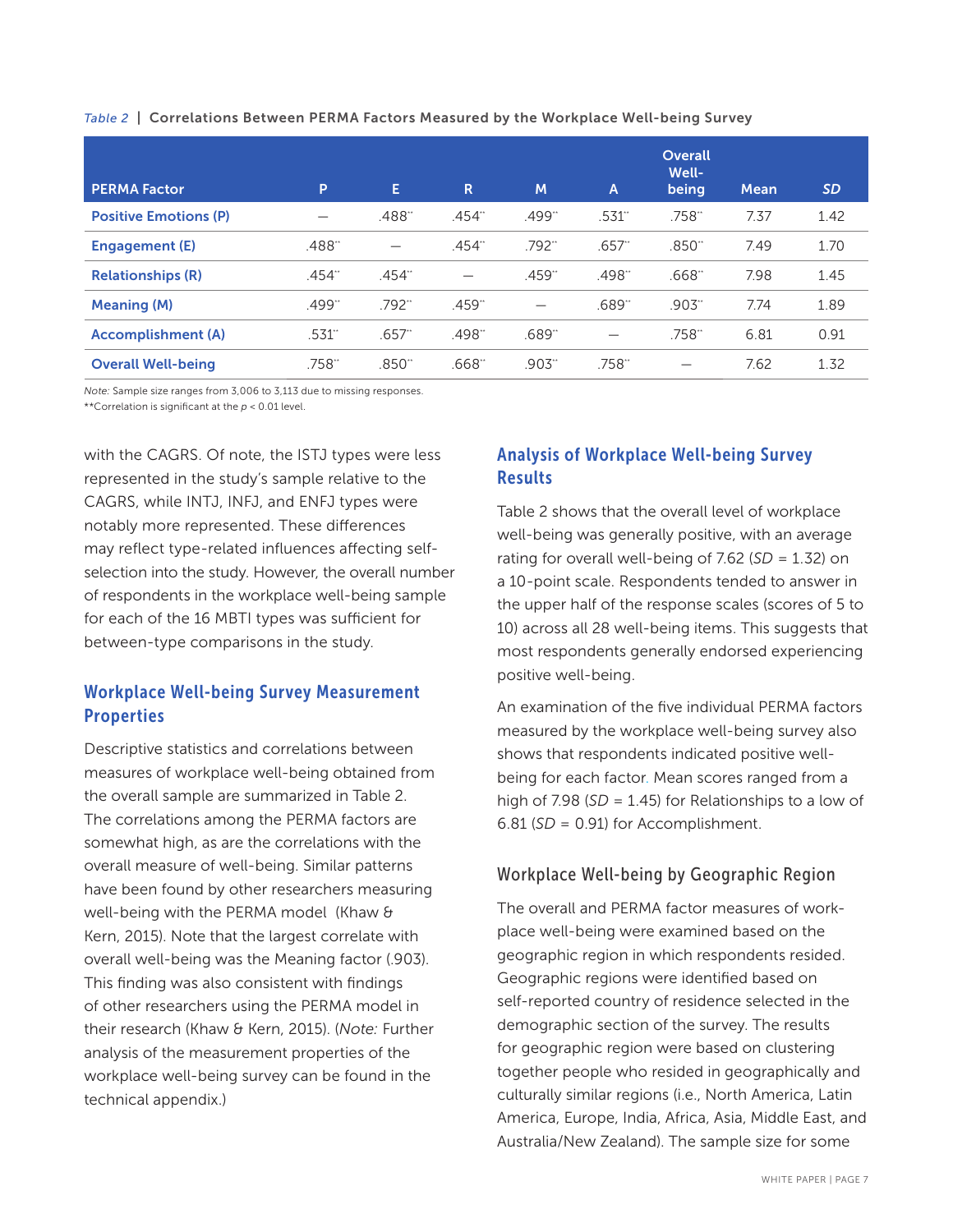| <b>PERMA Factor</b>          | P      | E        | R                        | M                    | $\overline{A}$ | <b>Overall</b><br>Well-<br>being | <b>Mean</b> | <b>SD</b> |
|------------------------------|--------|----------|--------------------------|----------------------|----------------|----------------------------------|-------------|-----------|
| <b>Positive Emotions (P)</b> |        | .488**   | .454"                    | .499"                | .531"          | .758**                           | 7.37        | 1.42      |
| Engagement (E)               | .488"  |          | .454"                    | $.792$ <sup>**</sup> | $.657$ "       | .850"                            | 7.49        | 1.70      |
| <b>Relationships (R)</b>     | .454** | .454"    | $\overline{\phantom{0}}$ | .459"                | .498"          | .668"                            | 7.98        | 1.45      |
| <b>Meaning (M)</b>           | .499** | .792*    | .459"                    |                      | .689**         | $.903$ "                         | 7.74        | 1.89      |
| <b>Accomplishment</b> (A)    | .531"  | $.657$ " | .498**                   | .689"                |                | .758**                           | 6.81        | 0.91      |
| <b>Overall Well-being</b>    | .758** | .850**   | .668"                    | .903**               | .758**         |                                  | 7.62        | 1.32      |

*Table 2* | Correlations Between PERMA Factors Measured by the Workplace Well-being Survey

*Note:* Sample size ranges from 3,006 to 3,113 due to missing responses. \*\*Correlation is significant at the *p* < 0.01 level.

with the CAGRS. Of note, the ISTJ types were less represented in the study's sample relative to the CAGRS, while INTJ, INFJ, and ENFJ types were notably more represented. These differences may reflect type-related influences affecting selfselection into the study. However, the overall number of respondents in the workplace well-being sample for each of the 16 MBTI types was sufficient for between-type comparisons in the study.

# Workplace Well-being Survey Measurement **Properties**

Descriptive statistics and correlations between measures of workplace well-being obtained from the overall sample are summarized in Table 2. The correlations among the PERMA factors are somewhat high, as are the correlations with the overall measure of well-being. Similar patterns have been found by other researchers measuring well-being with the PERMA model (Khaw & Kern, 2015). Note that the largest correlate with overall well-being was the Meaning factor (.903). This finding was also consistent with findings of other researchers using the PERMA model in their research (Khaw & Kern, 2015). (*Note:* Further analysis of the measurement properties of the workplace well-being survey can be found in the technical appendix.)

# Analysis of Workplace Well-being Survey **Results**

Table 2 shows that the overall level of workplace well-being was generally positive, with an average rating for overall well-being of 7.62 (*SD* = 1.32) on a 10-point scale. Respondents tended to answer in the upper half of the response scales (scores of 5 to 10) across all 28 well-being items. This suggests that most respondents generally endorsed experiencing positive well-being.

An examination of the five individual PERMA factors measured by the workplace well-being survey also shows that respondents indicated positive wellbeing for each factor. Mean scores ranged from a high of 7.98 (*SD* = 1.45) for Relationships to a low of 6.81 (*SD* = 0.91) for Accomplishment.

# Workplace Well-being by Geographic Region

The overall and PERMA factor measures of workplace well-being were examined based on the geographic region in which respondents resided. Geographic regions were identified based on self-reported country of residence selected in the demographic section of the survey. The results for geographic region were based on clustering together people who resided in geographically and culturally similar regions (i.e., North America, Latin America, Europe, India, Africa, Asia, Middle East, and Australia/New Zealand). The sample size for some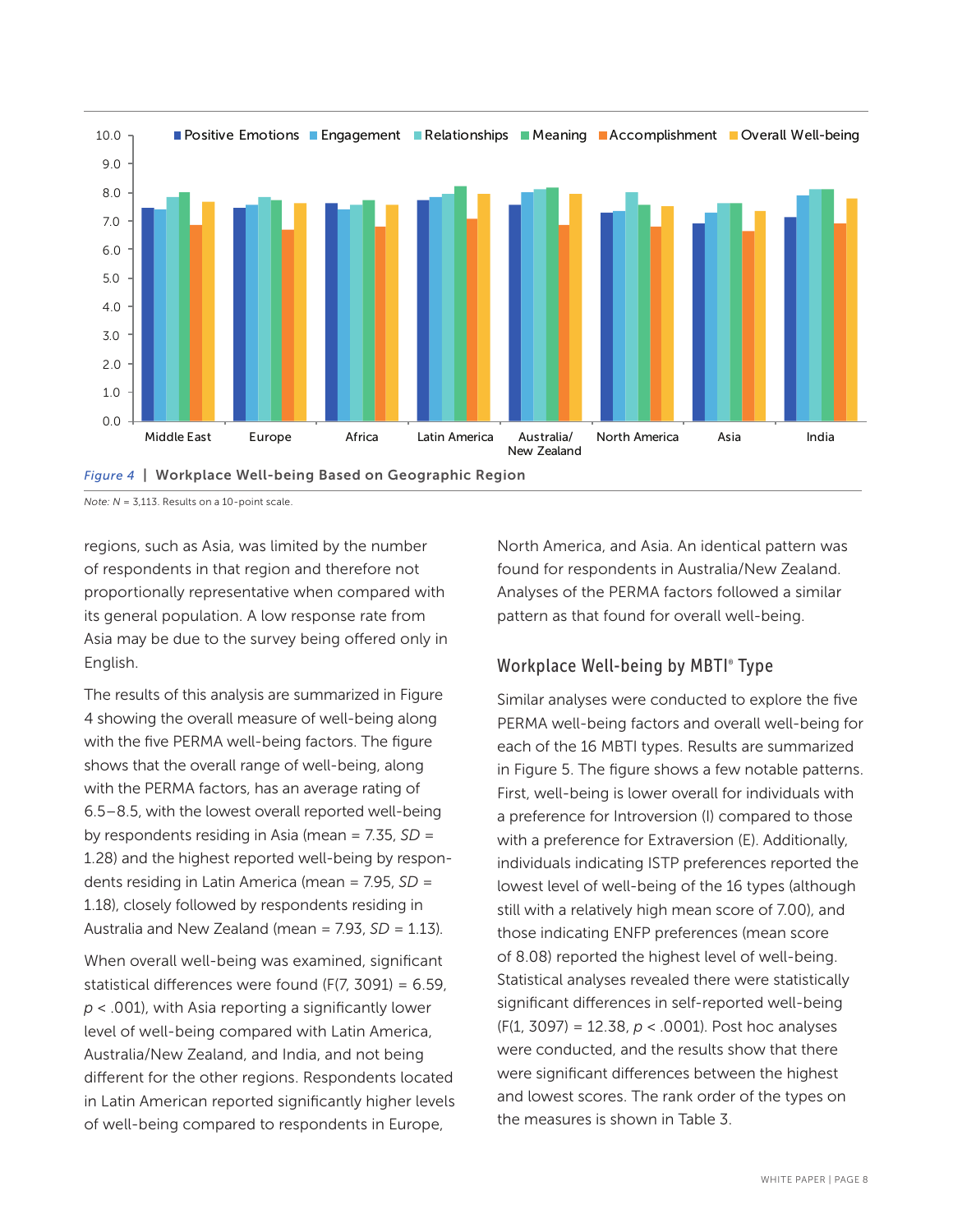

*Figure 4* | Workplace Well-being Based on Geographic Region

*Note: N* = 3,113. Results on a 10-point scale.

regions, such as Asia, was limited by the number of respondents in that region and therefore not proportionally representative when compared with its general population. A low response rate from Asia may be due to the survey being offered only in English.

The results of this analysis are summarized in Figure 4 showing the overall measure of well-being along with the five PERMA well-being factors. The figure shows that the overall range of well-being, along with the PERMA factors, has an average rating of 6.5–8.5, with the lowest overall reported well-being by respondents residing in Asia (mean = 7.35, *SD* = 1.28) and the highest reported well-being by respondents residing in Latin America (mean = 7.95, *SD* = 1.18), closely followed by respondents residing in Australia and New Zealand (mean =  $7.93$ ,  $SD = 1.13$ ).

When overall well-being was examined, significant statistical differences were found (F(7, 3091) = 6.59, *p* < .001), with Asia reporting a significantly lower level of well-being compared with Latin America, Australia/New Zealand, and India, and not being different for the other regions. Respondents located in Latin American reported significantly higher levels of well-being compared to respondents in Europe,

North America, and Asia. An identical pattern was found for respondents in Australia/New Zealand. Analyses of the PERMA factors followed a similar pattern as that found for overall well-being.

# Workplace Well-being by MBTI® Type

Similar analyses were conducted to explore the five PERMA well-being factors and overall well-being for each of the 16 MBTI types. Results are summarized in Figure 5. The figure shows a few notable patterns. First, well-being is lower overall for individuals with a preference for Introversion (I) compared to those with a preference for Extraversion (E). Additionally, individuals indicating ISTP preferences reported the lowest level of well-being of the 16 types (although still with a relatively high mean score of 7.00), and those indicating ENFP preferences (mean score of 8.08) reported the highest level of well-being. Statistical analyses revealed there were statistically significant differences in self-reported well-being (F(1, 3097) = 12.38, *p* < .0001). Post hoc analyses were conducted, and the results show that there were significant differences between the highest and lowest scores. The rank order of the types on the measures is shown in Table 3.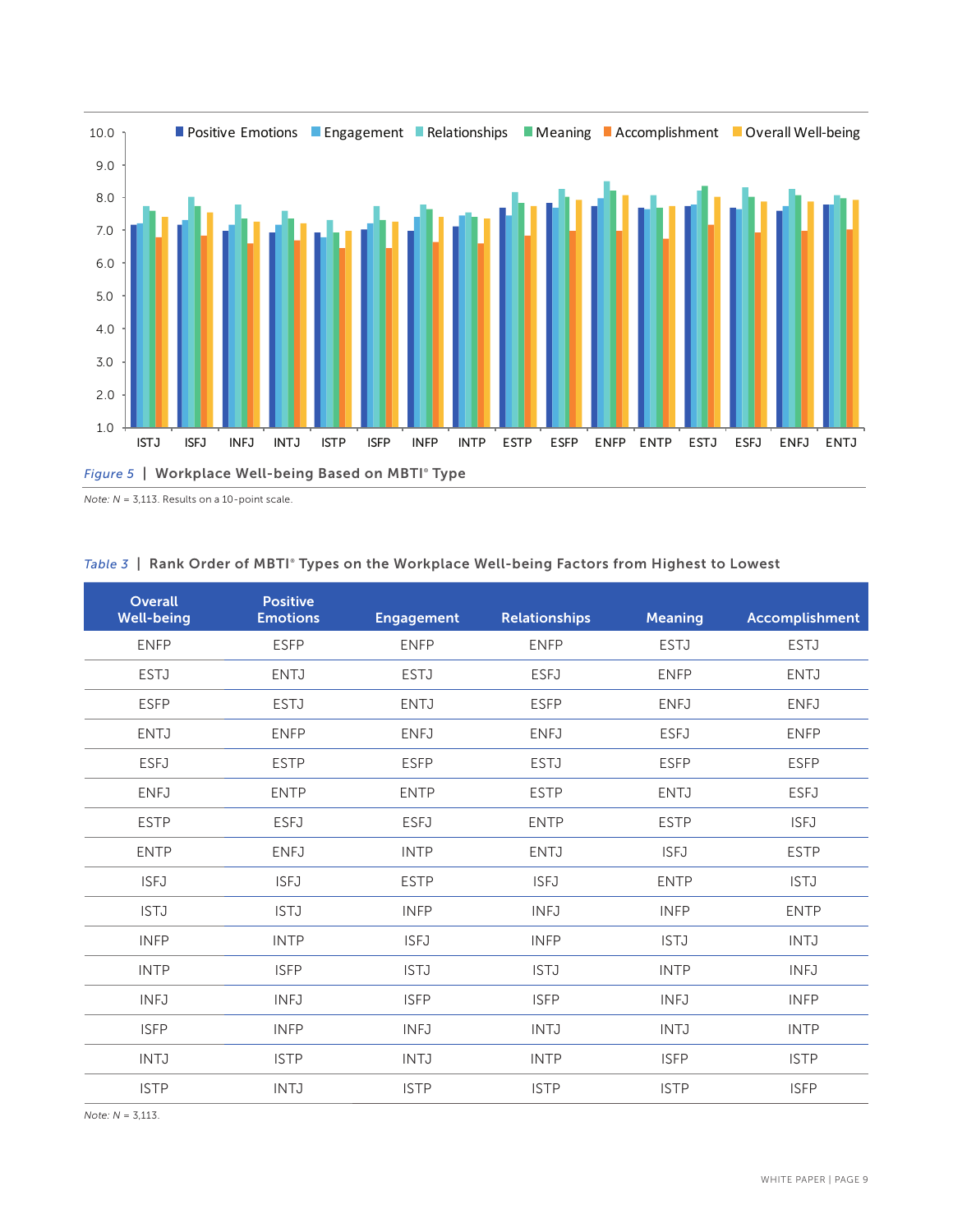

*Note: N* = 3,113. Results on a 10-point scale.

| Overall<br><b>Well-being</b> | <b>Positive</b><br><b>Emotions</b> | <b>Engagement</b> | <b>Relationships</b> | <b>Meaning</b> | <b>Accomplishment</b> |
|------------------------------|------------------------------------|-------------------|----------------------|----------------|-----------------------|
| <b>ENFP</b>                  | <b>ESFP</b>                        | <b>ENFP</b>       | <b>ENFP</b>          | <b>ESTJ</b>    | <b>ESTJ</b>           |
| <b>ESTJ</b>                  | <b>ENTJ</b>                        | <b>ESTJ</b>       | <b>ESFJ</b>          | <b>ENFP</b>    | <b>ENTJ</b>           |
| <b>ESFP</b>                  | <b>ESTJ</b>                        | <b>ENTJ</b>       | <b>ESFP</b>          | <b>ENFJ</b>    | <b>ENFJ</b>           |
| <b>ENTJ</b>                  | <b>ENFP</b>                        | <b>ENFJ</b>       | <b>ENFJ</b>          | <b>ESFJ</b>    | <b>ENFP</b>           |
| <b>ESFJ</b>                  | <b>ESTP</b>                        | <b>ESFP</b>       | <b>ESTJ</b>          | <b>ESFP</b>    | <b>ESFP</b>           |
| <b>ENFJ</b>                  | <b>ENTP</b>                        | <b>ENTP</b>       | <b>ESTP</b>          | <b>ENTJ</b>    | <b>ESFJ</b>           |
| <b>ESTP</b>                  | <b>ESFJ</b>                        | <b>ESFJ</b>       | <b>ENTP</b>          | <b>ESTP</b>    | <b>ISFJ</b>           |
| <b>ENTP</b>                  | <b>ENFJ</b>                        | <b>INTP</b>       | <b>ENTJ</b>          | <b>ISFJ</b>    | <b>ESTP</b>           |
| <b>ISFJ</b>                  | <b>ISFJ</b>                        | <b>ESTP</b>       | <b>ISFJ</b>          | <b>ENTP</b>    | <b>ISTJ</b>           |
| <b>ISTJ</b>                  | <b>ISTJ</b>                        | <b>INFP</b>       | <b>INFJ</b>          | <b>INFP</b>    | <b>ENTP</b>           |
| <b>INFP</b>                  | <b>INTP</b>                        | <b>ISFJ</b>       | <b>INFP</b>          | <b>ISTJ</b>    | <b>INTJ</b>           |
| <b>INTP</b>                  | <b>ISFP</b>                        | <b>ISTJ</b>       | <b>ISTJ</b>          | <b>INTP</b>    | <b>INFJ</b>           |
| <b>INFJ</b>                  | <b>INFJ</b>                        | <b>ISFP</b>       | <b>ISFP</b>          | <b>INFJ</b>    | <b>INFP</b>           |
| <b>ISFP</b>                  | <b>INFP</b>                        | <b>INFJ</b>       | <b>INTJ</b>          | <b>INTJ</b>    | <b>INTP</b>           |
| <b>INTJ</b>                  | <b>ISTP</b>                        | <b>INTJ</b>       | <b>INTP</b>          | <b>ISFP</b>    | <b>ISTP</b>           |
| <b>ISTP</b>                  | <b>INTJ</b>                        | <b>ISTP</b>       | <b>ISTP</b>          | <b>ISTP</b>    | <b>ISFP</b>           |
|                              |                                    |                   |                      |                |                       |

#### *Table 3* | Rank Order of MBTI® Types on the Workplace Well-being Factors from Highest to Lowest

*Note: N* = 3,113.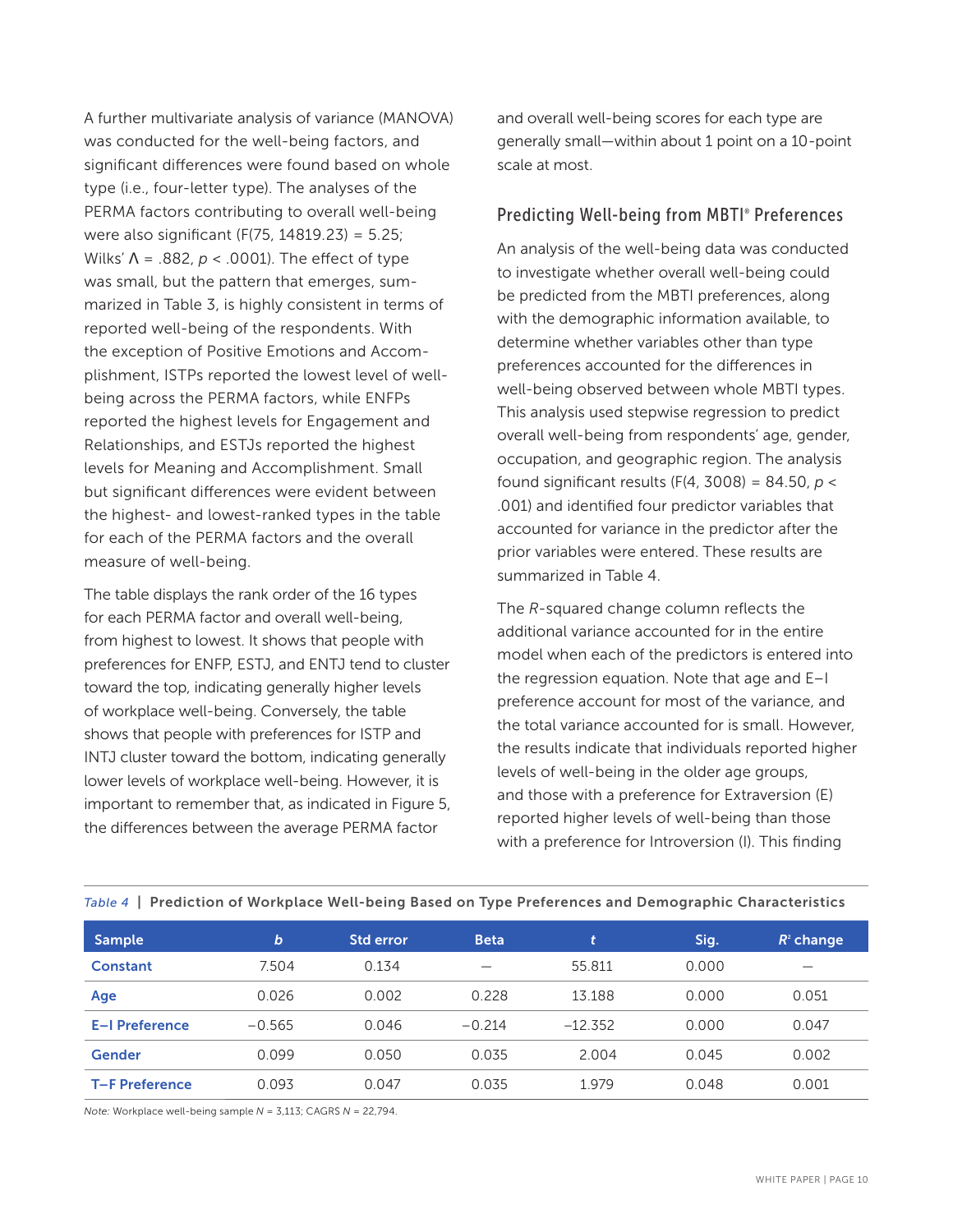A further multivariate analysis of variance (MANOVA) was conducted for the well-being factors, and significant differences were found based on whole type (i.e., four-letter type). The analyses of the PERMA factors contributing to overall well-being were also significant (F(75, 14819.23) = 5.25; Wilks' Λ = .882, *p* < .0001). The effect of type was small, but the pattern that emerges, summarized in Table 3, is highly consistent in terms of reported well-being of the respondents. With the exception of Positive Emotions and Accomplishment, ISTPs reported the lowest level of wellbeing across the PERMA factors, while ENFPs reported the highest levels for Engagement and Relationships, and ESTJs reported the highest levels for Meaning and Accomplishment. Small but significant differences were evident between the highest- and lowest-ranked types in the table for each of the PERMA factors and the overall measure of well-being.

The table displays the rank order of the 16 types for each PERMA factor and overall well-being, from highest to lowest. It shows that people with preferences for ENFP, ESTJ, and ENTJ tend to cluster toward the top, indicating generally higher levels of workplace well-being. Conversely, the table shows that people with preferences for ISTP and INTJ cluster toward the bottom, indicating generally lower levels of workplace well-being. However, it is important to remember that, as indicated in Figure 5, the differences between the average PERMA factor

and overall well-being scores for each type are generally small—within about 1 point on a 10-point scale at most.

### Predicting Well-being from MBTI® Preferences

An analysis of the well-being data was conducted to investigate whether overall well-being could be predicted from the MBTI preferences, along with the demographic information available, to determine whether variables other than type preferences accounted for the differences in well-being observed between whole MBTI types. This analysis used stepwise regression to predict overall well-being from respondents' age, gender, occupation, and geographic region. The analysis found significant results (F(4, 3008) = 84.50, *p* < .001) and identified four predictor variables that accounted for variance in the predictor after the prior variables were entered. These results are summarized in Table 4.

The *R*-squared change column reflects the additional variance accounted for in the entire model when each of the predictors is entered into the regression equation. Note that age and E–I preference account for most of the variance, and the total variance accounted for is small. However, the results indicate that individuals reported higher levels of well-being in the older age groups, and those with a preference for Extraversion (E) reported higher levels of well-being than those with a preference for Introversion (I). This finding

| <b>Sample</b>         | b        | <b>Std error</b> | <b>Beta</b> | It.       | Sig.  | $R^2$ change |
|-----------------------|----------|------------------|-------------|-----------|-------|--------------|
| Constant              | 7.504    | 0.134            |             | 55.811    | 0.000 |              |
| Age                   | 0.026    | 0.002            | 0.228       | 13.188    | 0.000 | 0.051        |
| E-I Preference        | $-0.565$ | 0.046            | $-0.214$    | $-12.352$ | 0.000 | 0.047        |
| Gender                | 0.099    | 0.050            | 0.035       | 2.004     | 0.045 | 0.002        |
| <b>T-F Preference</b> | 0.093    | 0.047            | 0.035       | 1.979     | 0.048 | 0.001        |

#### *Table 4* | Prediction of Workplace Well-being Based on Type Preferences and Demographic Characteristics

*Note:* Workplace well-being sample *N* = 3,113; CAGRS *N* = 22,794.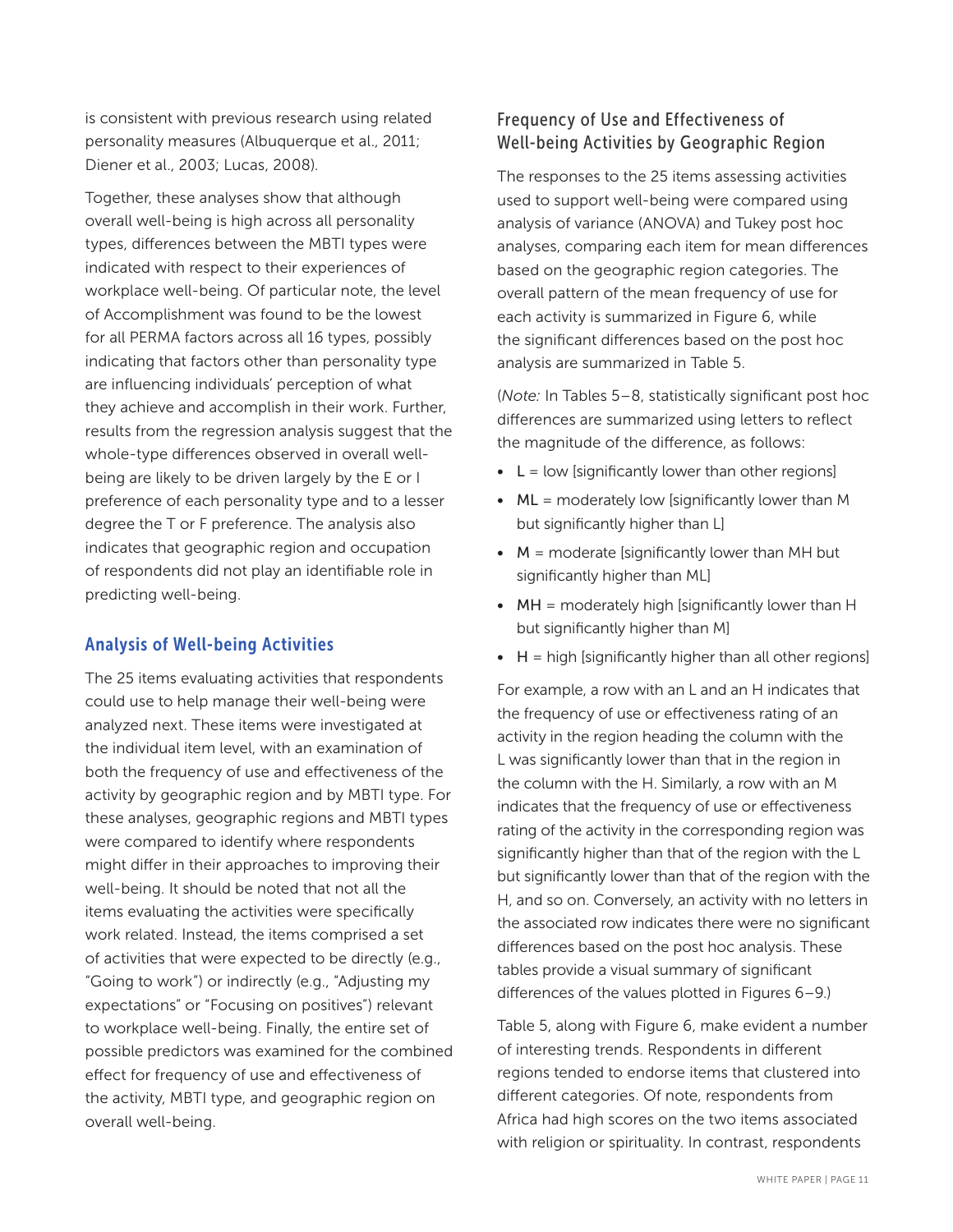is consistent with previous research using related personality measures (Albuquerque et al., 2011; Diener et al., 2003; Lucas, 2008).

Together, these analyses show that although overall well-being is high across all personality types, differences between the MBTI types were indicated with respect to their experiences of workplace well-being. Of particular note, the level of Accomplishment was found to be the lowest for all PERMA factors across all 16 types, possibly indicating that factors other than personality type are influencing individuals' perception of what they achieve and accomplish in their work. Further, results from the regression analysis suggest that the whole-type differences observed in overall wellbeing are likely to be driven largely by the E or I preference of each personality type and to a lesser degree the T or F preference. The analysis also indicates that geographic region and occupation of respondents did not play an identifiable role in predicting well-being.

### Analysis of Well-being Activities

The 25 items evaluating activities that respondents could use to help manage their well-being were analyzed next. These items were investigated at the individual item level, with an examination of both the frequency of use and effectiveness of the activity by geographic region and by MBTI type. For these analyses, geographic regions and MBTI types were compared to identify where respondents might differ in their approaches to improving their well-being. It should be noted that not all the items evaluating the activities were specifically work related. Instead, the items comprised a set of activities that were expected to be directly (e.g., "Going to work") or indirectly (e.g., "Adjusting my expectations" or "Focusing on positives") relevant to workplace well-being. Finally, the entire set of possible predictors was examined for the combined effect for frequency of use and effectiveness of the activity, MBTI type, and geographic region on overall well-being.

# Frequency of Use and Effectiveness of Well-being Activities by Geographic Region

The responses to the 25 items assessing activities used to support well-being were compared using analysis of variance (ANOVA) and Tukey post hoc analyses, comparing each item for mean differences based on the geographic region categories. The overall pattern of the mean frequency of use for each activity is summarized in Figure 6, while the significant differences based on the post hoc analysis are summarized in Table 5.

(*Note:* In Tables 5–8, statistically significant post hoc differences are summarized using letters to reflect the magnitude of the difference, as follows:

- $\bullet$  L = low [significantly lower than other regions]
- $\bullet$  ML = moderately low [significantly lower than M but significantly higher than L]
- $\bullet$   $M =$  moderate [significantly lower than MH but significantly higher than ML]
- MH = moderately high [significantly lower than H but significantly higher than M]
- $\bullet$  H = high [significantly higher than all other regions]

For example, a row with an L and an H indicates that the frequency of use or effectiveness rating of an activity in the region heading the column with the L was significantly lower than that in the region in the column with the H. Similarly, a row with an M indicates that the frequency of use or effectiveness rating of the activity in the corresponding region was significantly higher than that of the region with the L but significantly lower than that of the region with the H, and so on. Conversely, an activity with no letters in the associated row indicates there were no significant differences based on the post hoc analysis. These tables provide a visual summary of significant differences of the values plotted in Figures 6–9.)

Table 5, along with Figure 6, make evident a number of interesting trends. Respondents in different regions tended to endorse items that clustered into different categories. Of note, respondents from Africa had high scores on the two items associated with religion or spirituality. In contrast, respondents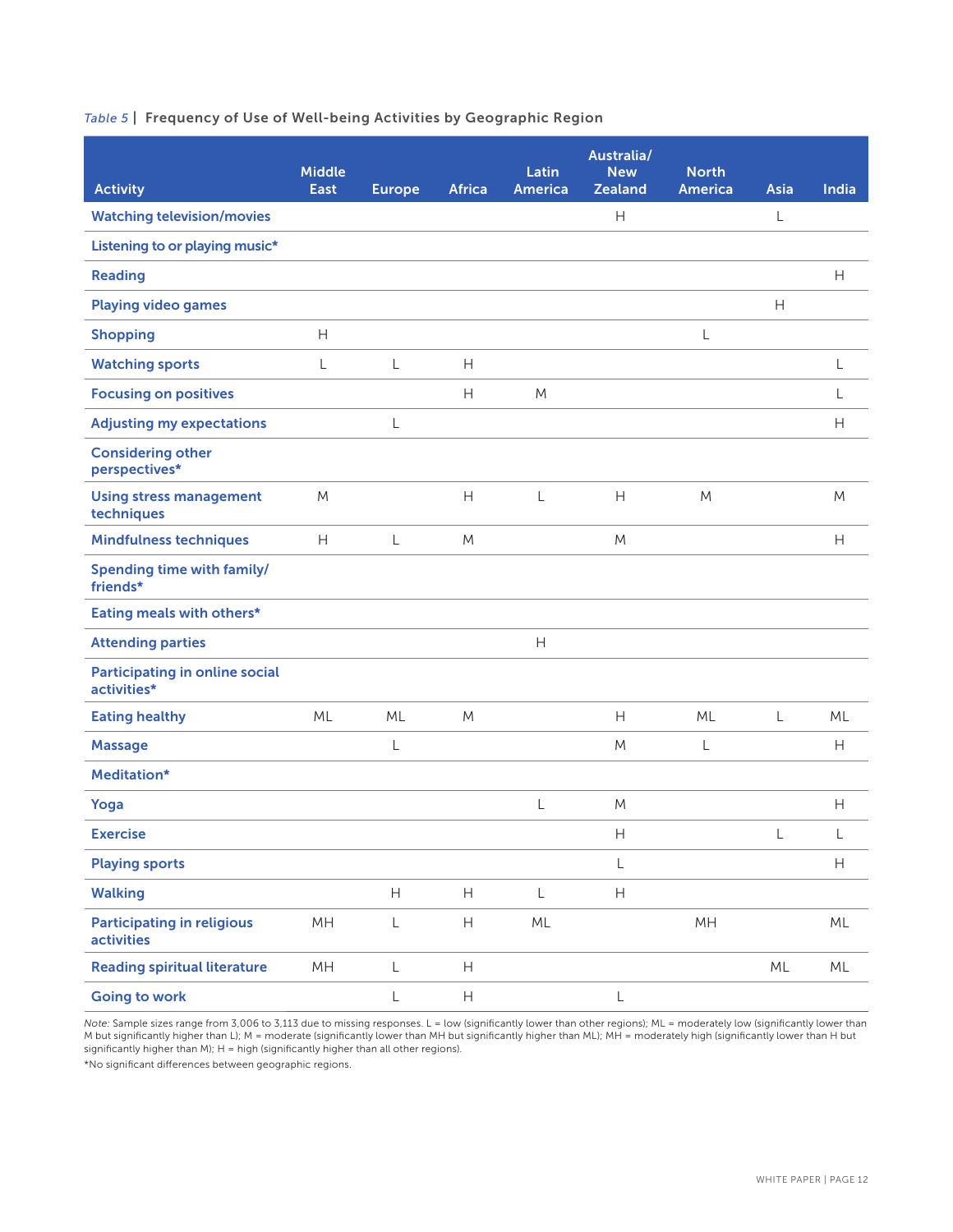### *Table 5* | Frequency of Use of Well-being Activities by Geographic Region

| <b>Activity</b>                                        | <b>Middle</b><br><b>East</b> | <b>Europe</b>                                               | <b>Africa</b>             | Latin<br><b>America</b>   | Australia/<br><b>New</b><br><b>Zealand</b>                  | <b>North</b><br><b>America</b> | Asia                      | India                     |
|--------------------------------------------------------|------------------------------|-------------------------------------------------------------|---------------------------|---------------------------|-------------------------------------------------------------|--------------------------------|---------------------------|---------------------------|
| <b>Watching television/movies</b>                      |                              |                                                             |                           |                           | $\overline{H}$                                              |                                | L                         |                           |
| Listening to or playing music*                         |                              |                                                             |                           |                           |                                                             |                                |                           |                           |
| <b>Reading</b>                                         |                              |                                                             |                           |                           |                                                             |                                |                           | Н                         |
| <b>Playing video games</b>                             |                              |                                                             |                           |                           |                                                             |                                | $\boldsymbol{\mathsf{H}}$ |                           |
| <b>Shopping</b>                                        | $\boldsymbol{\mathsf{H}}$    |                                                             |                           |                           |                                                             | L                              |                           |                           |
| <b>Watching sports</b>                                 | L                            | L                                                           | H                         |                           |                                                             |                                |                           | L                         |
| <b>Focusing on positives</b>                           |                              |                                                             | Н                         | M                         |                                                             |                                |                           |                           |
| <b>Adjusting my expectations</b>                       |                              | L                                                           |                           |                           |                                                             |                                |                           | H                         |
| <b>Considering other</b><br>perspectives*              |                              |                                                             |                           |                           |                                                             |                                |                           |                           |
| <b>Using stress management</b><br>techniques           | M                            |                                                             | H                         | L                         | H                                                           | M                              |                           | M                         |
| <b>Mindfulness techniques</b>                          | H                            | L                                                           | M                         |                           | M                                                           |                                |                           | H                         |
| Spending time with family/<br>friends*                 |                              |                                                             |                           |                           |                                                             |                                |                           |                           |
| Eating meals with others*                              |                              |                                                             |                           |                           |                                                             |                                |                           |                           |
| <b>Attending parties</b>                               |                              |                                                             |                           | $\boldsymbol{\mathsf{H}}$ |                                                             |                                |                           |                           |
| <b>Participating in online social</b><br>activities*   |                              |                                                             |                           |                           |                                                             |                                |                           |                           |
| <b>Eating healthy</b>                                  | ML                           | ML                                                          | M                         |                           | H                                                           | ML                             | L                         | ML                        |
| <b>Massage</b>                                         |                              | L                                                           |                           |                           | M                                                           | L                              |                           | Н                         |
| Meditation*                                            |                              |                                                             |                           |                           |                                                             |                                |                           |                           |
| Yoga                                                   |                              |                                                             |                           | L                         | M                                                           |                                |                           | Н                         |
| <b>Exercise</b>                                        |                              |                                                             |                           |                           | $\boldsymbol{\mathsf{H}}$                                   |                                | L                         | L                         |
| <b>Playing sports</b>                                  |                              |                                                             |                           |                           | L                                                           |                                |                           | $\boldsymbol{\mathsf{H}}$ |
| <b>Walking</b>                                         |                              | $\mathsf{H}% _{\mathbb{R}}^{1}\left( \mathbb{R}^{2}\right)$ | $\boldsymbol{\mathsf{H}}$ | $\mathsf L$               | $\mathsf{H}% _{\mathbb{R}}^{1}\left( \mathbb{R}^{2}\right)$ |                                |                           |                           |
| <b>Participating in religious</b><br><b>activities</b> | MH                           | L                                                           | H                         | ML                        |                                                             | MH                             |                           | $ML$                      |
| <b>Reading spiritual literature</b>                    | MH                           | $\mathsf L$                                                 | $\boldsymbol{\mathsf{H}}$ |                           |                                                             |                                | $ML$                      | $\mathsf{ML}$             |
| <b>Going to work</b>                                   |                              | L                                                           | $\boldsymbol{\mathsf{H}}$ |                           | L                                                           |                                |                           |                           |

*Note:* Sample sizes range from 3,006 to 3,113 due to missing responses. L = low (significantly lower than other regions); ML = moderately low (significantly lower than M but significantly higher than L); M = moderate (significantly lower than MH but significantly higher than ML); MH = moderately high (significantly lower than H but significantly higher than M); H = high (significantly higher than all other regions).

\*No significant differences between geographic regions.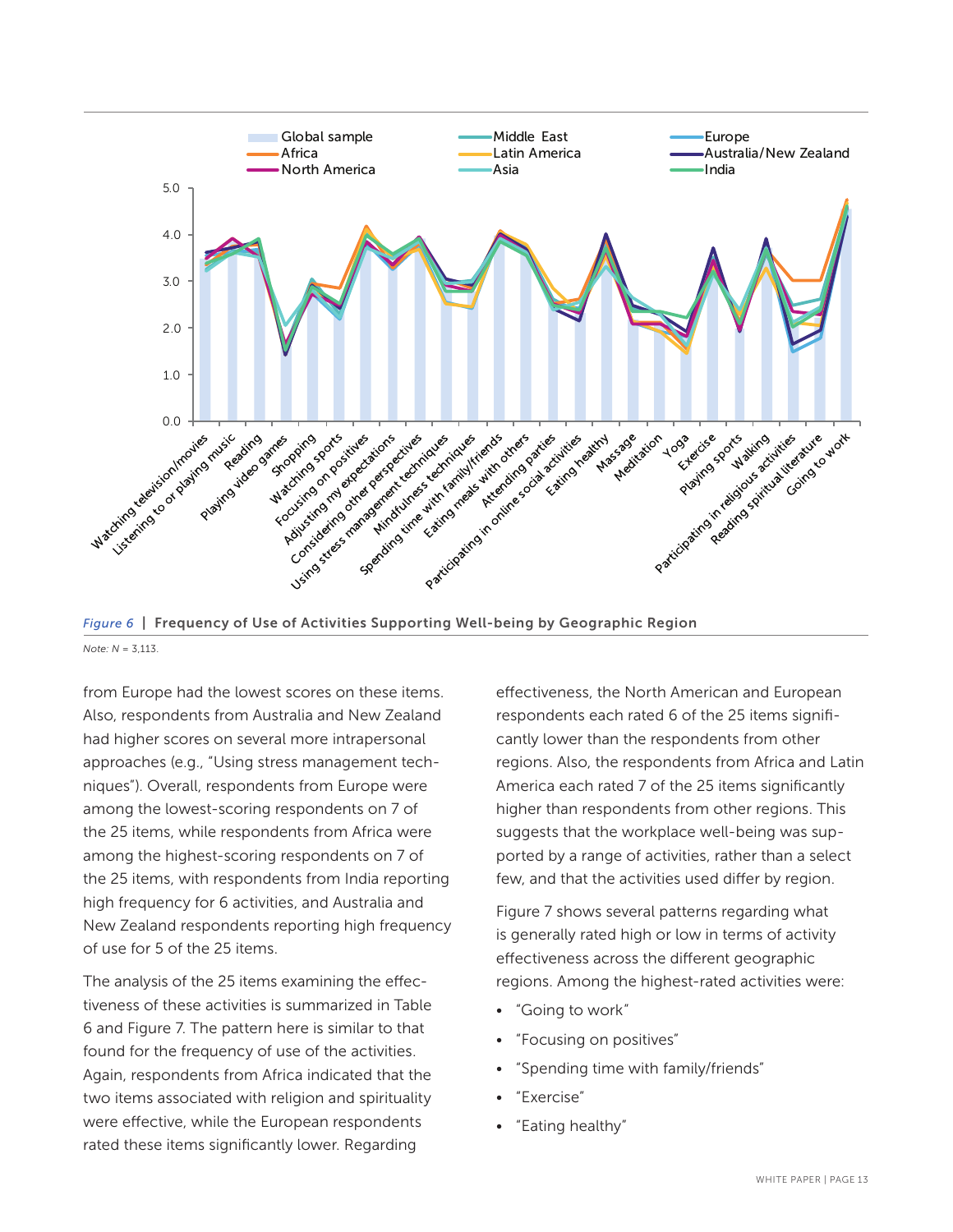

*Figure 6* | Frequency of Use of Activities Supporting Well-being by Geographic Region *Note: N* = 3,113.

from Europe had the lowest scores on these items. Also, respondents from Australia and New Zealand had higher scores on several more intrapersonal approaches (e.g., "Using stress management techniques"). Overall, respondents from Europe were among the lowest-scoring respondents on 7 of the 25 items, while respondents from Africa were among the highest-scoring respondents on 7 of the 25 items, with respondents from India reporting high frequency for 6 activities, and Australia and New Zealand respondents reporting high frequency of use for 5 of the 25 items.

The analysis of the 25 items examining the effectiveness of these activities is summarized in Table 6 and Figure 7. The pattern here is similar to that found for the frequency of use of the activities. Again, respondents from Africa indicated that the two items associated with religion and spirituality were effective, while the European respondents rated these items significantly lower. Regarding

effectiveness, the North American and European respondents each rated 6 of the 25 items significantly lower than the respondents from other regions. Also, the respondents from Africa and Latin America each rated 7 of the 25 items significantly higher than respondents from other regions. This suggests that the workplace well-being was supported by a range of activities, rather than a select few, and that the activities used differ by region.

Figure 7 shows several patterns regarding what is generally rated high or low in terms of activity effectiveness across the different geographic regions. Among the highest-rated activities were:

- "Going to work"
- "Focusing on positives"
- "Spending time with family/friends"
- "Exercise"
- "Eating healthy"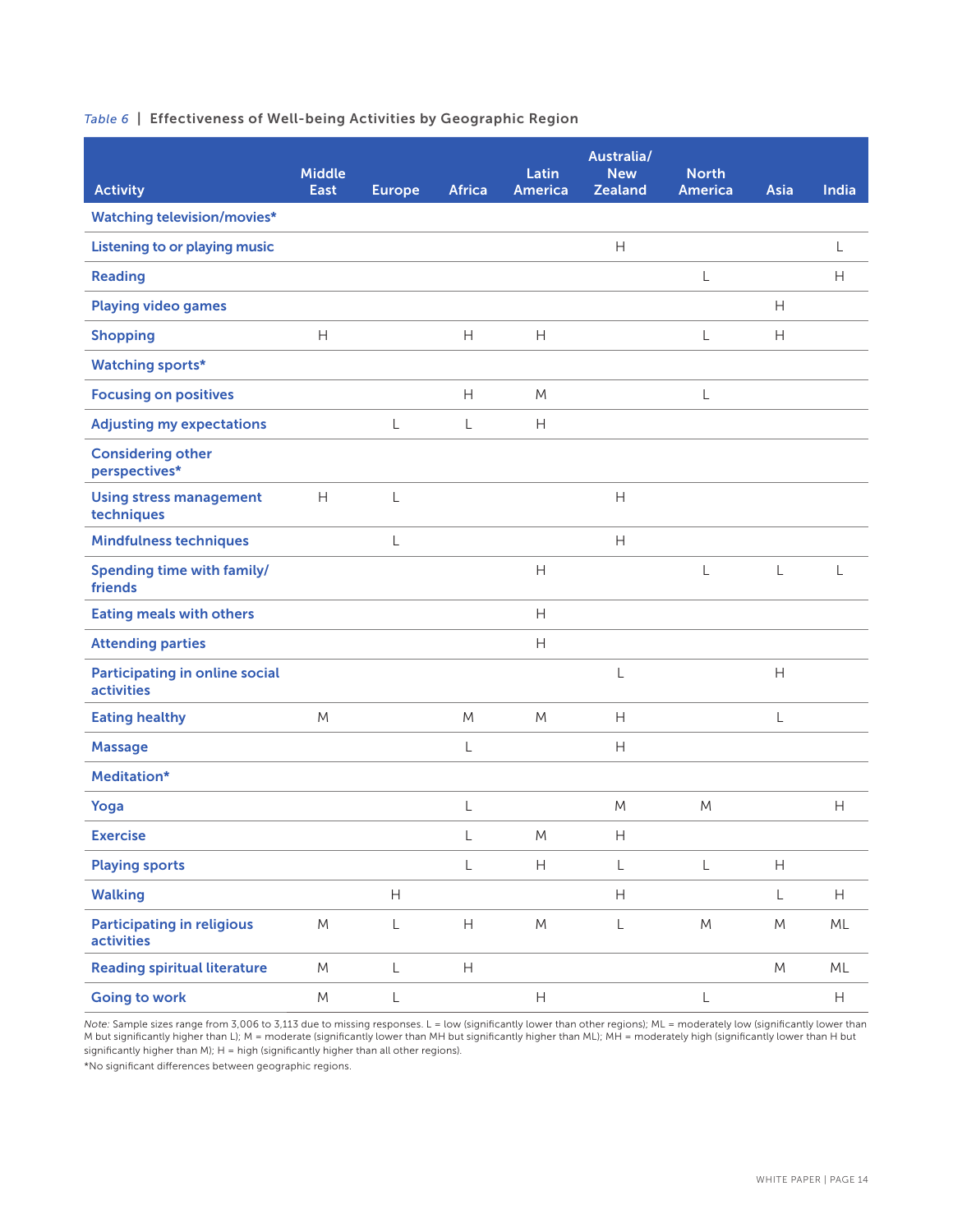#### *Table 6* | Effectiveness of Well-being Activities by Geographic Region

|                                                        | <b>Middle</b> |                                                             |                           | Latin          | Australia/<br><b>New</b> | <b>North</b>   |              |                           |
|--------------------------------------------------------|---------------|-------------------------------------------------------------|---------------------------|----------------|--------------------------|----------------|--------------|---------------------------|
| <b>Activity</b><br><b>Watching television/movies*</b>  | East          | <b>Europe</b>                                               | <b>Africa</b>             | <b>America</b> | <b>Zealand</b>           | <b>America</b> | Asia         | India                     |
|                                                        |               |                                                             |                           |                | $\mathsf{H}$             |                |              |                           |
| <b>Listening to or playing music</b>                   |               |                                                             |                           |                |                          |                |              | L                         |
| <b>Reading</b>                                         |               |                                                             |                           |                |                          | L              |              | $\mathsf{H}$              |
| <b>Playing video games</b>                             |               |                                                             |                           |                |                          |                | Н            |                           |
| <b>Shopping</b>                                        | H             |                                                             | Н                         | H              |                          | L              | Н            |                           |
| <b>Watching sports*</b>                                |               |                                                             |                           |                |                          |                |              |                           |
| <b>Focusing on positives</b>                           |               |                                                             | $\overline{H}$            | M              |                          | L              |              |                           |
| <b>Adjusting my expectations</b>                       |               | L                                                           | $\mathsf{L}$              | H              |                          |                |              |                           |
| <b>Considering other</b><br>perspectives*              |               |                                                             |                           |                |                          |                |              |                           |
| <b>Using stress management</b><br>techniques           | H             | L                                                           |                           |                | $\mathsf{H}$             |                |              |                           |
| <b>Mindfulness techniques</b>                          |               | L                                                           |                           |                | H                        |                |              |                           |
| Spending time with family/<br>friends                  |               |                                                             |                           | H              |                          | L              | L            | L                         |
| <b>Eating meals with others</b>                        |               |                                                             |                           | H              |                          |                |              |                           |
| <b>Attending parties</b>                               |               |                                                             |                           | Н              |                          |                |              |                           |
| Participating in online social<br><b>activities</b>    |               |                                                             |                           |                | L                        |                | $\mathsf{H}$ |                           |
| <b>Eating healthy</b>                                  | M             |                                                             | M                         | M              | Н                        |                | L            |                           |
| <b>Massage</b>                                         |               |                                                             | L                         |                | Н                        |                |              |                           |
| Meditation*                                            |               |                                                             |                           |                |                          |                |              |                           |
| Yoga                                                   |               |                                                             | L                         |                | M                        | M              |              | H                         |
| <b>Exercise</b>                                        |               |                                                             | L                         | M              | $\mathsf{H}%$            |                |              |                           |
| <b>Playing sports</b>                                  |               |                                                             | $\mathsf L$               | H              | $\mathsf L$              | L              | H            |                           |
| <b>Walking</b>                                         |               | $\mathsf{H}% _{\mathbb{R}}^{1}\left( \mathbb{R}^{2}\right)$ |                           |                | H                        |                | L            | $\boldsymbol{\mathsf{H}}$ |
| <b>Participating in religious</b><br><b>activities</b> | M             | $\mathsf L$                                                 | $\boldsymbol{\mathsf{H}}$ | M              | L                        | M              | M            | ML                        |
| <b>Reading spiritual literature</b>                    | M             | L                                                           | H                         |                |                          |                | M            | ML                        |
| <b>Going to work</b>                                   | M             | L                                                           |                           | H              |                          | L              |              | $\boldsymbol{\mathsf{H}}$ |

*Note:* Sample sizes range from 3,006 to 3,113 due to missing responses. L = low (significantly lower than other regions); ML = moderately low (significantly lower than M but significantly higher than L); M = moderate (significantly lower than MH but significantly higher than ML); MH = moderately high (significantly lower than H but significantly higher than M);  $H = h$ igh (significantly higher than all other regions).

\*No significant differences between geographic regions.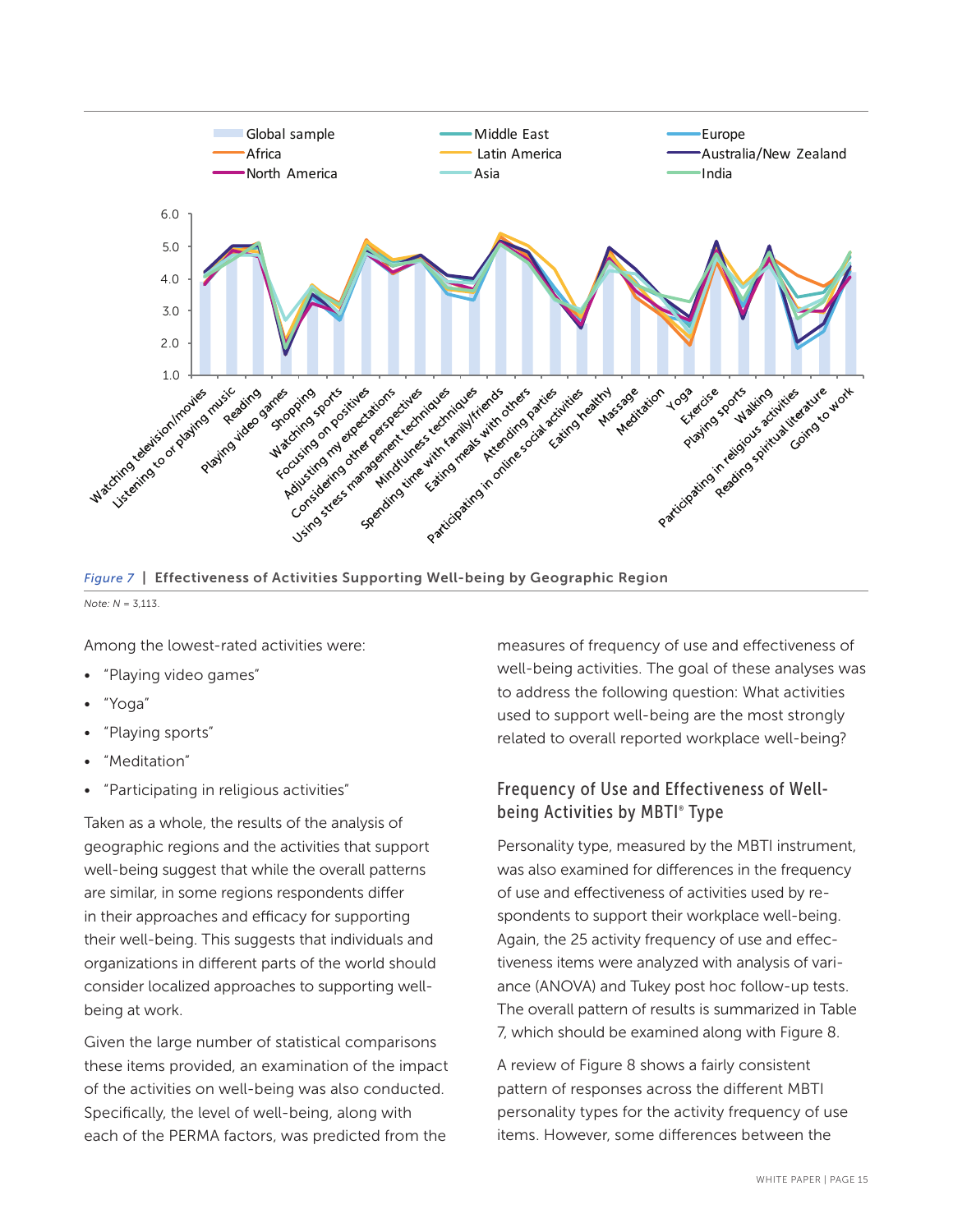

*Figure 7* | Effectiveness of Activities Supporting Well-being by Geographic Region

*Note: N* = 3,113.

Among the lowest-rated activities were:

- "Playing video games"
- "Yoga"
- "Playing sports"
- "Meditation"
- "Participating in religious activities"

Taken as a whole, the results of the analysis of geographic regions and the activities that support well-being suggest that while the overall patterns are similar, in some regions respondents differ in their approaches and efficacy for supporting their well-being. This suggests that individuals and organizations in different parts of the world should consider localized approaches to supporting wellbeing at work.

Given the large number of statistical comparisons these items provided, an examination of the impact of the activities on well-being was also conducted. Specifically, the level of well-being, along with each of the PERMA factors, was predicted from the

measures of frequency of use and effectiveness of well-being activities. The goal of these analyses was to address the following question: What activities used to support well-being are the most strongly related to overall reported workplace well-being?

# Frequency of Use and Effectiveness of Wellbeing Activities by MBTI® Type

Personality type, measured by the MBTI instrument, was also examined for differences in the frequency of use and effectiveness of activities used by respondents to support their workplace well-being. Again, the 25 activity frequency of use and effectiveness items were analyzed with analysis of variance (ANOVA) and Tukey post hoc follow-up tests. The overall pattern of results is summarized in Table 7, which should be examined along with Figure 8.

A review of Figure 8 shows a fairly consistent pattern of responses across the different MBTI personality types for the activity frequency of use items. However, some differences between the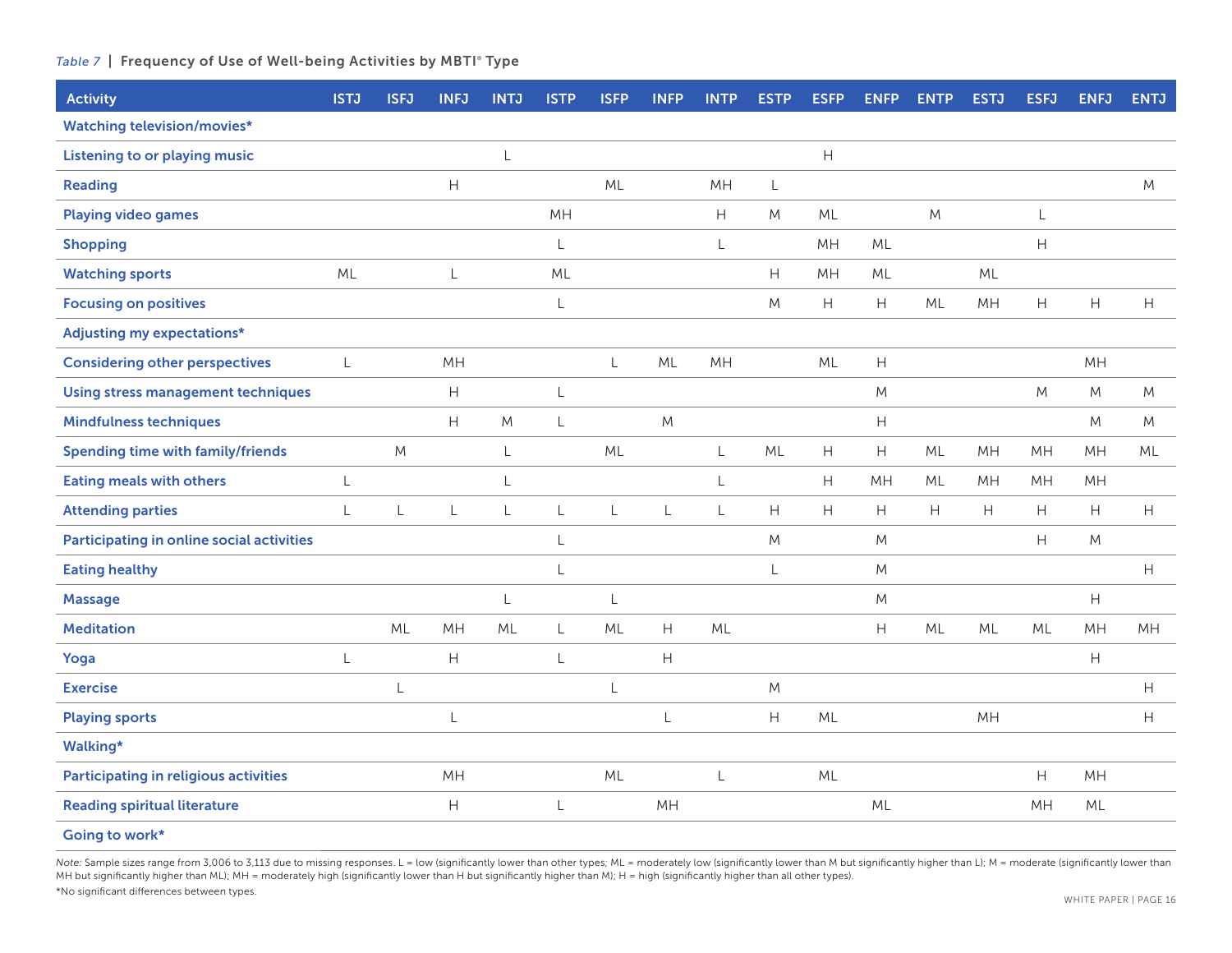#### *Table 7* | Frequency of Use of Well-being Activities by MBTI® Type

| <b>Activity</b>                              | <b>ISTJ</b>  | <b>ISFJ</b> | <b>INFJ</b>               | <b>INTJ</b> | <b>ISTP</b>  | <b>ISFP</b> | <b>INFP</b>               | <b>INTP</b> | <b>ESTP</b>    | <b>ESFP</b>                                                 | <b>ENFP</b>               | <b>ENTP</b>                                                 | <b>ESTJ</b> | <b>ESFJ</b> | <b>ENFJ</b> | <b>ENTJ</b>               |
|----------------------------------------------|--------------|-------------|---------------------------|-------------|--------------|-------------|---------------------------|-------------|----------------|-------------------------------------------------------------|---------------------------|-------------------------------------------------------------|-------------|-------------|-------------|---------------------------|
| <b>Watching television/movies*</b>           |              |             |                           |             |              |             |                           |             |                |                                                             |                           |                                                             |             |             |             |                           |
| <b>Listening to or playing music</b>         |              |             |                           | L           |              |             |                           |             |                | $\boldsymbol{\mathsf{H}}$                                   |                           |                                                             |             |             |             |                           |
| <b>Reading</b>                               |              |             | Н                         |             |              | <b>ML</b>   |                           | MH          | L              |                                                             |                           |                                                             |             |             |             | M                         |
| <b>Playing video games</b>                   |              |             |                           |             | MH           |             |                           | H           | ${\sf M}$      | ML                                                          |                           | M                                                           |             | L           |             |                           |
| <b>Shopping</b>                              |              |             |                           |             | L            |             |                           | $\mathsf L$ |                | MH                                                          | ML                        |                                                             |             | H           |             |                           |
| <b>Watching sports</b>                       | ML           |             | $\mathsf L$               |             | ML           |             |                           |             | H              | MH                                                          | ML                        |                                                             | ML          |             |             |                           |
| <b>Focusing on positives</b>                 |              |             |                           |             | $\mathsf{L}$ |             |                           |             | M              | $\boldsymbol{\mathsf{H}}$                                   | H                         | ML                                                          | MH          | H           | $\mathsf H$ | $\boldsymbol{\mathsf{H}}$ |
| <b>Adjusting my expectations*</b>            |              |             |                           |             |              |             |                           |             |                |                                                             |                           |                                                             |             |             |             |                           |
| <b>Considering other perspectives</b>        | L            |             | MH                        |             |              | L           | ML                        | MH          |                | ML                                                          | $\boldsymbol{\mathsf{H}}$ |                                                             |             |             | MH          |                           |
| <b>Using stress management techniques</b>    |              |             | $\boldsymbol{\mathsf{H}}$ |             | L            |             |                           |             |                |                                                             | M                         |                                                             |             | ${\sf M}$   | M           | M                         |
| <b>Mindfulness techniques</b>                |              |             | H                         | M           | $\mathsf{L}$ |             | M                         |             |                |                                                             | H                         |                                                             |             |             | M           | M                         |
| <b>Spending time with family/friends</b>     |              | M           |                           | L           |              | ML          |                           | L           | ML             | $\boldsymbol{\mathsf{H}}$                                   | H                         | ML                                                          | MH          | MH          | MH          | ML                        |
| <b>Eating meals with others</b>              | L            |             |                           | L           |              |             |                           | L           |                | $\boldsymbol{\mathsf{H}}$                                   | MH                        | ML                                                          | MH          | MH          | MH          |                           |
| <b>Attending parties</b>                     | $\mathsf{L}$ | L           | $\lfloor$                 | L           | $\mathsf{L}$ | L           | L                         | L           | $\overline{H}$ | $\mathsf{H}% _{\mathbb{R}}^{1}\left( \mathbb{R}^{2}\right)$ | H                         | $\mathsf{H}% _{\mathbb{R}}^{1}\left( \mathbb{R}^{2}\right)$ | H           | H           | H           | H                         |
| Participating in online social activities    |              |             |                           |             | L            |             |                           |             | ${\sf M}$      |                                                             | M                         |                                                             |             | H           | M           |                           |
| <b>Eating healthy</b>                        |              |             |                           |             |              |             |                           |             | L              |                                                             | M                         |                                                             |             |             |             | $\boldsymbol{\mathsf{H}}$ |
| <b>Massage</b>                               |              |             |                           | L           |              | L           |                           |             |                |                                                             | ${\sf M}$                 |                                                             |             |             | Н           |                           |
| <b>Meditation</b>                            |              | ML          | MH                        | ML          | L            | ML          | $\mathsf H$               | ML          |                |                                                             | $\boldsymbol{\mathsf{H}}$ | ML                                                          | ML          | ML          | MH          | MH                        |
| Yoga                                         | L            |             | $\mathsf H$               |             | $\mathsf L$  |             | $\boldsymbol{\mathsf{H}}$ |             |                |                                                             |                           |                                                             |             |             | Н           |                           |
| <b>Exercise</b>                              |              | L           |                           |             |              | L           |                           |             | M              |                                                             |                           |                                                             |             |             |             | H                         |
| <b>Playing sports</b>                        |              |             | L                         |             |              |             | L                         |             | H              | ML                                                          |                           |                                                             | MH          |             |             | H                         |
| Walking*                                     |              |             |                           |             |              |             |                           |             |                |                                                             |                           |                                                             |             |             |             |                           |
| <b>Participating in religious activities</b> |              |             | MH                        |             |              | ML          |                           | L           |                | ML                                                          |                           |                                                             |             | H           | MH          |                           |
| <b>Reading spiritual literature</b>          |              |             | $\mathsf H$               |             | L            |             | MH                        |             |                |                                                             | ML                        |                                                             |             | MH          | ML          |                           |
| Going to work*                               |              |             |                           |             |              |             |                           |             |                |                                                             |                           |                                                             |             |             |             |                           |

Note: Sample sizes range from 3,006 to 3,113 due to missing responses. L = low (significantly lower than other types; ML = moderately low (significantly lower than M but significantly higher than L); M = moderate (signific MH but significantly higher than ML); MH = moderately high (significantly lower than H but significantly higher than M); H = high (significantly higher than all other types). \*No significant differences between types.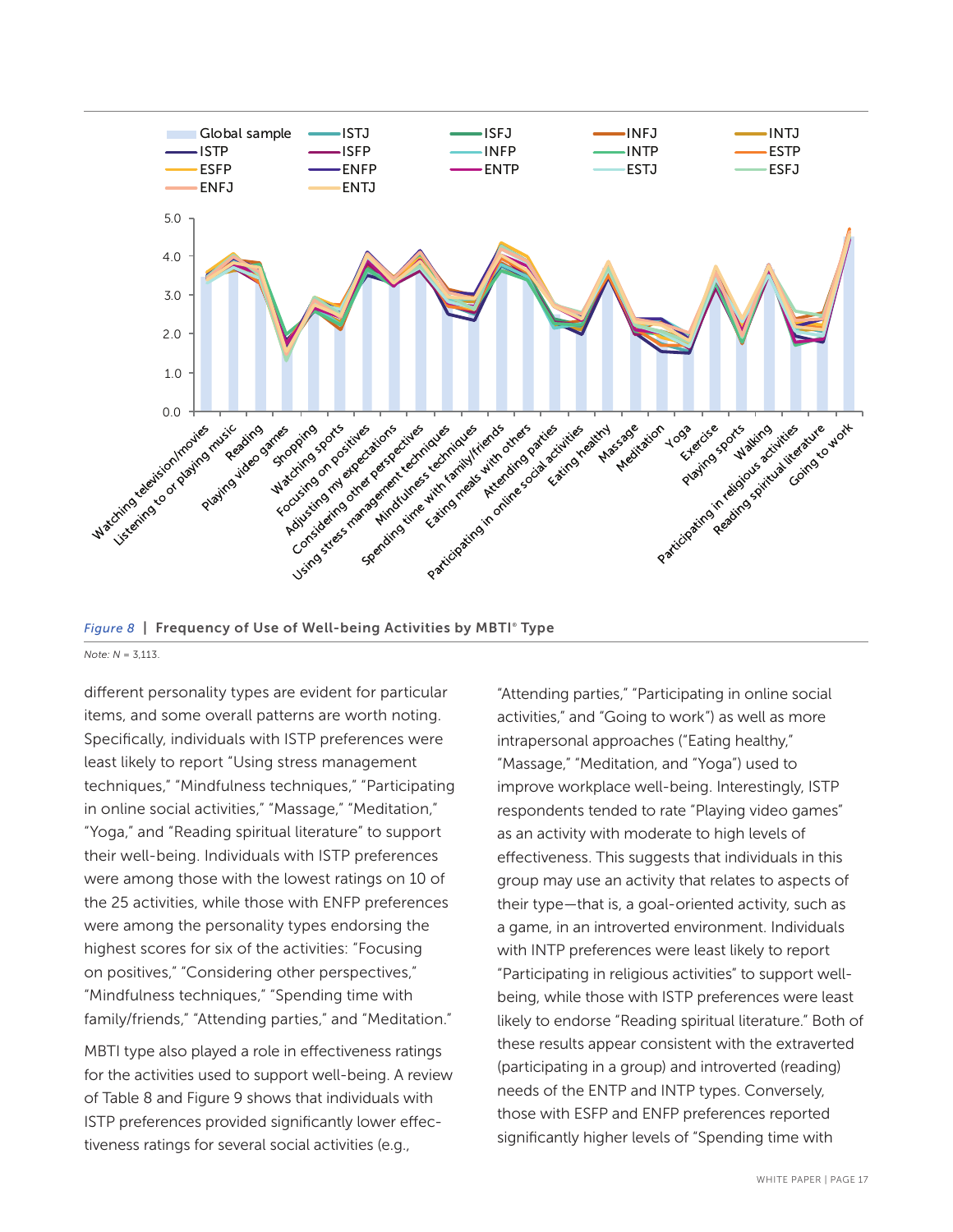

Figure 8 T Frequency of Use of Well-being Activities by MBTI® Type *Note: N* = 3,113.

different personality types are evident for particular items, and some overall patterns are worth noting. Specifically, individuals with ISTP preferences were least likely to report "Using stress management techniques," "Mindfulness techniques," "Participating in online social activities," "Massage," "Meditation," "Yoga," and "Reading spiritual literature" to support their well-being. Individuals with ISTP preferences were among those with the lowest ratings on 10 of the 25 activities, while those with ENFP preferences were among the personality types endorsing the highest scores for six of the activities: "Focusing on positives," "Considering other perspectives," "Mindfulness techniques," "Spending time with family/friends," "Attending parties," and "Meditation."

MBTI type also played a role in effectiveness ratings for the activities used to support well-being. A review of Table 8 and Figure 9 shows that individuals with ISTP preferences provided significantly lower effectiveness ratings for several social activities (e.g.,

"Attending parties," "Participating in online social activities," and "Going to work") as well as more intrapersonal approaches ("Eating healthy," "Massage," "Meditation, and "Yoga") used to improve workplace well-being. Interestingly, ISTP respondents tended to rate "Playing video games" as an activity with moderate to high levels of effectiveness. This suggests that individuals in this group may use an activity that relates to aspects of their type—that is, a goal-oriented activity, such as a game, in an introverted environment. Individuals with INTP preferences were least likely to report "Participating in religious activities" to support wellbeing, while those with ISTP preferences were least likely to endorse "Reading spiritual literature." Both of these results appear consistent with the extraverted (participating in a group) and introverted (reading) needs of the ENTP and INTP types. Conversely, those with ESFP and ENFP preferences reported significantly higher levels of "Spending time with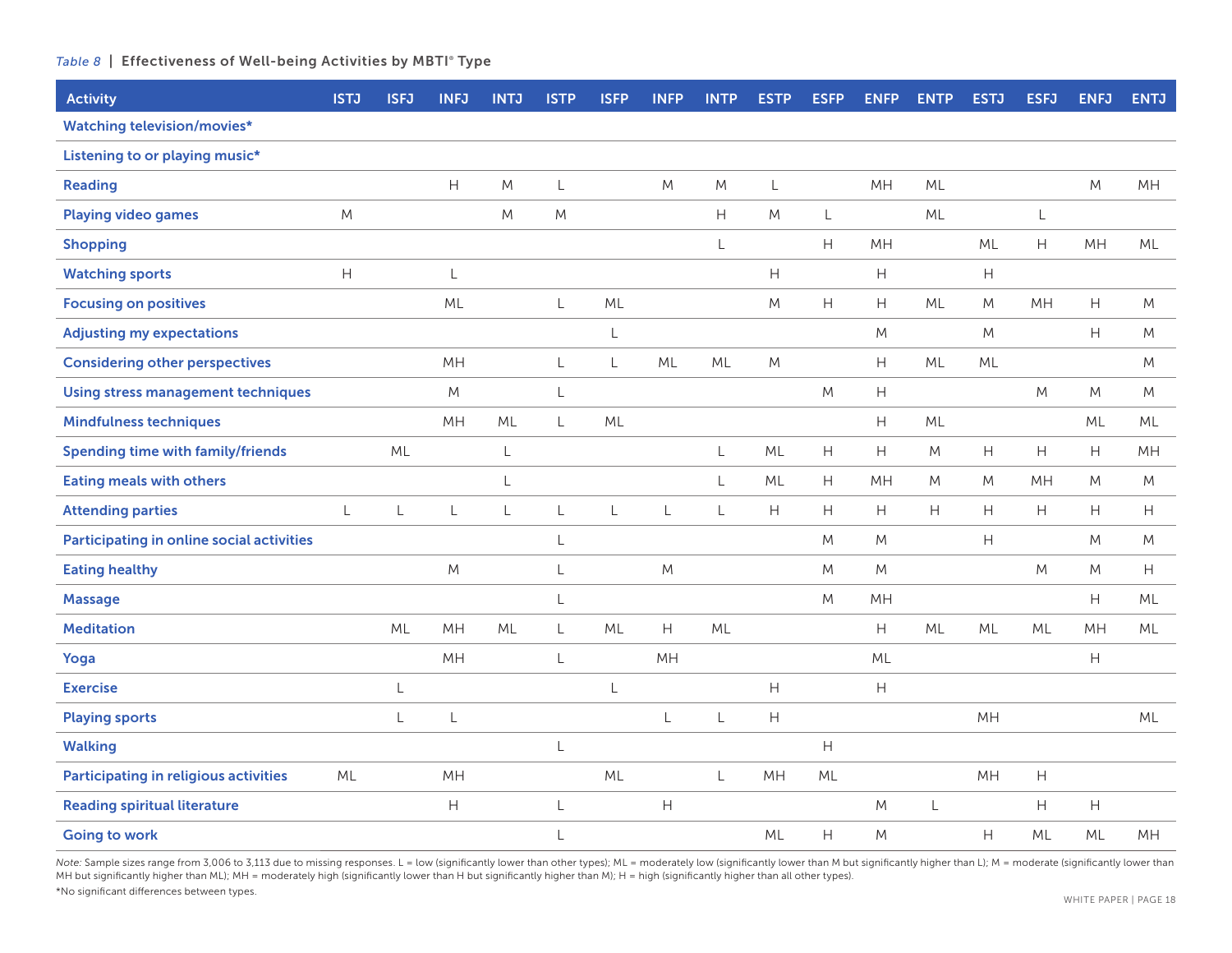#### Table 8 | Effectiveness of Well-being Activities by MBTI<sup>®</sup> Type

| <b>Activity</b>                              | <b>ISTJ</b>               | <b>ISFJ</b> | <b>INFJ</b>               | <b>INTJ</b> | <b>ISTP</b>  | <b>ISFP</b>  | <b>INFP</b>                                                 | <b>INTP</b>               | <b>ESTP</b>                                                 | <b>ESFP</b>                                                      | <b>ENFP</b>                                                 | <b>ENTP</b>                                                      | <b>ESTJ</b>                                                 | <b>ESFJ</b>                                                 | <b>ENFJ</b>               | <b>ENTJ</b>               |
|----------------------------------------------|---------------------------|-------------|---------------------------|-------------|--------------|--------------|-------------------------------------------------------------|---------------------------|-------------------------------------------------------------|------------------------------------------------------------------|-------------------------------------------------------------|------------------------------------------------------------------|-------------------------------------------------------------|-------------------------------------------------------------|---------------------------|---------------------------|
| <b>Watching television/movies*</b>           |                           |             |                           |             |              |              |                                                             |                           |                                                             |                                                                  |                                                             |                                                                  |                                                             |                                                             |                           |                           |
| Listening to or playing music*               |                           |             |                           |             |              |              |                                                             |                           |                                                             |                                                                  |                                                             |                                                                  |                                                             |                                                             |                           |                           |
| <b>Reading</b>                               |                           |             | $\boldsymbol{\mathsf{H}}$ | M           | L            |              | M                                                           | M                         | L                                                           |                                                                  | MH                                                          | ML                                                               |                                                             |                                                             | M                         | MH                        |
| <b>Playing video games</b>                   | M                         |             |                           | M           | M            |              |                                                             | $\boldsymbol{\mathsf{H}}$ | ${\sf M}$                                                   | L                                                                |                                                             | ML                                                               |                                                             | L                                                           |                           |                           |
| <b>Shopping</b>                              |                           |             |                           |             |              |              |                                                             | L                         |                                                             | $\mathsf{H}% _{\mathbb{R}}^{1}\times\mathsf{H}_{\mathbb{R}}^{2}$ | MH                                                          |                                                                  | ML                                                          | H                                                           | MH                        | ML                        |
| <b>Watching sports</b>                       | $\boldsymbol{\mathsf{H}}$ |             | L                         |             |              |              |                                                             |                           | $\mathsf{H}%$                                               |                                                                  | Н                                                           |                                                                  | $\boldsymbol{\mathsf{H}}$                                   |                                                             |                           |                           |
| <b>Focusing on positives</b>                 |                           |             | ML                        |             | $\mathsf{L}$ | ML           |                                                             |                           | M                                                           | $\boldsymbol{\mathsf{H}}$                                        | H                                                           | ML                                                               | ${\sf M}$                                                   | MH                                                          | Н                         | M                         |
| <b>Adjusting my expectations</b>             |                           |             |                           |             |              | $\mathsf L$  |                                                             |                           |                                                             |                                                                  | M                                                           |                                                                  | ${\sf M}$                                                   |                                                             | H                         | M                         |
| <b>Considering other perspectives</b>        |                           |             | MH                        |             | L            | L            | ML                                                          | ML                        | M                                                           |                                                                  | H                                                           | ML                                                               | ML                                                          |                                                             |                           | M                         |
| <b>Using stress management techniques</b>    |                           |             | M                         |             | $\mathsf{L}$ |              |                                                             |                           |                                                             | ${\sf M}$                                                        | $\boldsymbol{\mathsf{H}}$                                   |                                                                  |                                                             | M                                                           | M                         | M                         |
| <b>Mindfulness techniques</b>                |                           |             | MH                        | ML          | L            | ML           |                                                             |                           |                                                             |                                                                  | $\mathsf{H}% _{\mathbb{R}}^{1}\left( \mathbb{R}^{2}\right)$ | ML                                                               |                                                             |                                                             | ML                        | ML                        |
| <b>Spending time with family/friends</b>     |                           | ML          |                           | $\mathsf L$ |              |              |                                                             | L                         | ML                                                          | $\mathsf{H}%$                                                    | $\boldsymbol{\mathsf{H}}$                                   | M                                                                | $\boldsymbol{\mathsf{H}}$                                   | $\mathsf{H}% _{\mathbb{R}}^{1}\left( \mathbb{R}^{2}\right)$ | H                         | MH                        |
| <b>Eating meals with others</b>              |                           |             |                           | L           |              |              |                                                             | $\mathsf L$               | ML                                                          | $\boldsymbol{\mathsf{H}}$                                        | MH                                                          | M                                                                | M                                                           | MH                                                          | M                         | M                         |
| <b>Attending parties</b>                     | L                         | L           | $\mathsf L$               | $\mathsf L$ | $\mathsf{L}$ | $\mathsf{L}$ | L                                                           | $\mathsf{L}$              | $\overline{H}$                                              | H                                                                | H                                                           | $\mathsf{H}% _{\mathbb{R}}^{1}\times\mathsf{H}_{\mathbb{R}}^{2}$ | H                                                           | H                                                           | H                         | H                         |
| Participating in online social activities    |                           |             |                           |             | L            |              |                                                             |                           |                                                             | $M_{\odot}$                                                      | M                                                           |                                                                  | $\mathsf{H}% _{\mathbb{R}}^{1}\left( \mathbb{R}^{2}\right)$ |                                                             | M                         | M                         |
| <b>Eating healthy</b>                        |                           |             | ${\sf M}$                 |             | $\lfloor$    |              | M                                                           |                           |                                                             | $M_{\odot}$                                                      | ${\sf M}$                                                   |                                                                  |                                                             | M                                                           | M                         | $\boldsymbol{\mathsf{H}}$ |
| <b>Massage</b>                               |                           |             |                           |             | $\lfloor$    |              |                                                             |                           |                                                             | $M_{\odot}$                                                      | MH                                                          |                                                                  |                                                             |                                                             | Н                         | ML                        |
| <b>Meditation</b>                            |                           | ML          | MH                        | ML          | $\mathsf L$  | ML           | H                                                           | ML                        |                                                             |                                                                  | $\mathsf H$                                                 | ML                                                               | ML                                                          | ML                                                          | MH                        | ML                        |
| Yoga                                         |                           |             | MH                        |             | $\mathsf{L}$ |              | MH                                                          |                           |                                                             |                                                                  | ML                                                          |                                                                  |                                                             |                                                             | Н                         |                           |
| <b>Exercise</b>                              |                           | L           |                           |             |              | $\mathsf{L}$ |                                                             |                           | $\boldsymbol{\mathsf{H}}$                                   |                                                                  | $\boldsymbol{\mathsf{H}}$                                   |                                                                  |                                                             |                                                             |                           |                           |
| <b>Playing sports</b>                        |                           | L           | L                         |             |              |              | L                                                           | $\lfloor$                 | $\mathsf{H}% _{\mathbb{R}}^{1}\left( \mathbb{R}^{2}\right)$ |                                                                  |                                                             |                                                                  | MH                                                          |                                                             |                           | ML                        |
| <b>Walking</b>                               |                           |             |                           |             | $\lfloor$    |              |                                                             |                           |                                                             | H                                                                |                                                             |                                                                  |                                                             |                                                             |                           |                           |
| <b>Participating in religious activities</b> | ML                        |             | MH                        |             |              | ML           |                                                             | $\mathsf L$               | MH                                                          | ML                                                               |                                                             |                                                                  | MH                                                          | $\boldsymbol{\mathsf{H}}$                                   |                           |                           |
| <b>Reading spiritual literature</b>          |                           |             | H                         |             | $\mathsf L$  |              | $\mathsf{H}% _{\mathbb{R}}^{1}\left( \mathbb{R}^{2}\right)$ |                           |                                                             |                                                                  | M                                                           | L                                                                |                                                             | $\boldsymbol{\mathsf{H}}$                                   | $\boldsymbol{\mathsf{H}}$ |                           |
| <b>Going to work</b>                         |                           |             |                           |             | $\lfloor$    |              |                                                             |                           | ML                                                          | H                                                                | M                                                           |                                                                  | $\mathsf{H}%$                                               | ML                                                          | ML                        | MH                        |

Note: Sample sizes range from 3,006 to 3,113 due to missing responses. L = low (significantly lower than other types); ML = moderately low (significantly lower than M but significantly higher than L); M = moderate (signifi MH but significantly higher than ML); MH = moderately high (significantly lower than H but significantly higher than M); H = high (significantly higher than all other types). \*No significant differences between types.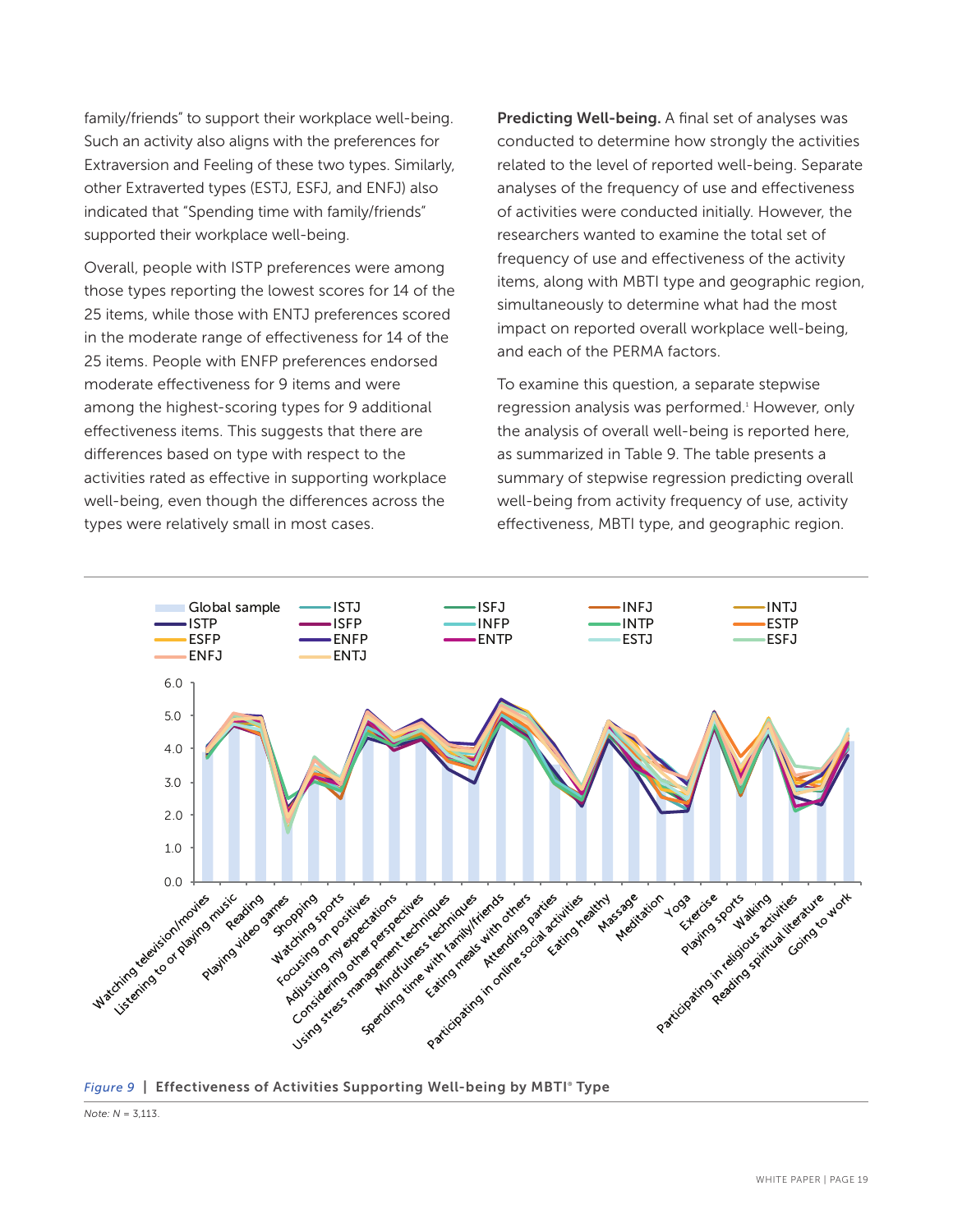family/friends" to support their workplace well-being. Such an activity also aligns with the preferences for Extraversion and Feeling of these two types. Similarly, other Extraverted types (ESTJ, ESFJ, and ENFJ) also indicated that "Spending time with family/friends" supported their workplace well-being.

Overall, people with ISTP preferences were among those types reporting the lowest scores for 14 of the 25 items, while those with ENTJ preferences scored in the moderate range of effectiveness for 14 of the 25 items. People with ENFP preferences endorsed moderate effectiveness for 9 items and were among the highest-scoring types for 9 additional effectiveness items. This suggests that there are differences based on type with respect to the activities rated as effective in supporting workplace well-being, even though the differences across the types were relatively small in most cases.

Predicting Well-being. A final set of analyses was conducted to determine how strongly the activities related to the level of reported well-being. Separate analyses of the frequency of use and effectiveness of activities were conducted initially. However, the researchers wanted to examine the total set of frequency of use and effectiveness of the activity items, along with MBTI type and geographic region, simultaneously to determine what had the most impact on reported overall workplace well-being, and each of the PERMA factors.

To examine this question, a separate stepwise regression analysis was performed.<sup>4</sup> However, only the analysis of overall well-being is reported here, as summarized in Table 9. The table presents a summary of stepwise regression predicting overall well-being from activity frequency of use, activity effectiveness, MBTI type, and geographic region.



Figure 9 | Effectiveness of Activities Supporting Well-being by MBTI° Type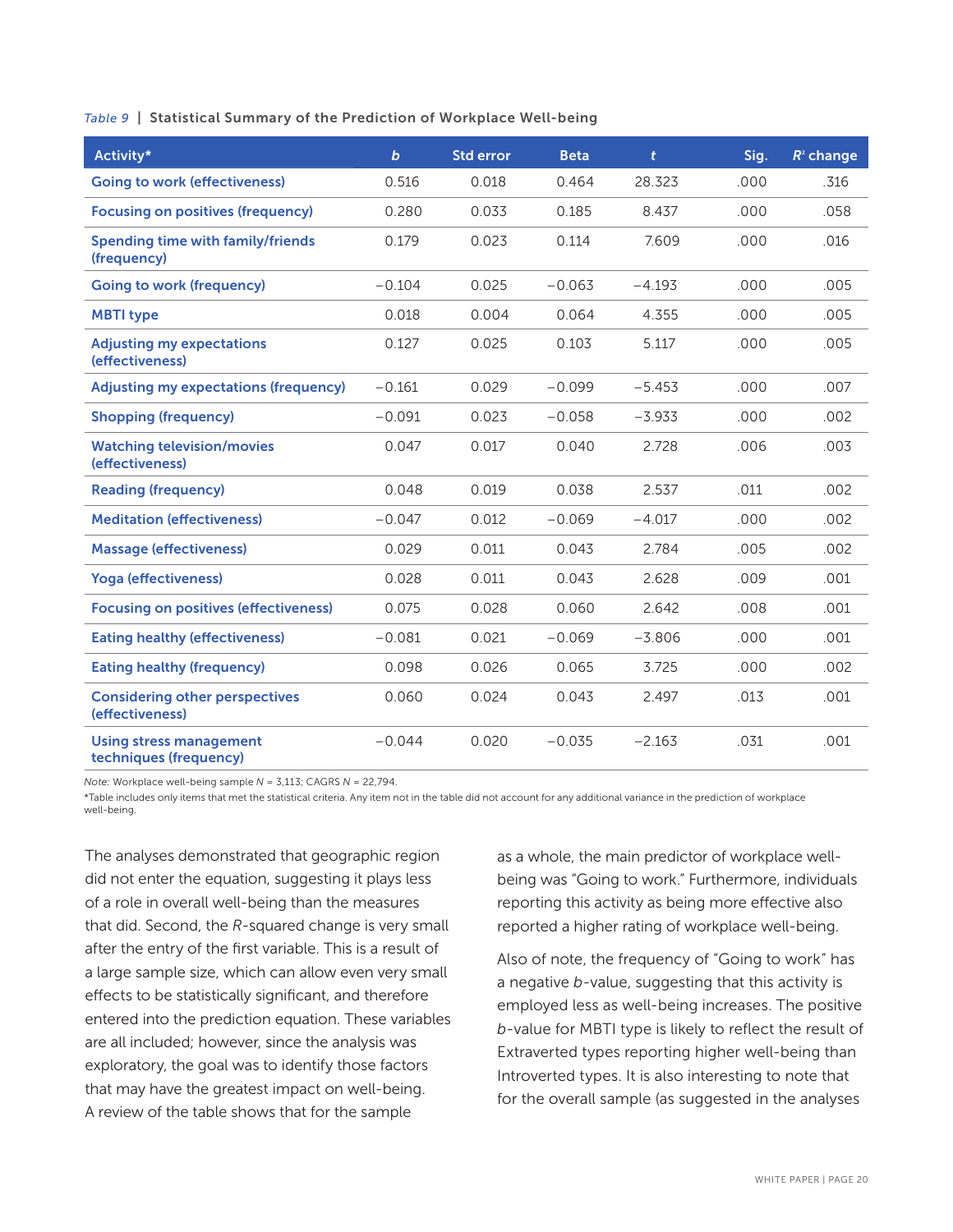*Table 9* | Statistical Summary of the Prediction of Workplace Well-being

| Activity*                                                | $\mathbf b$ | <b>Std error</b> | <b>Beta</b> | $\mathbf{t}$ | Sig. | $R^2$ change |
|----------------------------------------------------------|-------------|------------------|-------------|--------------|------|--------------|
| <b>Going to work (effectiveness)</b>                     | 0.516       | 0.018            | 0.464       | 28.323       | .000 | .316         |
| <b>Focusing on positives (frequency)</b>                 | 0.280       | 0.033            | 0.185       | 8.437        | .000 | .058         |
| Spending time with family/friends<br>(frequency)         | 0.179       | 0.023            | 0.114       | 7.609        | .000 | .016         |
| <b>Going to work (frequency)</b>                         | $-0.104$    | 0.025            | $-0.063$    | $-4.193$     | .000 | .005         |
| <b>MBTI type</b>                                         | 0.018       | 0.004            | 0.064       | 4.355        | .000 | .005         |
| <b>Adjusting my expectations</b><br>(effectiveness)      | 0.127       | 0.025            | 0.103       | 5.117        | .000 | .005         |
| <b>Adjusting my expectations (frequency)</b>             | $-0.161$    | 0.029            | $-0.099$    | $-5.453$     | .000 | .007         |
| <b>Shopping (frequency)</b>                              | $-0.091$    | 0.023            | $-0.058$    | $-3.933$     | .000 | .002         |
| <b>Watching television/movies</b><br>(effectiveness)     | 0.047       | 0.017            | 0.040       | 2.728        | .006 | .003         |
| <b>Reading (frequency)</b>                               | 0.048       | 0.019            | 0.038       | 2.537        | .011 | .002         |
| <b>Meditation (effectiveness)</b>                        | $-0.047$    | 0.012            | $-0.069$    | $-4.017$     | .000 | .002         |
| <b>Massage (effectiveness)</b>                           | 0.029       | 0.011            | 0.043       | 2.784        | .005 | .002         |
| <b>Yoga (effectiveness)</b>                              | 0.028       | 0.011            | 0.043       | 2.628        | .009 | .001         |
| <b>Focusing on positives (effectiveness)</b>             | 0.075       | 0.028            | 0.060       | 2.642        | .008 | .001         |
| <b>Eating healthy (effectiveness)</b>                    | $-0.081$    | 0.021            | $-0.069$    | $-3.806$     | .000 | .001         |
| <b>Eating healthy (frequency)</b>                        | 0.098       | 0.026            | 0.065       | 3.725        | .000 | .002         |
| <b>Considering other perspectives</b><br>(effectiveness) | 0.060       | 0.024            | 0.043       | 2.497        | .013 | .001         |
| <b>Using stress management</b><br>techniques (frequency) | $-0.044$    | 0.020            | $-0.035$    | $-2.163$     | .031 | .001         |

*Note:* Workplace well-being sample *N* = 3,113; CAGRS *N* = 22,794.

\*Table includes only items that met the statistical criteria. Any item not in the table did not account for any additional variance in the prediction of workplace well-being.

The analyses demonstrated that geographic region did not enter the equation, suggesting it plays less of a role in overall well-being than the measures that did. Second, the *R*-squared change is very small after the entry of the first variable. This is a result of a large sample size, which can allow even very small effects to be statistically significant, and therefore entered into the prediction equation. These variables are all included; however, since the analysis was exploratory, the goal was to identify those factors that may have the greatest impact on well-being. A review of the table shows that for the sample

as a whole, the main predictor of workplace wellbeing was "Going to work." Furthermore, individuals reporting this activity as being more effective also reported a higher rating of workplace well-being.

Also of note, the frequency of "Going to work" has a negative *b*-value, suggesting that this activity is employed less as well-being increases. The positive *b*-value for MBTI type is likely to reflect the result of Extraverted types reporting higher well-being than Introverted types. It is also interesting to note that for the overall sample (as suggested in the analyses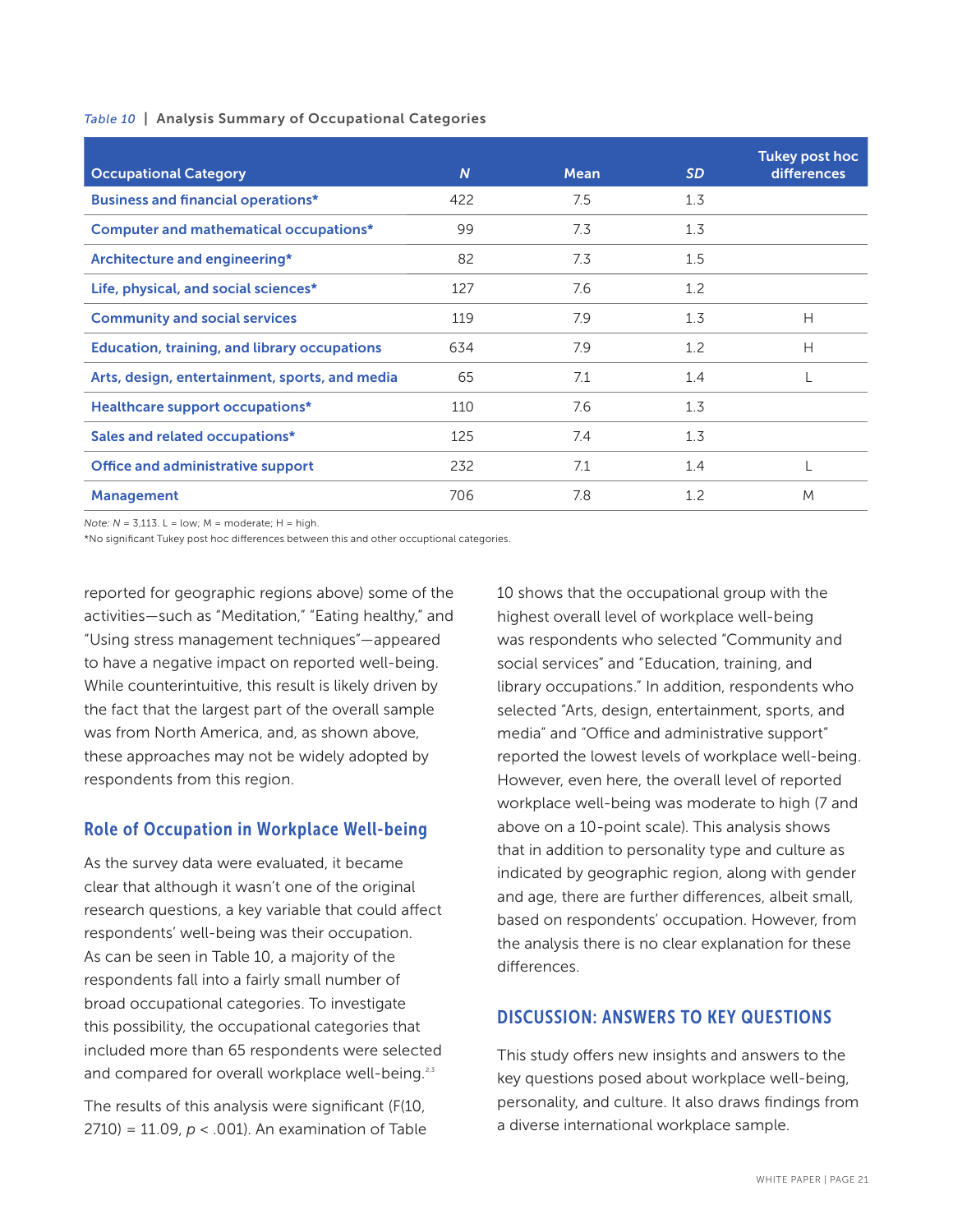#### *Table 10* | Analysis Summary of Occupational Categories

| <b>Occupational Category</b>                        | $\overline{N}$ | <b>Mean</b> | <b>SD</b> | Tukey post hoc<br><b>differences</b> |
|-----------------------------------------------------|----------------|-------------|-----------|--------------------------------------|
| <b>Business and financial operations*</b>           | 422            | 7.5         | 1.3       |                                      |
| <b>Computer and mathematical occupations*</b>       | 99             | 7.3         | 1.3       |                                      |
| Architecture and engineering*                       | 82             | 7.3         | 1.5       |                                      |
| Life, physical, and social sciences*                | 127            | 7.6         | 1.2       |                                      |
| <b>Community and social services</b>                | 119            | 7.9         | 1.3       | Н                                    |
| <b>Education, training, and library occupations</b> | 634            | 7.9         | 1.2       | Н                                    |
| Arts, design, entertainment, sports, and media      | 65             | 7.1         | 1.4       |                                      |
| <b>Healthcare support occupations*</b>              | 110            | 7.6         | 1.3       |                                      |
| Sales and related occupations*                      | 125            | 7.4         | 1.3       |                                      |
| <b>Office and administrative support</b>            | 232            | 7.1         | 1.4       |                                      |
| <b>Management</b>                                   | 706            | 7.8         | 1.2       | M                                    |

 $Note: N = 3.113. L = low$ ;  $M = moderate$ ;  $H = high$ .

\*No significant Tukey post hoc differences between this and other occuptional categories.

reported for geographic regions above) some of the activities—such as "Meditation," "Eating healthy," and "Using stress management techniques"—appeared to have a negative impact on reported well-being. While counterintuitive, this result is likely driven by the fact that the largest part of the overall sample was from North America, and, as shown above, these approaches may not be widely adopted by respondents from this region.

### Role of Occupation in Workplace Well-being

As the survey data were evaluated, it became clear that although it wasn't one of the original research questions, a key variable that could affect respondents' well-being was their occupation. As can be seen in Table 10, a majority of the respondents fall into a fairly small number of broad occupational categories. To investigate this possibility, the occupational categories that included more than 65 respondents were selected and compared for overall workplace well-being.<sup>2,3</sup>

The results of this analysis were significant (F(10, 2710) = 11.09, *p* < .001). An examination of Table 10 shows that the occupational group with the highest overall level of workplace well-being was respondents who selected "Community and social services" and "Education, training, and library occupations." In addition, respondents who selected "Arts, design, entertainment, sports, and media" and "Office and administrative support" reported the lowest levels of workplace well-being. However, even here, the overall level of reported workplace well-being was moderate to high (7 and above on a 10-point scale). This analysis shows that in addition to personality type and culture as indicated by geographic region, along with gender and age, there are further differences, albeit small, based on respondents' occupation. However, from the analysis there is no clear explanation for these differences.

### DISCUSSION: ANSWERS TO KEY QUESTIONS

This study offers new insights and answers to the key questions posed about workplace well-being, personality, and culture. It also draws findings from a diverse international workplace sample.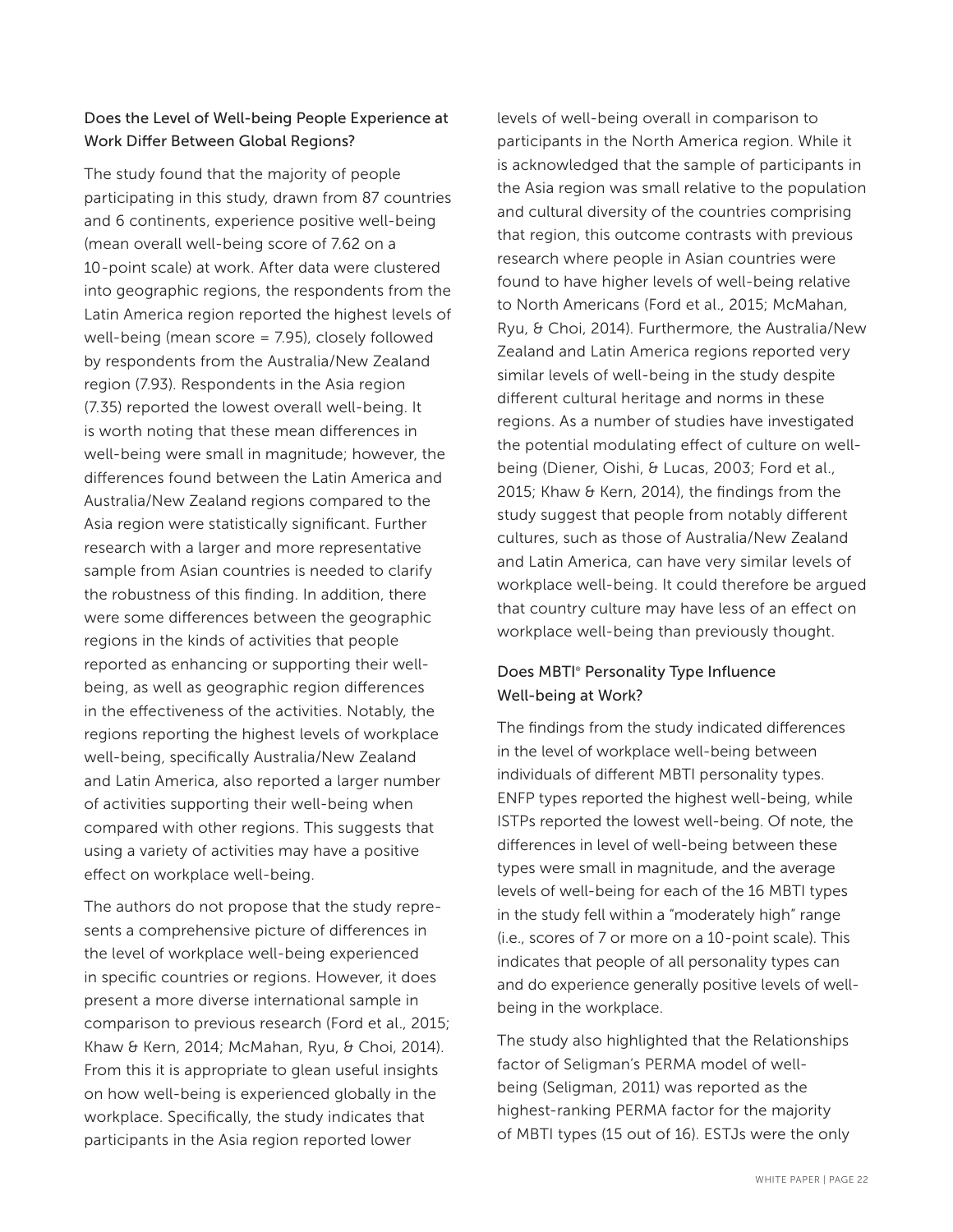### Does the Level of Well-being People Experience at Work Differ Between Global Regions?

The study found that the majority of people participating in this study, drawn from 87 countries and 6 continents, experience positive well-being (mean overall well-being score of 7.62 on a 10-point scale) at work. After data were clustered into geographic regions, the respondents from the Latin America region reported the highest levels of well-being (mean score = 7.95), closely followed by respondents from the Australia/New Zealand region (7.93). Respondents in the Asia region (7.35) reported the lowest overall well-being. It is worth noting that these mean differences in well-being were small in magnitude; however, the differences found between the Latin America and Australia/New Zealand regions compared to the Asia region were statistically significant. Further research with a larger and more representative sample from Asian countries is needed to clarify the robustness of this finding. In addition, there were some differences between the geographic regions in the kinds of activities that people reported as enhancing or supporting their wellbeing, as well as geographic region differences in the effectiveness of the activities. Notably, the regions reporting the highest levels of workplace well-being, specifically Australia/New Zealand and Latin America, also reported a larger number of activities supporting their well-being when compared with other regions. This suggests that using a variety of activities may have a positive effect on workplace well-being.

The authors do not propose that the study represents a comprehensive picture of differences in the level of workplace well-being experienced in specific countries or regions. However, it does present a more diverse international sample in comparison to previous research (Ford et al., 2015; Khaw & Kern, 2014; McMahan, Ryu, & Choi, 2014). From this it is appropriate to glean useful insights on how well-being is experienced globally in the workplace. Specifically, the study indicates that participants in the Asia region reported lower

levels of well-being overall in comparison to participants in the North America region. While it is acknowledged that the sample of participants in the Asia region was small relative to the population and cultural diversity of the countries comprising that region, this outcome contrasts with previous research where people in Asian countries were found to have higher levels of well-being relative to North Americans (Ford et al., 2015; McMahan, Ryu, & Choi, 2014). Furthermore, the Australia/New Zealand and Latin America regions reported very similar levels of well-being in the study despite different cultural heritage and norms in these regions. As a number of studies have investigated the potential modulating effect of culture on wellbeing (Diener, Oishi, & Lucas, 2003; Ford et al., 2015; Khaw & Kern, 2014), the findings from the study suggest that people from notably different cultures, such as those of Australia/New Zealand and Latin America, can have very similar levels of workplace well-being. It could therefore be argued that country culture may have less of an effect on workplace well-being than previously thought.

### Does MBTI® Personality Type Influence Well-being at Work?

The findings from the study indicated differences in the level of workplace well-being between individuals of different MBTI personality types. ENFP types reported the highest well-being, while ISTPs reported the lowest well-being. Of note, the differences in level of well-being between these types were small in magnitude, and the average levels of well-being for each of the 16 MBTI types in the study fell within a "moderately high" range (i.e., scores of 7 or more on a 10-point scale). This indicates that people of all personality types can and do experience generally positive levels of wellbeing in the workplace.

The study also highlighted that the Relationships factor of Seligman's PERMA model of wellbeing (Seligman, 2011) was reported as the highest-ranking PERMA factor for the majority of MBTI types (15 out of 16). ESTJs were the only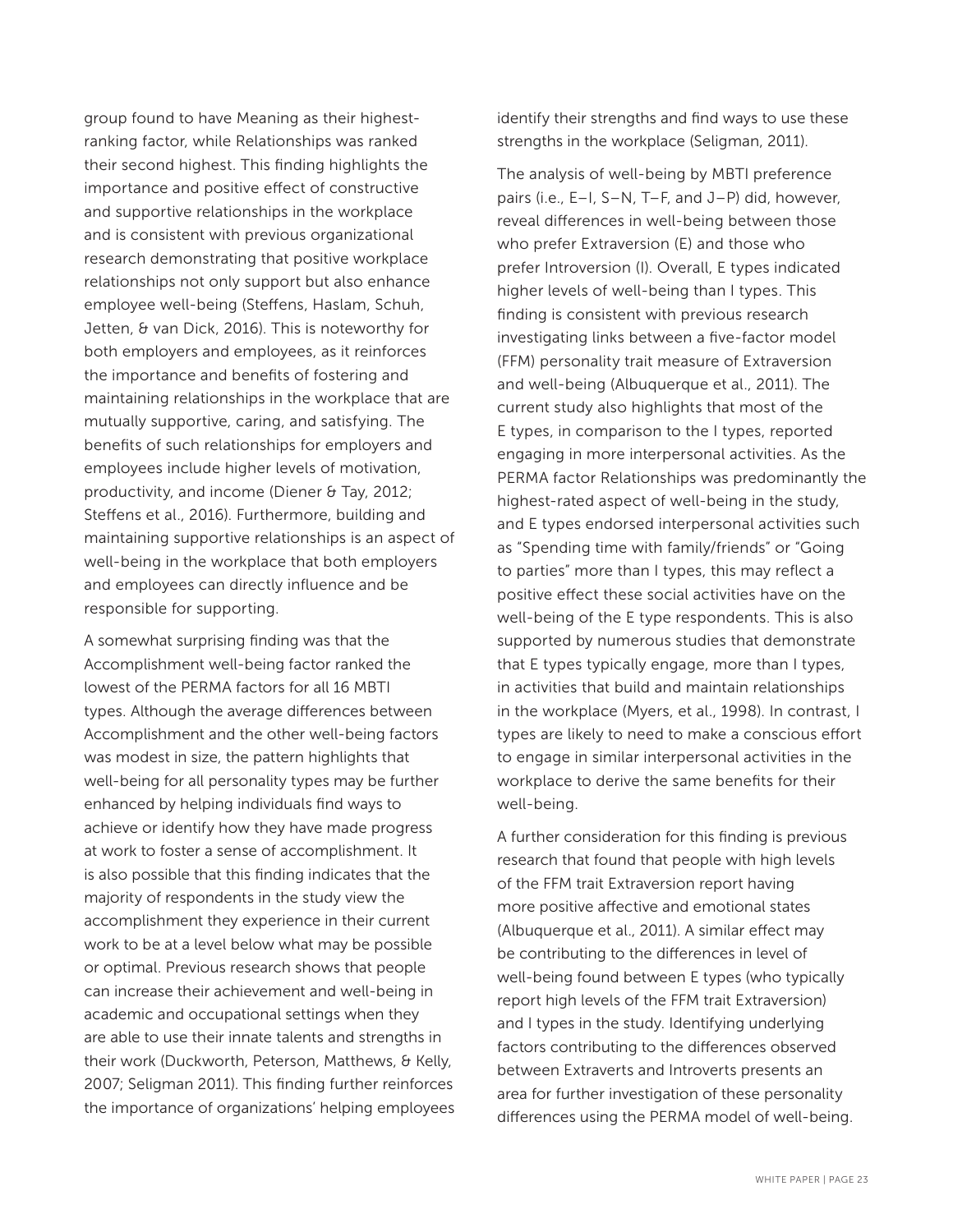group found to have Meaning as their highestranking factor, while Relationships was ranked their second highest. This finding highlights the importance and positive effect of constructive and supportive relationships in the workplace and is consistent with previous organizational research demonstrating that positive workplace relationships not only support but also enhance employee well-being (Steffens, Haslam, Schuh, Jetten, & van Dick, 2016). This is noteworthy for both employers and employees, as it reinforces the importance and benefits of fostering and maintaining relationships in the workplace that are mutually supportive, caring, and satisfying. The benefits of such relationships for employers and employees include higher levels of motivation, productivity, and income (Diener & Tay, 2012; Steffens et al., 2016). Furthermore, building and maintaining supportive relationships is an aspect of well-being in the workplace that both employers and employees can directly influence and be responsible for supporting.

A somewhat surprising finding was that the Accomplishment well-being factor ranked the lowest of the PERMA factors for all 16 MBTI types. Although the average differences between Accomplishment and the other well-being factors was modest in size, the pattern highlights that well-being for all personality types may be further enhanced by helping individuals find ways to achieve or identify how they have made progress at work to foster a sense of accomplishment. It is also possible that this finding indicates that the majority of respondents in the study view the accomplishment they experience in their current work to be at a level below what may be possible or optimal. Previous research shows that people can increase their achievement and well-being in academic and occupational settings when they are able to use their innate talents and strengths in their work (Duckworth, Peterson, Matthews, & Kelly, 2007; Seligman 2011). This finding further reinforces the importance of organizations' helping employees identify their strengths and find ways to use these strengths in the workplace (Seligman, 2011).

The analysis of well-being by MBTI preference pairs (i.e., E–I, S–N, T–F, and J–P) did, however, reveal differences in well-being between those who prefer Extraversion (E) and those who prefer Introversion (I). Overall, E types indicated higher levels of well-being than I types. This finding is consistent with previous research investigating links between a five-factor model (FFM) personality trait measure of Extraversion and well-being (Albuquerque et al., 2011). The current study also highlights that most of the E types, in comparison to the I types, reported engaging in more interpersonal activities. As the PERMA factor Relationships was predominantly the highest-rated aspect of well-being in the study, and E types endorsed interpersonal activities such as "Spending time with family/friends" or "Going to parties" more than I types, this may reflect a positive effect these social activities have on the well-being of the E type respondents. This is also supported by numerous studies that demonstrate that E types typically engage, more than I types, in activities that build and maintain relationships in the workplace (Myers, et al., 1998). In contrast, I types are likely to need to make a conscious effort to engage in similar interpersonal activities in the workplace to derive the same benefits for their well-being.

A further consideration for this finding is previous research that found that people with high levels of the FFM trait Extraversion report having more positive affective and emotional states (Albuquerque et al., 2011). A similar effect may be contributing to the differences in level of well-being found between E types (who typically report high levels of the FFM trait Extraversion) and I types in the study. Identifying underlying factors contributing to the differences observed between Extraverts and Introverts presents an area for further investigation of these personality differences using the PERMA model of well-being.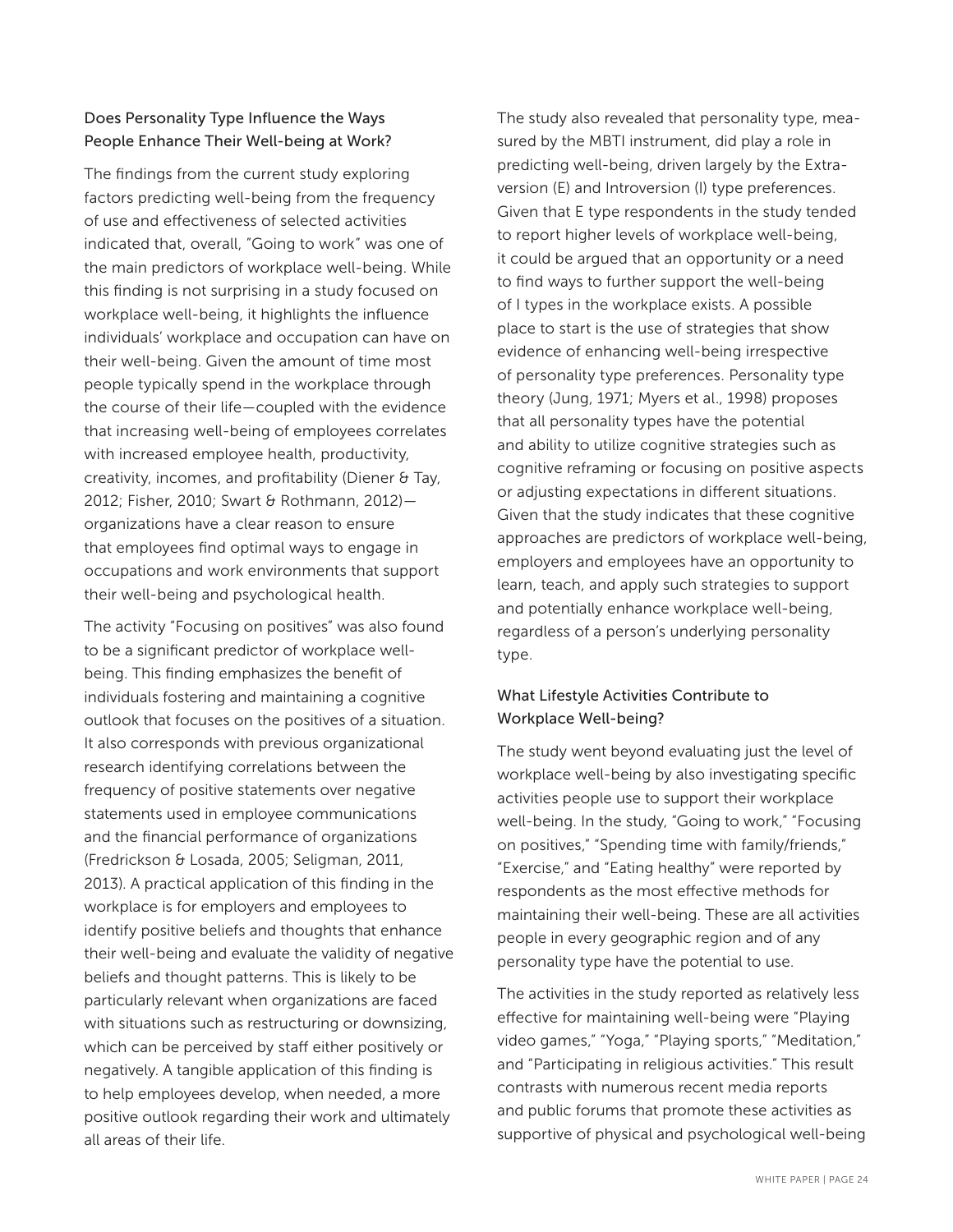### Does Personality Type Influence the Ways People Enhance Their Well-being at Work?

The findings from the current study exploring factors predicting well-being from the frequency of use and effectiveness of selected activities indicated that, overall, "Going to work" was one of the main predictors of workplace well-being. While this finding is not surprising in a study focused on workplace well-being, it highlights the influence individuals' workplace and occupation can have on their well-being. Given the amount of time most people typically spend in the workplace through the course of their life—coupled with the evidence that increasing well-being of employees correlates with increased employee health, productivity, creativity, incomes, and profitability (Diener & Tay, 2012; Fisher, 2010; Swart & Rothmann, 2012) organizations have a clear reason to ensure that employees find optimal ways to engage in occupations and work environments that support their well-being and psychological health.

The activity "Focusing on positives" was also found to be a significant predictor of workplace wellbeing. This finding emphasizes the benefit of individuals fostering and maintaining a cognitive outlook that focuses on the positives of a situation. It also corresponds with previous organizational research identifying correlations between the frequency of positive statements over negative statements used in employee communications and the financial performance of organizations (Fredrickson & Losada, 2005; Seligman, 2011, 2013). A practical application of this finding in the workplace is for employers and employees to identify positive beliefs and thoughts that enhance their well-being and evaluate the validity of negative beliefs and thought patterns. This is likely to be particularly relevant when organizations are faced with situations such as restructuring or downsizing, which can be perceived by staff either positively or negatively. A tangible application of this finding is to help employees develop, when needed, a more positive outlook regarding their work and ultimately all areas of their life.

The study also revealed that personality type, measured by the MBTI instrument, did play a role in predicting well-being, driven largely by the Extraversion (E) and Introversion (I) type preferences. Given that E type respondents in the study tended to report higher levels of workplace well-being, it could be argued that an opportunity or a need to find ways to further support the well-being of I types in the workplace exists. A possible place to start is the use of strategies that show evidence of enhancing well-being irrespective of personality type preferences. Personality type theory (Jung, 1971; Myers et al., 1998) proposes that all personality types have the potential and ability to utilize cognitive strategies such as cognitive reframing or focusing on positive aspects or adjusting expectations in different situations. Given that the study indicates that these cognitive approaches are predictors of workplace well-being, employers and employees have an opportunity to learn, teach, and apply such strategies to support and potentially enhance workplace well-being, regardless of a person's underlying personality type.

### What Lifestyle Activities Contribute to Workplace Well-being?

The study went beyond evaluating just the level of workplace well-being by also investigating specific activities people use to support their workplace well-being. In the study, "Going to work," "Focusing on positives," "Spending time with family/friends," "Exercise," and "Eating healthy" were reported by respondents as the most effective methods for maintaining their well-being. These are all activities people in every geographic region and of any personality type have the potential to use.

The activities in the study reported as relatively less effective for maintaining well-being were "Playing video games," "Yoga," "Playing sports," "Meditation," and "Participating in religious activities." This result contrasts with numerous recent media reports and public forums that promote these activities as supportive of physical and psychological well-being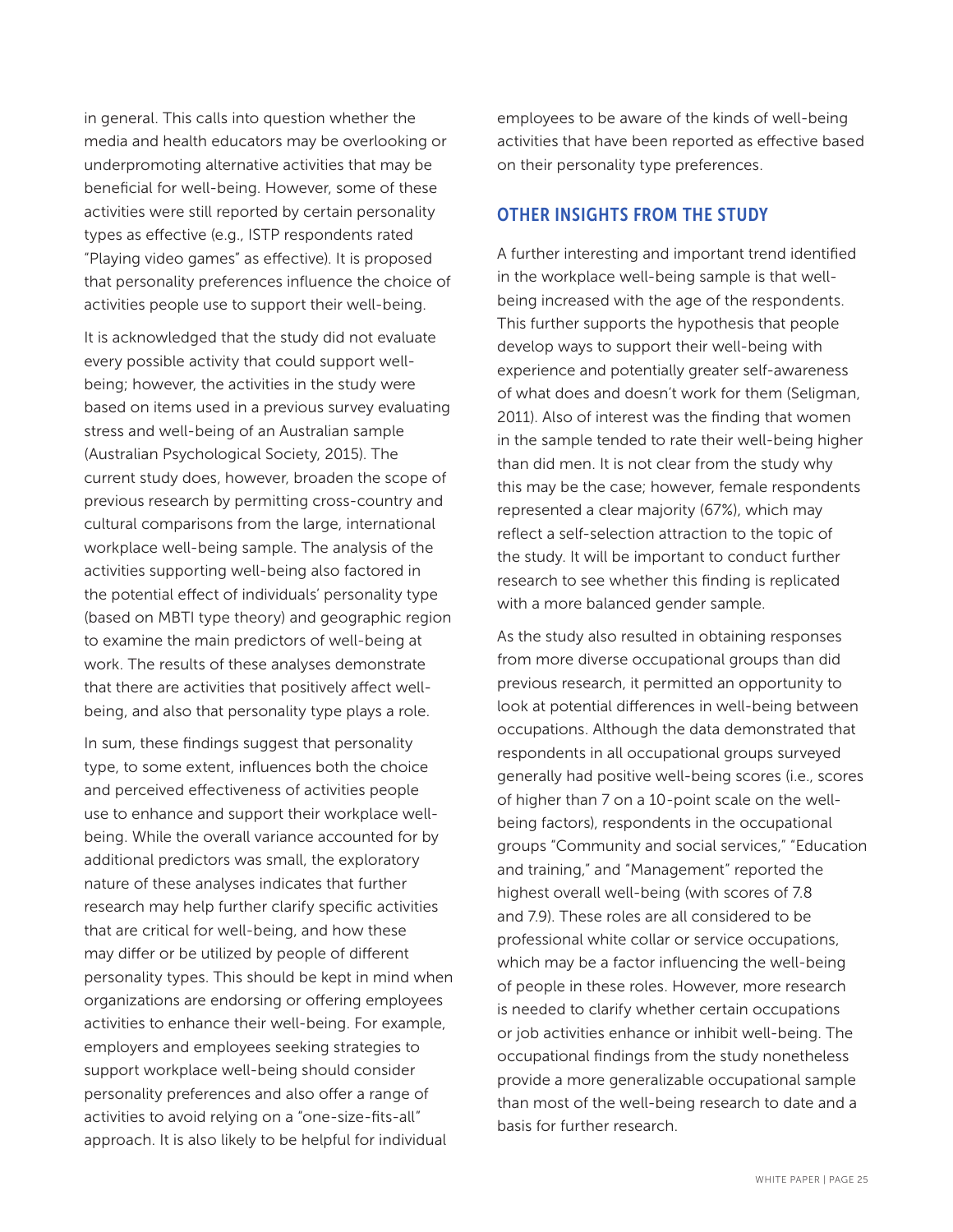in general. This calls into question whether the media and health educators may be overlooking or underpromoting alternative activities that may be beneficial for well-being. However, some of these activities were still reported by certain personality types as effective (e.g., ISTP respondents rated "Playing video games" as effective). It is proposed that personality preferences influence the choice of activities people use to support their well-being.

It is acknowledged that the study did not evaluate every possible activity that could support wellbeing; however, the activities in the study were based on items used in a previous survey evaluating stress and well-being of an Australian sample (Australian Psychological Society, 2015). The current study does, however, broaden the scope of previous research by permitting cross-country and cultural comparisons from the large, international workplace well-being sample. The analysis of the activities supporting well-being also factored in the potential effect of individuals' personality type (based on MBTI type theory) and geographic region to examine the main predictors of well-being at work. The results of these analyses demonstrate that there are activities that positively affect wellbeing, and also that personality type plays a role.

In sum, these findings suggest that personality type, to some extent, influences both the choice and perceived effectiveness of activities people use to enhance and support their workplace wellbeing. While the overall variance accounted for by additional predictors was small, the exploratory nature of these analyses indicates that further research may help further clarify specific activities that are critical for well-being, and how these may differ or be utilized by people of different personality types. This should be kept in mind when organizations are endorsing or offering employees activities to enhance their well-being. For example, employers and employees seeking strategies to support workplace well-being should consider personality preferences and also offer a range of activities to avoid relying on a "one-size-fits-all" approach. It is also likely to be helpful for individual

employees to be aware of the kinds of well-being activities that have been reported as effective based on their personality type preferences.

### OTHER INSIGHTS FROM THE STUDY

A further interesting and important trend identified in the workplace well-being sample is that wellbeing increased with the age of the respondents. This further supports the hypothesis that people develop ways to support their well-being with experience and potentially greater self-awareness of what does and doesn't work for them (Seligman, 2011). Also of interest was the finding that women in the sample tended to rate their well-being higher than did men. It is not clear from the study why this may be the case; however, female respondents represented a clear majority (67%), which may reflect a self-selection attraction to the topic of the study. It will be important to conduct further research to see whether this finding is replicated with a more balanced gender sample.

As the study also resulted in obtaining responses from more diverse occupational groups than did previous research, it permitted an opportunity to look at potential differences in well-being between occupations. Although the data demonstrated that respondents in all occupational groups surveyed generally had positive well-being scores (i.e., scores of higher than 7 on a 10-point scale on the wellbeing factors), respondents in the occupational groups "Community and social services," "Education and training," and "Management" reported the highest overall well-being (with scores of 7.8 and 7.9). These roles are all considered to be professional white collar or service occupations, which may be a factor influencing the well-being of people in these roles. However, more research is needed to clarify whether certain occupations or job activities enhance or inhibit well-being. The occupational findings from the study nonetheless provide a more generalizable occupational sample than most of the well-being research to date and a basis for further research.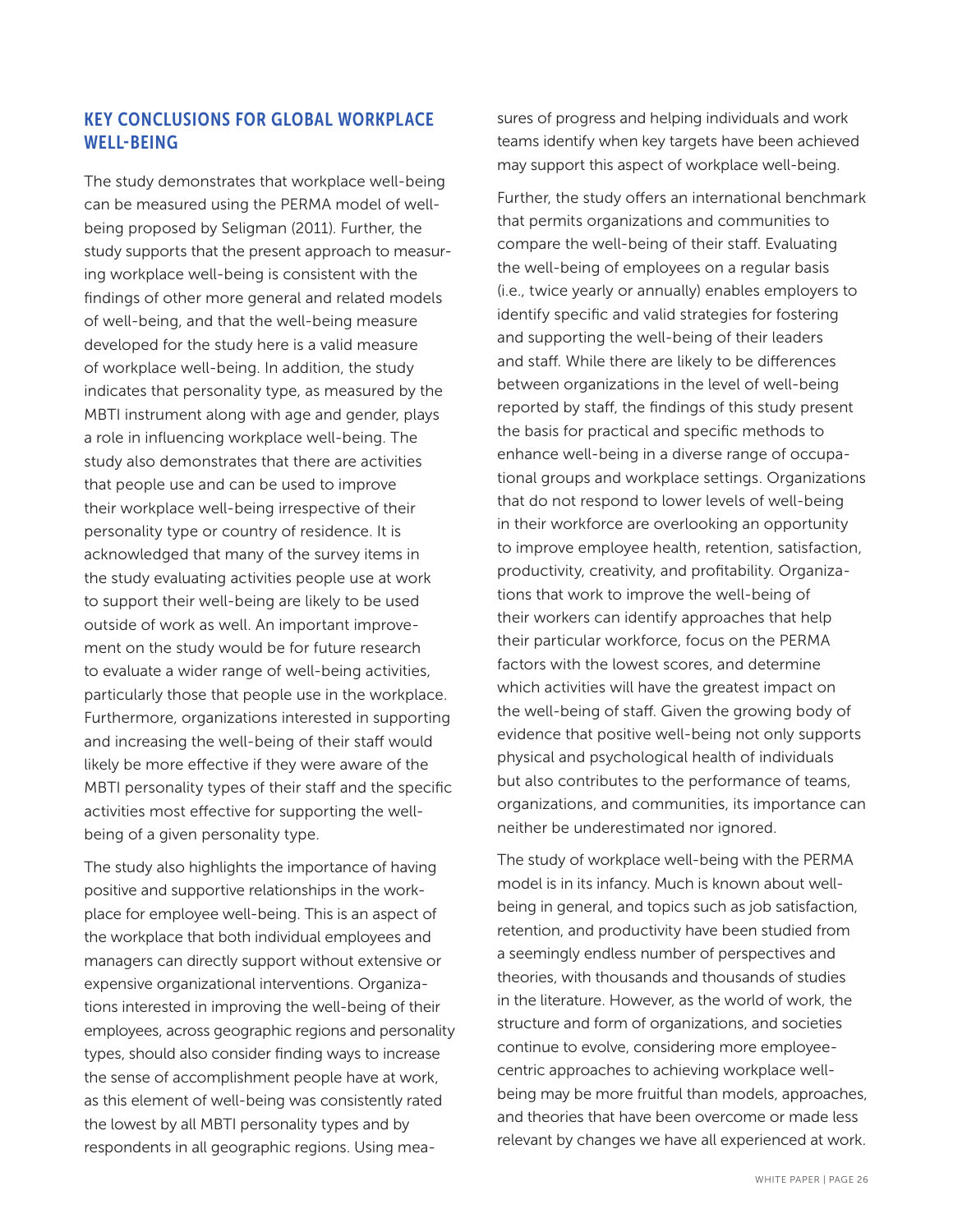# KEY CONCLUSIONS FOR GLOBAL WORKPLACE WELL-BEING

The study demonstrates that workplace well-being can be measured using the PERMA model of wellbeing proposed by Seligman (2011). Further, the study supports that the present approach to measuring workplace well-being is consistent with the findings of other more general and related models of well-being, and that the well-being measure developed for the study here is a valid measure of workplace well-being. In addition, the study indicates that personality type, as measured by the MBTI instrument along with age and gender, plays a role in influencing workplace well-being. The study also demonstrates that there are activities that people use and can be used to improve their workplace well-being irrespective of their personality type or country of residence. It is acknowledged that many of the survey items in the study evaluating activities people use at work to support their well-being are likely to be used outside of work as well. An important improvement on the study would be for future research to evaluate a wider range of well-being activities, particularly those that people use in the workplace. Furthermore, organizations interested in supporting and increasing the well-being of their staff would likely be more effective if they were aware of the MBTI personality types of their staff and the specific activities most effective for supporting the wellbeing of a given personality type.

The study also highlights the importance of having positive and supportive relationships in the workplace for employee well-being. This is an aspect of the workplace that both individual employees and managers can directly support without extensive or expensive organizational interventions. Organizations interested in improving the well-being of their employees, across geographic regions and personality types, should also consider finding ways to increase the sense of accomplishment people have at work, as this element of well-being was consistently rated the lowest by all MBTI personality types and by respondents in all geographic regions. Using measures of progress and helping individuals and work teams identify when key targets have been achieved may support this aspect of workplace well-being.

Further, the study offers an international benchmark that permits organizations and communities to compare the well-being of their staff. Evaluating the well-being of employees on a regular basis (i.e., twice yearly or annually) enables employers to identify specific and valid strategies for fostering and supporting the well-being of their leaders and staff. While there are likely to be differences between organizations in the level of well-being reported by staff, the findings of this study present the basis for practical and specific methods to enhance well-being in a diverse range of occupational groups and workplace settings. Organizations that do not respond to lower levels of well-being in their workforce are overlooking an opportunity to improve employee health, retention, satisfaction, productivity, creativity, and profitability. Organizations that work to improve the well-being of their workers can identify approaches that help their particular workforce, focus on the PERMA factors with the lowest scores, and determine which activities will have the greatest impact on the well-being of staff. Given the growing body of evidence that positive well-being not only supports physical and psychological health of individuals but also contributes to the performance of teams, organizations, and communities, its importance can neither be underestimated nor ignored.

The study of workplace well-being with the PERMA model is in its infancy. Much is known about wellbeing in general, and topics such as job satisfaction, retention, and productivity have been studied from a seemingly endless number of perspectives and theories, with thousands and thousands of studies in the literature. However, as the world of work, the structure and form of organizations, and societies continue to evolve, considering more employeecentric approaches to achieving workplace wellbeing may be more fruitful than models, approaches, and theories that have been overcome or made less relevant by changes we have all experienced at work.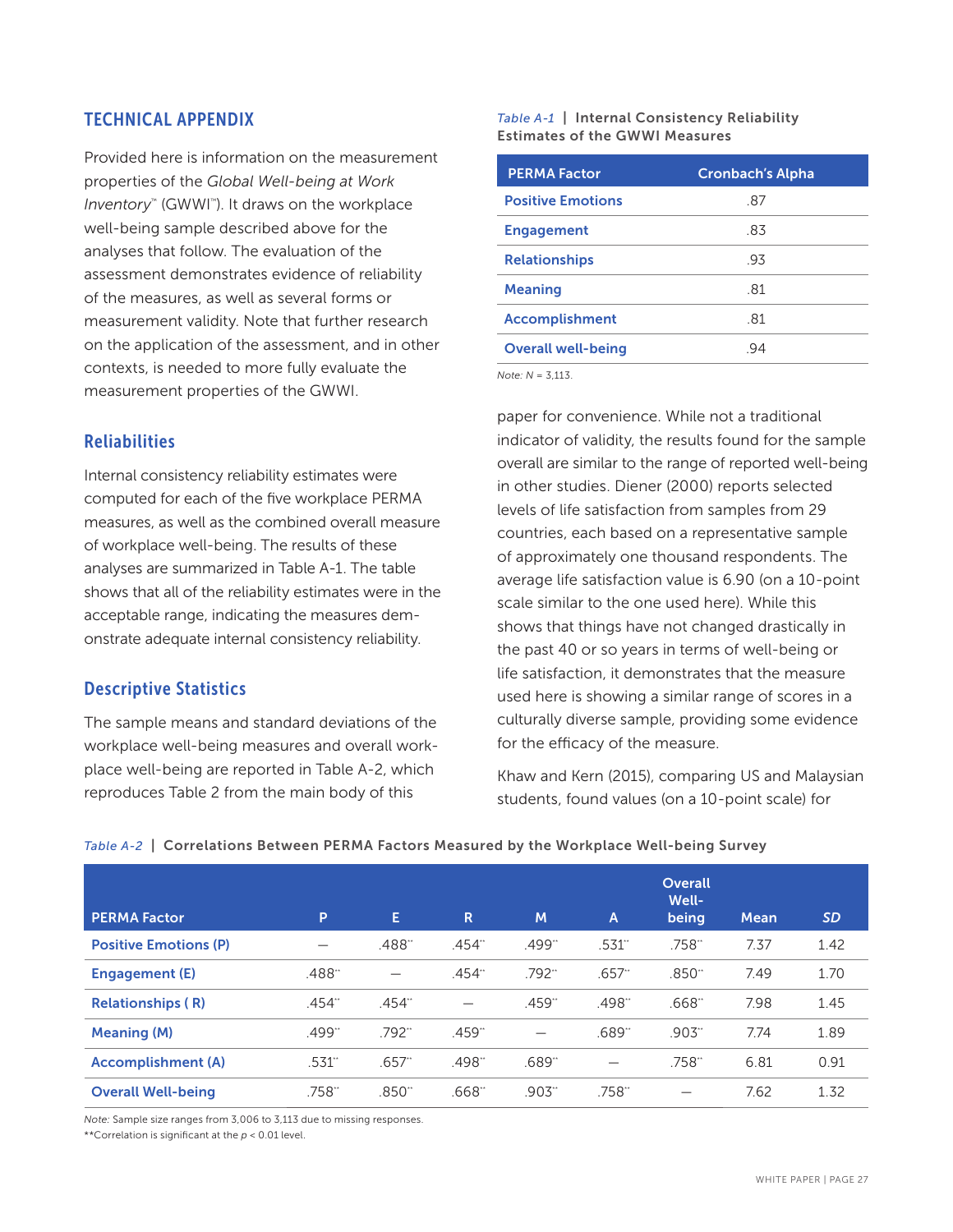### TECHNICAL APPENDIX

Provided here is information on the measurement properties of the *Global Well-being at Work Inventory*™ (GWWI™ ). It draws on the workplace well-being sample described above for the analyses that follow. The evaluation of the assessment demonstrates evidence of reliability of the measures, as well as several forms or measurement validity. Note that further research on the application of the assessment, and in other contexts, is needed to more fully evaluate the measurement properties of the GWWI.

### Reliabilities

Internal consistency reliability estimates were computed for each of the five workplace PERMA measures, as well as the combined overall measure of workplace well-being. The results of these analyses are summarized in Table A-1. The table shows that all of the reliability estimates were in the acceptable range, indicating the measures demonstrate adequate internal consistency reliability.

### Descriptive Statistics

The sample means and standard deviations of the workplace well-being measures and overall workplace well-being are reported in Table A-2, which reproduces Table 2 from the main body of this

#### *Table A-1* | Internal Consistency Reliability Estimates of the GWWI Measures

| <b>Cronbach's Alpha</b> |
|-------------------------|
| -87                     |
| -83                     |
| -93                     |
| -81                     |
| -81                     |
| -94                     |
|                         |

*Note: N* = 3,113.

paper for convenience. While not a traditional indicator of validity, the results found for the sample overall are similar to the range of reported well-being in other studies. Diener (2000) reports selected levels of life satisfaction from samples from 29 countries, each based on a representative sample of approximately one thousand respondents. The average life satisfaction value is 6.90 (on a 10-point scale similar to the one used here). While this shows that things have not changed drastically in the past 40 or so years in terms of well-being or life satisfaction, it demonstrates that the measure used here is showing a similar range of scores in a culturally diverse sample, providing some evidence for the efficacy of the measure.

Khaw and Kern (2015), comparing US and Malaysian students, found values (on a 10-point scale) for

| Table A-2   Correlations Between PERMA Factors Measured by the Workplace Well-being Survey |  |
|--------------------------------------------------------------------------------------------|--|
|--------------------------------------------------------------------------------------------|--|

| <b>PERMA Factor</b>          | P      | E.        | R                        | M                    | $\overline{A}$ | Overall<br><b>Well-</b><br>being | Mean | <b>SD</b> |
|------------------------------|--------|-----------|--------------------------|----------------------|----------------|----------------------------------|------|-----------|
| <b>Positive Emotions (P)</b> |        | .488"     | .454**                   | .499"                | .531"          | .758**                           | 7.37 | 1.42      |
| Engagement (E)               | .488"  | —         | .454"                    | $.792$ <sup>**</sup> | $.657$ "       | .850"                            | 7.49 | 1.70      |
| <b>Relationships (R)</b>     | .454** | .454**    | $\overline{\phantom{0}}$ | .459"                | .498"          | .668**                           | 7.98 | 1.45      |
| <b>Meaning (M)</b>           | .499** | .792*     | .459"                    |                      | .689**         | $.903$ <sup>**</sup>             | 7.74 | 1.89      |
| <b>Accomplishment (A)</b>    | .531"  | $.657$ ** | .498"                    | .689"                |                | .758"                            | 6.81 | 0.91      |
| <b>Overall Well-being</b>    | .758"  | .850"     | .668"                    | .903**               | .758**         |                                  | 7.62 | 1.32      |

*Note:* Sample size ranges from 3,006 to 3,113 due to missing responses.

\*\*Correlation is significant at the *p* < 0.01 level.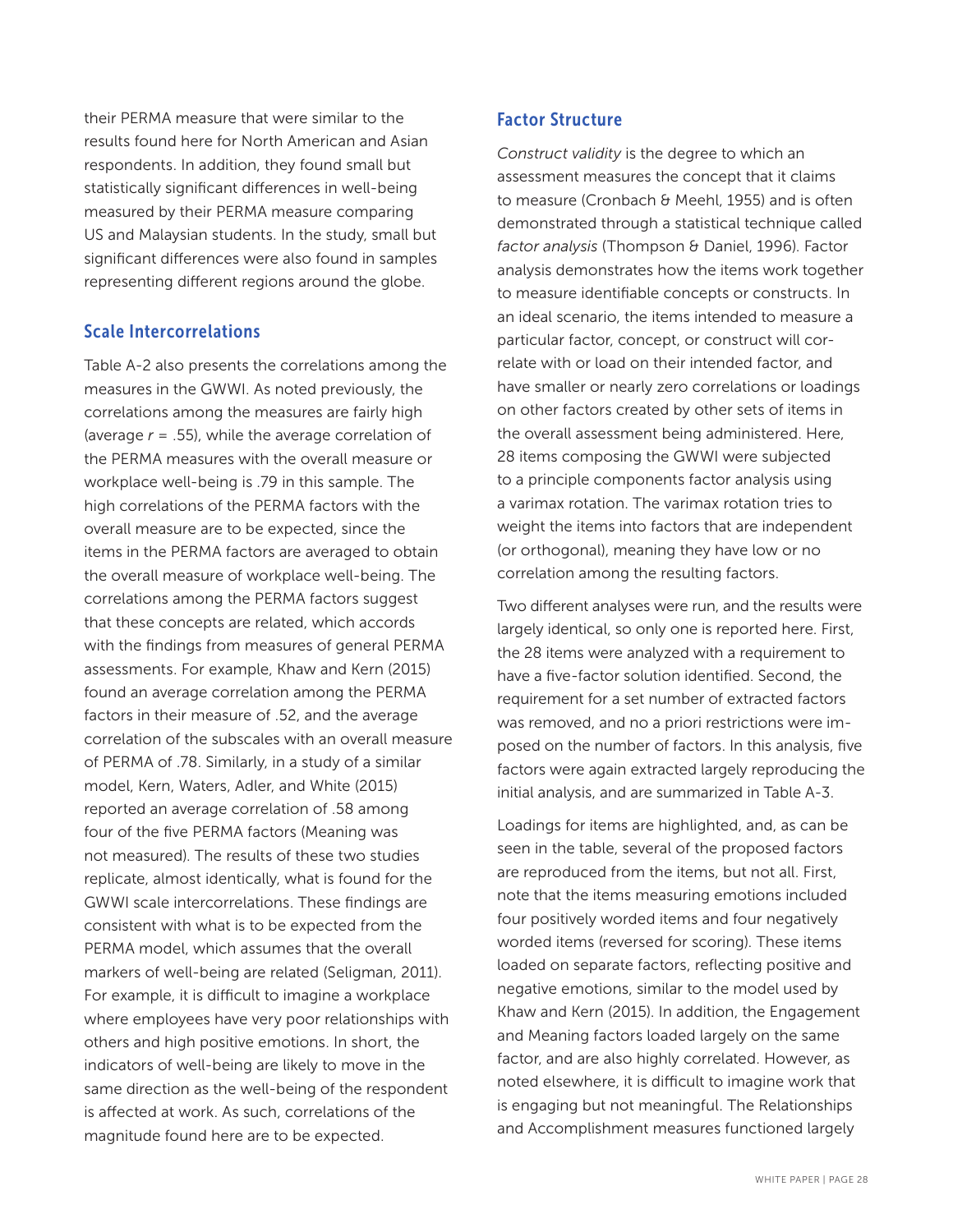their PERMA measure that were similar to the results found here for North American and Asian respondents. In addition, they found small but statistically significant differences in well-being measured by their PERMA measure comparing US and Malaysian students. In the study, small but significant differences were also found in samples representing different regions around the globe.

### Scale Intercorrelations

Table A-2 also presents the correlations among the measures in the GWWI. As noted previously, the correlations among the measures are fairly high (average *r* = .55), while the average correlation of the PERMA measures with the overall measure or workplace well-being is .79 in this sample. The high correlations of the PERMA factors with the overall measure are to be expected, since the items in the PERMA factors are averaged to obtain the overall measure of workplace well-being. The correlations among the PERMA factors suggest that these concepts are related, which accords with the findings from measures of general PERMA assessments. For example, Khaw and Kern (2015) found an average correlation among the PERMA factors in their measure of .52, and the average correlation of the subscales with an overall measure of PERMA of .78. Similarly, in a study of a similar model, Kern, Waters, Adler, and White (2015) reported an average correlation of .58 among four of the five PERMA factors (Meaning was not measured). The results of these two studies replicate, almost identically, what is found for the GWWI scale intercorrelations. These findings are consistent with what is to be expected from the PERMA model, which assumes that the overall markers of well-being are related (Seligman, 2011). For example, it is difficult to imagine a workplace where employees have very poor relationships with others and high positive emotions. In short, the indicators of well-being are likely to move in the same direction as the well-being of the respondent is affected at work. As such, correlations of the magnitude found here are to be expected.

### Factor Structure

*Construct validity* is the degree to which an assessment measures the concept that it claims to measure (Cronbach & Meehl, 1955) and is often demonstrated through a statistical technique called *factor analysis* (Thompson & Daniel, 1996). Factor analysis demonstrates how the items work together to measure identifiable concepts or constructs. In an ideal scenario, the items intended to measure a particular factor, concept, or construct will correlate with or load on their intended factor, and have smaller or nearly zero correlations or loadings on other factors created by other sets of items in the overall assessment being administered. Here, 28 items composing the GWWI were subjected to a principle components factor analysis using a varimax rotation. The varimax rotation tries to weight the items into factors that are independent (or orthogonal), meaning they have low or no correlation among the resulting factors.

Two different analyses were run, and the results were largely identical, so only one is reported here. First, the 28 items were analyzed with a requirement to have a five-factor solution identified. Second, the requirement for a set number of extracted factors was removed, and no a priori restrictions were imposed on the number of factors. In this analysis, five factors were again extracted largely reproducing the initial analysis, and are summarized in Table A-3.

Loadings for items are highlighted, and, as can be seen in the table, several of the proposed factors are reproduced from the items, but not all. First, note that the items measuring emotions included four positively worded items and four negatively worded items (reversed for scoring). These items loaded on separate factors, reflecting positive and negative emotions, similar to the model used by Khaw and Kern (2015). In addition, the Engagement and Meaning factors loaded largely on the same factor, and are also highly correlated. However, as noted elsewhere, it is difficult to imagine work that is engaging but not meaningful. The Relationships and Accomplishment measures functioned largely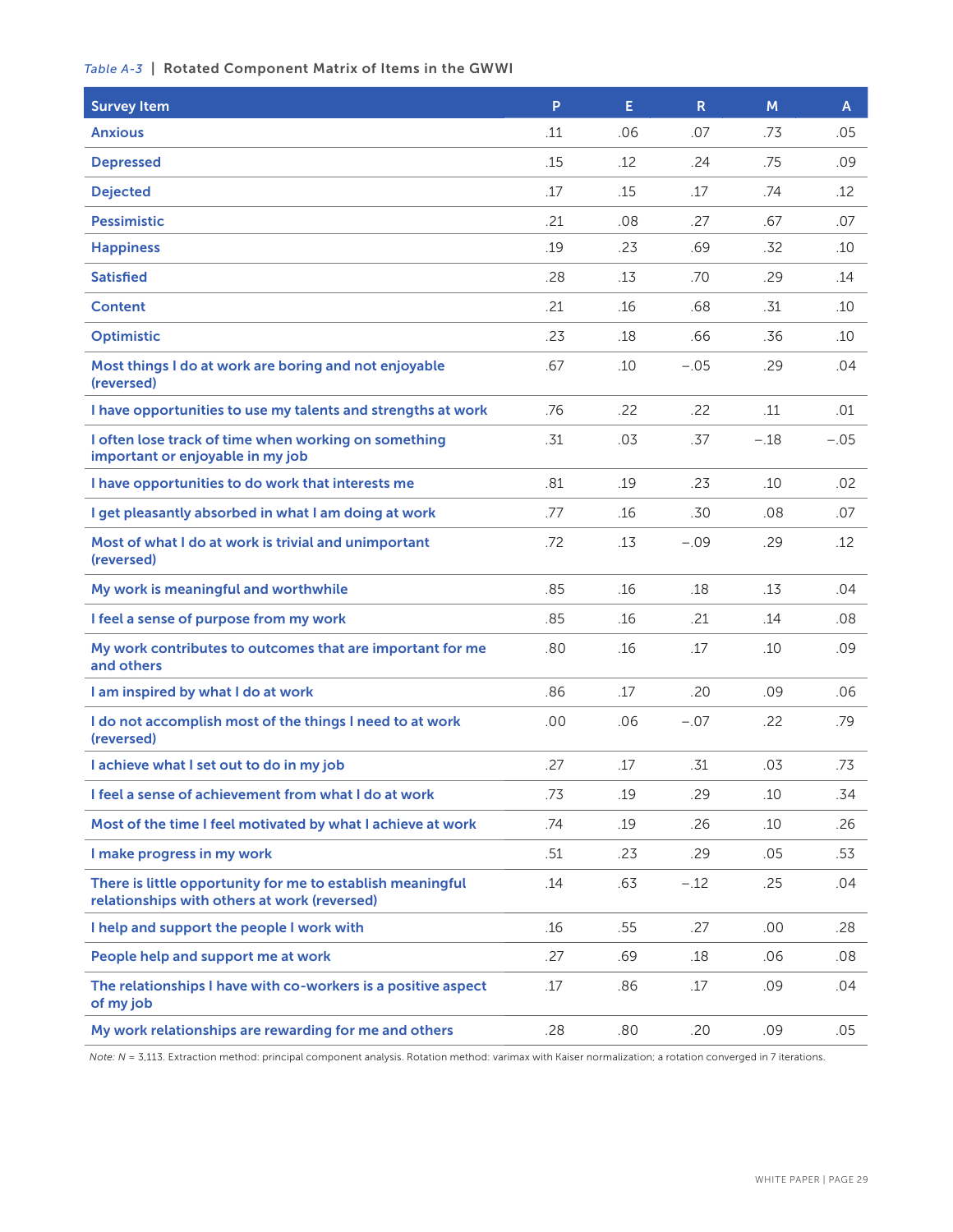### *Table A-3* | Rotated Component Matrix of Items in the GWWI

| <b>Survey Item</b>                                                                                         | P   | E.  | $\mathsf{R}$ | M      | A      |
|------------------------------------------------------------------------------------------------------------|-----|-----|--------------|--------|--------|
| <b>Anxious</b>                                                                                             | .11 | .06 | .07          | .73    | .05    |
| <b>Depressed</b>                                                                                           | .15 | .12 | .24          | .75    | .09    |
| <b>Dejected</b>                                                                                            | .17 | .15 | .17          | .74    | .12    |
| <b>Pessimistic</b>                                                                                         | .21 | .08 | .27          | .67    | .07    |
| <b>Happiness</b>                                                                                           | .19 | .23 | .69          | .32    | .10    |
| <b>Satisfied</b>                                                                                           | .28 | .13 | .70          | .29    | .14    |
| <b>Content</b>                                                                                             | .21 | .16 | .68          | .31    | .10    |
| <b>Optimistic</b>                                                                                          | .23 | .18 | .66          | .36    | .10    |
| Most things I do at work are boring and not enjoyable<br>(reversed)                                        | .67 | .10 | $-.05$       | .29    | .04    |
| I have opportunities to use my talents and strengths at work                                               | .76 | .22 | .22          | .11    | .01    |
| I often lose track of time when working on something<br>important or enjoyable in my job                   | .31 | .03 | .37          | $-.18$ | $-.05$ |
| I have opportunities to do work that interests me                                                          | .81 | .19 | .23          | .10    | .02    |
| I get pleasantly absorbed in what I am doing at work                                                       | .77 | .16 | .30          | .08    | .07    |
| Most of what I do at work is trivial and unimportant<br>(reversed)                                         | .72 | .13 | $-.09$       | .29    | .12    |
| My work is meaningful and worthwhile                                                                       | .85 | .16 | .18          | .13    | .04    |
| I feel a sense of purpose from my work                                                                     | .85 | .16 | .21          | .14    | .08    |
| My work contributes to outcomes that are important for me<br>and others                                    | .80 | .16 | .17          | .10    | .09    |
| I am inspired by what I do at work                                                                         | .86 | .17 | .20          | .09    | .06    |
| I do not accomplish most of the things I need to at work<br>(reversed)                                     | .00 | .06 | $-.07$       | .22    | .79    |
| I achieve what I set out to do in my job                                                                   | .27 | .17 | .31          | .03    | .73    |
| I feel a sense of achievement from what I do at work                                                       | .73 | .19 | .29          | .10    | .34    |
| Most of the time I feel motivated by what I achieve at work                                                | .74 | .19 | .26          | .10    | .26    |
| I make progress in my work                                                                                 | .51 | .23 | .29          | .05    | .53    |
| There is little opportunity for me to establish meaningful<br>relationships with others at work (reversed) | .14 | .63 | $-.12$       | .25    | .04    |
| I help and support the people I work with                                                                  | .16 | .55 | .27          | .00    | .28    |
| People help and support me at work                                                                         | .27 | .69 | .18          | .06    | .08    |
| The relationships I have with co-workers is a positive aspect<br>of my job                                 | .17 | .86 | .17          | .09    | .04    |
| My work relationships are rewarding for me and others                                                      | .28 | .80 | .20          | .09    | .05    |

*Note: N* = 3,113. Extraction method: principal component analysis. Rotation method: varimax with Kaiser normalization; a rotation converged in 7 iterations.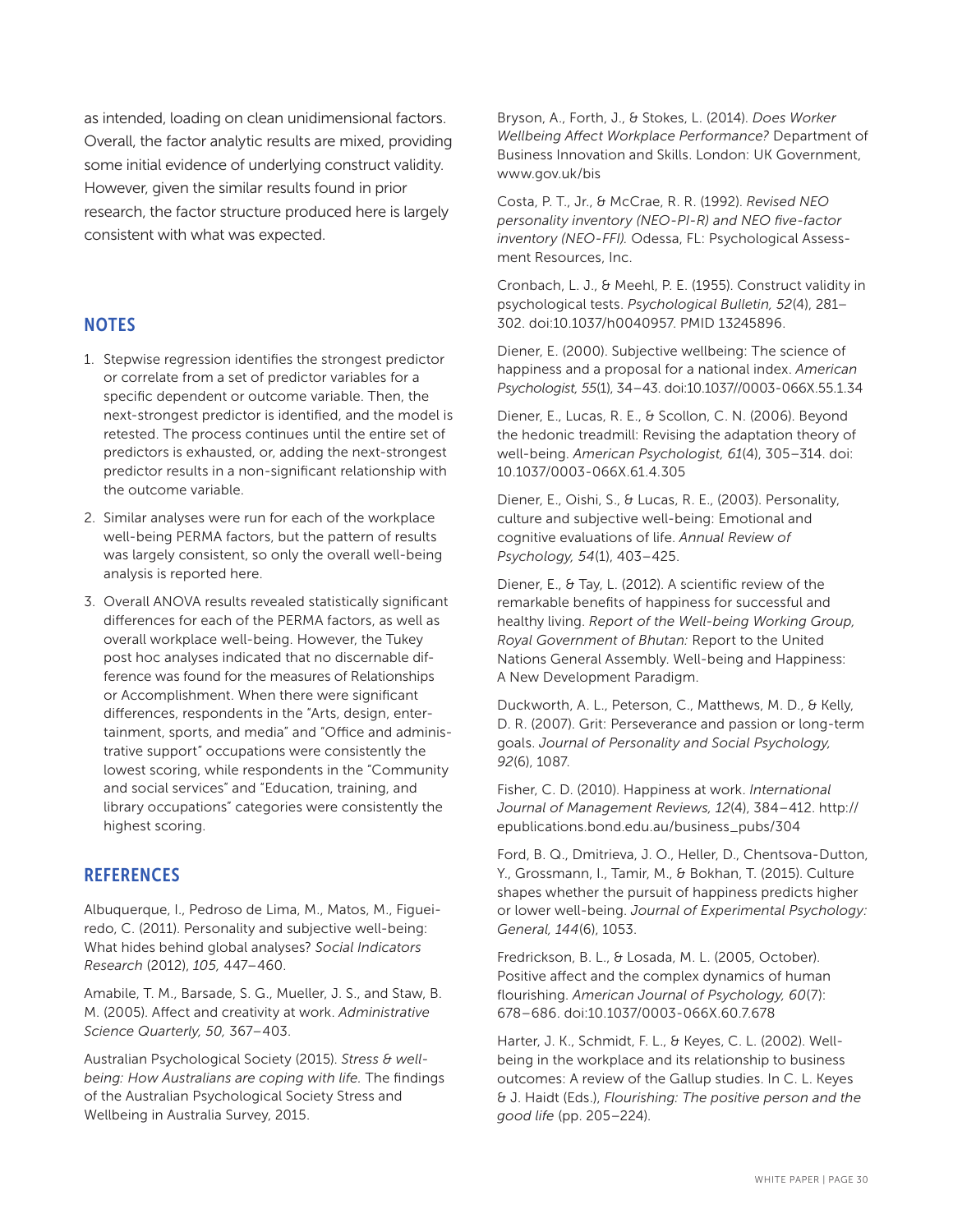as intended, loading on clean unidimensional factors. Overall, the factor analytic results are mixed, providing some initial evidence of underlying construct validity. However, given the similar results found in prior research, the factor structure produced here is largely consistent with what was expected.

### **NOTES**

- 1. Stepwise regression identifies the strongest predictor or correlate from a set of predictor variables for a specific dependent or outcome variable. Then, the next-strongest predictor is identified, and the model is retested. The process continues until the entire set of predictors is exhausted, or, adding the next-strongest predictor results in a non-significant relationship with the outcome variable.
- 2. Similar analyses were run for each of the workplace well-being PERMA factors, but the pattern of results was largely consistent, so only the overall well-being analysis is reported here.
- 3. Overall ANOVA results revealed statistically significant differences for each of the PERMA factors, as well as overall workplace well-being. However, the Tukey post hoc analyses indicated that no discernable difference was found for the measures of Relationships or Accomplishment. When there were significant differences, respondents in the "Arts, design, entertainment, sports, and media" and "Office and administrative support" occupations were consistently the lowest scoring, while respondents in the "Community and social services" and "Education, training, and library occupations" categories were consistently the highest scoring.

### **REFERENCES**

Albuquerque, I., Pedroso de Lima, M., Matos, M., Figueiredo, C. (2011). Personality and subjective well-being: What hides behind global analyses? *Social Indicators Research* (2012), *105,* 447–460.

Amabile, T. M., Barsade, S. G., Mueller, J. S., and Staw, B. M. (2005). Affect and creativity at work. *Administrative Science Quarterly, 50,* 367–403.

Australian Psychological Society (2015). *Stress & wellbeing: How Australians are coping with life.* The findings of the Australian Psychological Society Stress and Wellbeing in Australia Survey, 2015.

Bryson, A., Forth, J., & Stokes, L. (2014). *Does Worker Wellbeing Affect Workplace Performance?* Department of Business Innovation and Skills. London: UK Government, www.gov.uk/bis

Costa, P. T., Jr., & McCrae, R. R. (1992). *Revised NEO personality inventory (NEO-PI-R) and NEO five-factor inventory (NEO-FFI).* Odessa, FL: Psychological Assessment Resources, Inc.

Cronbach, L. J., & Meehl, P. E. (1955). Construct validity in psychological tests. *Psychological Bulletin, 52*(4), 281– 302. doi:10.1037/h0040957. PMID 13245896.

Diener, E. (2000). Subjective wellbeing: The science of happiness and a proposal for a national index. *American Psychologist, 55*(1), 34–43. doi:10.1037//0003-066X.55.1.34

Diener, E., Lucas, R. E., & Scollon, C. N. (2006). Beyond the hedonic treadmill: Revising the adaptation theory of well-being. *American Psychologist, 61*(4), 305–314. doi: 10.1037/0003-066X.61.4.305

Diener, E., Oishi, S., & Lucas, R. E., (2003). Personality, culture and subjective well-being: Emotional and cognitive evaluations of life. *Annual Review of Psychology, 54*(1), 403–425.

Diener, E., & Tay, L. (2012). A scientific review of the remarkable benefits of happiness for successful and healthy living. *Report of the Well-being Working Group, Royal Government of Bhutan:* Report to the United Nations General Assembly. Well-being and Happiness: A New Development Paradigm.

Duckworth, A. L., Peterson, C., Matthews, M. D., & Kelly, D. R. (2007). Grit: Perseverance and passion or long-term goals. *Journal of Personality and Social Psychology, 92*(6), 1087.

Fisher, C. D. (2010). Happiness at work. *International Journal of Management Reviews, 12*(4), 384–412. http:// epublications.bond.edu.au/business\_pubs/304

Ford, B. Q., Dmitrieva, J. O., Heller, D., Chentsova-Dutton, Y., Grossmann, I., Tamir, M., & Bokhan, T. (2015). Culture shapes whether the pursuit of happiness predicts higher or lower well-being. *Journal of Experimental Psychology: General, 144*(6), 1053.

Fredrickson, B. L., & Losada, M. L. (2005, October). Positive affect and the complex dynamics of human flourishing. *American Journal of Psychology, 60*(7): 678–686. doi:10.1037/0003-066X.60.7.678

Harter, J. K., Schmidt, F. L., & Keyes, C. L. (2002). Wellbeing in the workplace and its relationship to business outcomes: A review of the Gallup studies. In C. L. Keyes & J. Haidt (Eds.), *Flourishing: The positive person and the good life* (pp. 205–224).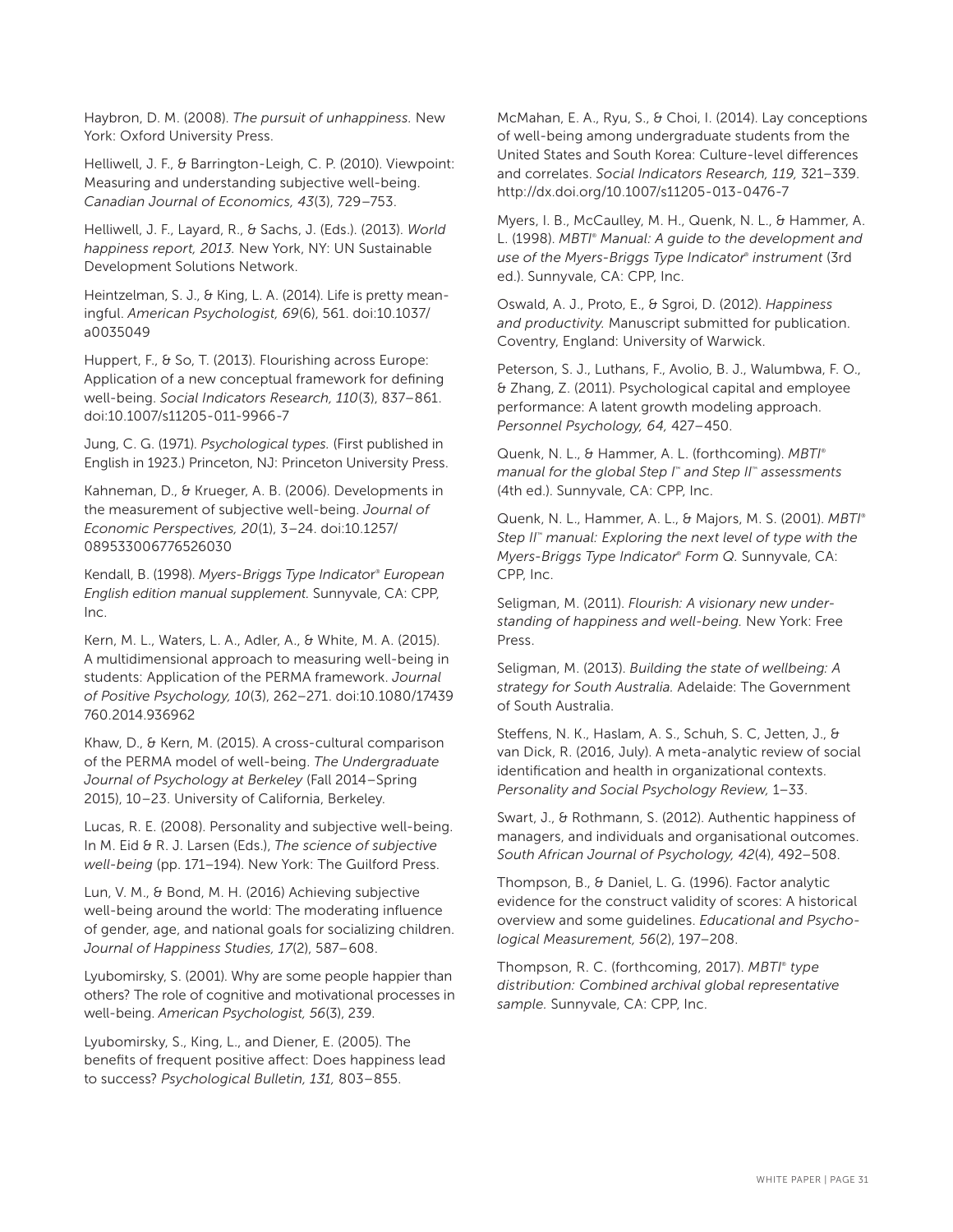Haybron, D. M. (2008). *The pursuit of unhappiness.* New York: Oxford University Press.

Helliwell, J. F., & Barrington-Leigh, C. P. (2010). Viewpoint: Measuring and understanding subjective well-being. *Canadian Journal of Economics, 43*(3), 729–753.

Helliwell, J. F., Layard, R., & Sachs, J. (Eds.). (2013). *World happiness report, 2013.* New York, NY: UN Sustainable Development Solutions Network.

Heintzelman, S. J., & King, L. A. (2014). Life is pretty meaningful. *American Psychologist, 69*(6), 561. doi:10.1037/ a0035049

Huppert, F., & So, T. (2013). Flourishing across Europe: Application of a new conceptual framework for defining well-being. *Social Indicators Research, 110*(3), 837–861. doi:10.1007/s11205-011-9966-7

Jung, C. G. (1971). *Psychological types.* (First published in English in 1923.) Princeton, NJ: Princeton University Press.

Kahneman, D., & Krueger, A. B. (2006). Developments in the measurement of subjective well-being. *Journal of Economic Perspectives, 20*(1), 3–24. doi:10.1257/ 089533006776526030

Kendall, B. (1998). *Myers-Briggs Type Indicato*r ® *European English edition manual supplement.* Sunnyvale, CA: CPP, Inc.

Kern, M. L., Waters, L. A., Adler, A., & White, M. A. (2015). A multidimensional approach to measuring well-being in students: Application of the PERMA framework. *Journal of Positive Psychology, 10*(3), 262–271. doi:10.1080/17439 760.2014.936962

Khaw, D., & Kern, M. (2015). A cross-cultural comparison of the PERMA model of well-being. *The Undergraduate Journal of Psychology at Berkeley* (Fall 2014–Spring 2015), 10–23. University of California, Berkeley.

Lucas, R. E. (2008). Personality and subjective well-being. In M. Eid & R. J. Larsen (Eds.), *The science of subjective well-being* (pp. 171–194). New York: The Guilford Press.

Lun, V. M., & Bond, M. H. (2016) Achieving subjective well-being around the world: The moderating influence of gender, age, and national goals for socializing children. *Journal of Happiness Studies, 17*(2), 587–608.

Lyubomirsky, S. (2001). Why are some people happier than others? The role of cognitive and motivational processes in well-being. *American Psychologist, 56*(3), 239.

Lyubomirsky, S., King, L., and Diener, E. (2005). The benefits of frequent positive affect: Does happiness lead to success? *Psychological Bulletin, 131,* 803–855.

McMahan, E. A., Ryu, S., & Choi, I. (2014). Lay conceptions of well-being among undergraduate students from the United States and South Korea: Culture-level differences and correlates. *Social Indicators Research, 119,* 321–339. http://dx.doi.org/10.1007/s11205-013-0476-7

Myers, I. B., McCaulley, M. H., Quenk, N. L., & Hammer, A. L. (1998). *MBTI*® *Manual: A guide to the development and use of the Myers-Briggs Type Indicator*® *instrument* (3rd ed.). Sunnyvale, CA: CPP, Inc.

Oswald, A. J., Proto, E., & Sgroi, D. (2012). *Happiness and productivity.* Manuscript submitted for publication. Coventry, England: University of Warwick.

Peterson, S. J., Luthans, F., Avolio, B. J., Walumbwa, F. O., & Zhang, Z. (2011). Psychological capital and employee performance: A latent growth modeling approach. *Personnel Psychology, 64,* 427–450.

Quenk, N. L., & Hammer, A. L. (forthcoming). *MBTI*® *manual for the global Step I*™ *and Step II*™ *assessments*  (4th ed.). Sunnyvale, CA: CPP, Inc.

Quenk, N. L., Hammer, A. L., & Majors, M. S. (2001). *MBTI*® *Step II*™ *manual: Exploring the next level of type with the Myers-Briggs Type Indicator*®  *Form Q.* Sunnyvale, CA: CPP, Inc.

Seligman, M. (2011). *Flourish: A visionary new understanding of happiness and well-being.* New York: Free Press.

Seligman, M. (2013). *Building the state of wellbeing: A strategy for South Australia.* Adelaide: The Government of South Australia.

Steffens, N. K., Haslam, A. S., Schuh, S. C, Jetten, J., & van Dick, R. (2016, July). A meta-analytic review of social identification and health in organizational contexts. *Personality and Social Psychology Review,* 1–33.

Swart, J., & Rothmann, S. (2012). Authentic happiness of managers, and individuals and organisational outcomes. *South African Journal of Psychology, 42*(4), 492–508.

Thompson, B., & Daniel, L. G. (1996). Factor analytic evidence for the construct validity of scores: A historical overview and some guidelines. *Educational and Psychological Measurement, 56*(2), 197–208.

Thompson, R. C. (forthcoming, 2017). *MBTI® type distribution: Combined archival global representative sample.* Sunnyvale, CA: CPP, Inc.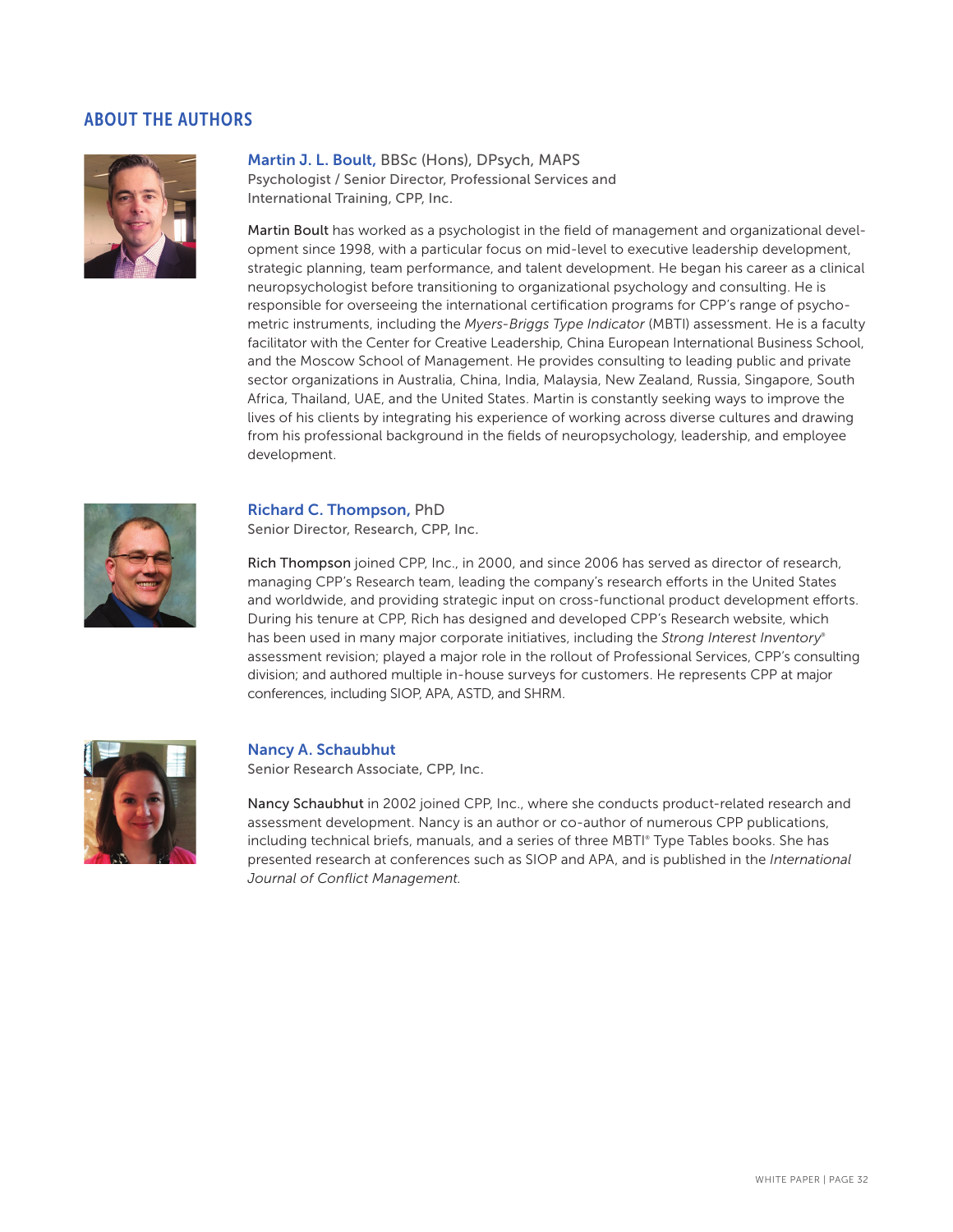### ABOUT THE AUTHORS



Martin J. L. Boult, BBSc (Hons), DPsych, MAPS Psychologist / Senior Director, Professional Services and International Training, CPP, Inc.

Martin Boult has worked as a psychologist in the field of management and organizational development since 1998, with a particular focus on mid-level to executive leadership development, strategic planning, team performance, and talent development. He began his career as a clinical neuropsychologist before transitioning to organizational psychology and consulting. He is responsible for overseeing the international certification programs for CPP's range of psychometric instruments, including the *Myers-Briggs Type Indicator* (MBTI) assessment. He is a faculty facilitator with the Center for Creative Leadership, China European International Business School, and the Moscow School of Management. He provides consulting to leading public and private sector organizations in Australia, China, India, Malaysia, New Zealand, Russia, Singapore, South Africa, Thailand, UAE, and the United States. Martin is constantly seeking ways to improve the lives of his clients by integrating his experience of working across diverse cultures and drawing from his professional background in the fields of neuropsychology, leadership, and employee development.



#### Richard C. Thompson, PhD

Senior Director, Research, CPP, Inc.

Rich Thompson joined CPP, Inc., in 2000, and since 2006 has served as director of research, managing CPP's Research team, leading the company's research efforts in the United States and worldwide, and providing strategic input on cross-functional product development efforts. During his tenure at CPP, Rich has designed and developed CPP's Research website, which has been used in many major corporate initiatives, including the *Strong Interest Inventory*® assessment revision; played a major role in the rollout of Professional Services, CPP's consulting division; and authored multiple in-house surveys for customers. He represents CPP at major conferences, including SIOP, APA, ASTD, and SHRM.



#### Nancy A. Schaubhut

Senior Research Associate, CPP, Inc.

Nancy Schaubhut in 2002 joined CPP, Inc., where she conducts product-related research and assessment development. Nancy is an author or co-author of numerous CPP publications, including technical briefs, manuals, and a series of three MBTI® Type Tables books. She has presented research at conferences such as SIOP and APA, and is published in the *International Journal of Conflict Management.*